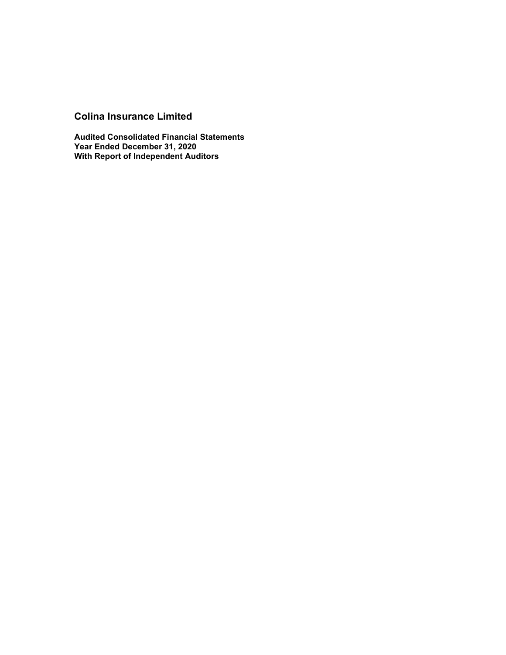# **Colina Insurance Limited**

**Audited Consolidated Financial Statements Year Ended December 31, 2020 With Report of Independent Auditors**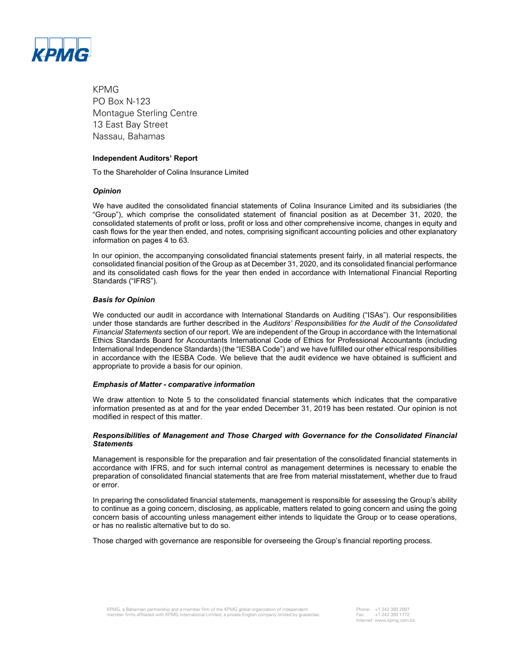

KPMG PO Box N-123 Montague Sterling Centre 13 East Bay Street Nassau, Bahamas

### **Independent Auditors' Report**

To the Shareholder of Colina Insurance Limited

### *Opinion*

We have audited the consolidated financial statements of Colina Insurance Limited and its subsidiaries (the "Group"), which comprise the consolidated statement of financial position as at December 31, 2020, the consolidated statements of profit or loss, profit or loss and other comprehensive income, changes in equity and cash flows for the year then ended, and notes, comprising significant accounting policies and other explanatory information on pages 4 to 63.

In our opinion, the accompanying consolidated financial statements present fairly, in all material respects, the consolidated financial position of the Group as at December 31, 2020, and its consolidated financial performance and its consolidated cash flows for the year then ended in accordance with International Financial Reporting Standards ("IFRS").

### *Basis for Opinion*

We conducted our audit in accordance with International Standards on Auditing ("ISAs"). Our responsibilities under those standards are further described in the *Auditors' Responsibilities for the Audit of the Consolidated Financial Statements* section of our report. We are independent of the Group in accordance with the International Ethics Standards Board for Accountants International Code of Ethics for Professional Accountants (including International Independence Standards) (the "IESBA Code") and we have fulfilled our other ethical responsibilities in accordance with the IESBA Code. We believe that the audit evidence we have obtained is sufficient and appropriate to provide a basis for our opinion.

#### *Emphasis of Matter - comparative information*

We draw attention to Note 5 to the consolidated financial statements which indicates that the comparative information presented as at and for the year ended December 31, 2019 has been restated. Our opinion is not modified in respect of this matter.

### *Responsibilities of Management and Those Charged with Governance for the Consolidated Financial Statements*

Management is responsible for the preparation and fair presentation of the consolidated financial statements in accordance with IFRS, and for such internal control as management determines is necessary to enable the preparation of consolidated financial statements that are free from material misstatement, whether due to fraud or error.

In preparing the consolidated financial statements, management is responsible for assessing the Group's ability to continue as a going concern, disclosing, as applicable, matters related to going concern and using the going concern basis of accounting unless management either intends to liquidate the Group or to cease operations, or has no realistic alternative but to do so.

Those charged with governance are responsible for overseeing the Group's financial reporting process.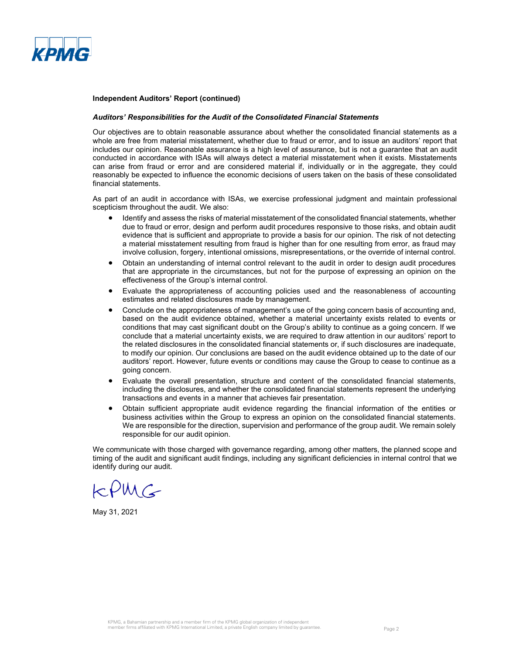

#### **Independent Auditors' Report (continued)**

#### *Auditors' Responsibilities for the Audit of the Consolidated Financial Statements*

Our objectives are to obtain reasonable assurance about whether the consolidated financial statements as a whole are free from material misstatement, whether due to fraud or error, and to issue an auditors' report that includes our opinion. Reasonable assurance is a high level of assurance, but is not a guarantee that an audit conducted in accordance with ISAs will always detect a material misstatement when it exists. Misstatements can arise from fraud or error and are considered material if, individually or in the aggregate, they could reasonably be expected to influence the economic decisions of users taken on the basis of these consolidated financial statements.

As part of an audit in accordance with ISAs, we exercise professional judgment and maintain professional scepticism throughout the audit. We also:

- Identify and assess the risks of material misstatement of the consolidated financial statements, whether due to fraud or error, design and perform audit procedures responsive to those risks, and obtain audit evidence that is sufficient and appropriate to provide a basis for our opinion. The risk of not detecting a material misstatement resulting from fraud is higher than for one resulting from error, as fraud may involve collusion, forgery, intentional omissions, misrepresentations, or the override of internal control.
- Obtain an understanding of internal control relevant to the audit in order to design audit procedures that are appropriate in the circumstances, but not for the purpose of expressing an opinion on the effectiveness of the Group's internal control.
- Evaluate the appropriateness of accounting policies used and the reasonableness of accounting estimates and related disclosures made by management.
- Conclude on the appropriateness of management's use of the going concern basis of accounting and, based on the audit evidence obtained, whether a material uncertainty exists related to events or conditions that may cast significant doubt on the Group's ability to continue as a going concern. If we conclude that a material uncertainty exists, we are required to draw attention in our auditors' report to the related disclosures in the consolidated financial statements or, if such disclosures are inadequate, to modify our opinion. Our conclusions are based on the audit evidence obtained up to the date of our auditors' report. However, future events or conditions may cause the Group to cease to continue as a going concern.
- Evaluate the overall presentation, structure and content of the consolidated financial statements, including the disclosures, and whether the consolidated financial statements represent the underlying transactions and events in a manner that achieves fair presentation.
- Obtain sufficient appropriate audit evidence regarding the financial information of the entities or business activities within the Group to express an opinion on the consolidated financial statements. We are responsible for the direction, supervision and performance of the group audit. We remain solely responsible for our audit opinion.

We communicate with those charged with governance regarding, among other matters, the planned scope and timing of the audit and significant audit findings, including any significant deficiencies in internal control that we identify during our audit.

May 31, 2021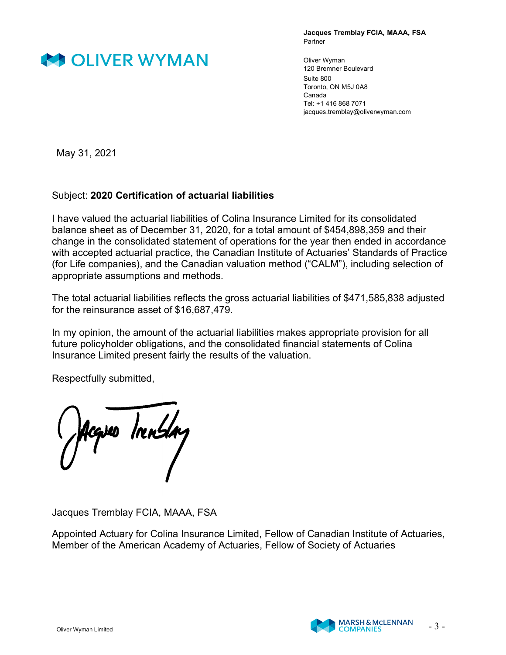

**Jacques Tremblay FCIA, MAAA, FSA** Partner

Oliver Wyman 120 Bremner Boulevard Suite 800 Toronto, ON M5J 0A8 Canada Tel: +1 416 868 7071 jacques.tremblay@oliverwyman.com

May 31, 2021

# Subject: **2020 Certification of actuarial liabilities**

I have valued the actuarial liabilities of Colina Insurance Limited for its consolidated balance sheet as of December 31, 2020, for a total amount of \$454,898,359 and their change in the consolidated statement of operations for the year then ended in accordance with accepted actuarial practice, the Canadian Institute of Actuaries' Standards of Practice (for Life companies), and the Canadian valuation method ("CALM"), including selection of appropriate assumptions and methods.

The total actuarial liabilities reflects the gross actuarial liabilities of \$471,585,838 adjusted for the reinsurance asset of \$16,687,479.

In my opinion, the amount of the actuarial liabilities makes appropriate provision for all future policyholder obligations, and the consolidated financial statements of Colina Insurance Limited present fairly the results of the valuation.

Respectfully submitted,

Acques Irenslay

Jacques Tremblay FCIA, MAAA, FSA

Appointed Actuary for Colina Insurance Limited, Fellow of Canadian Institute of Actuaries, Member of the American Academy of Actuaries, Fellow of Society of Actuaries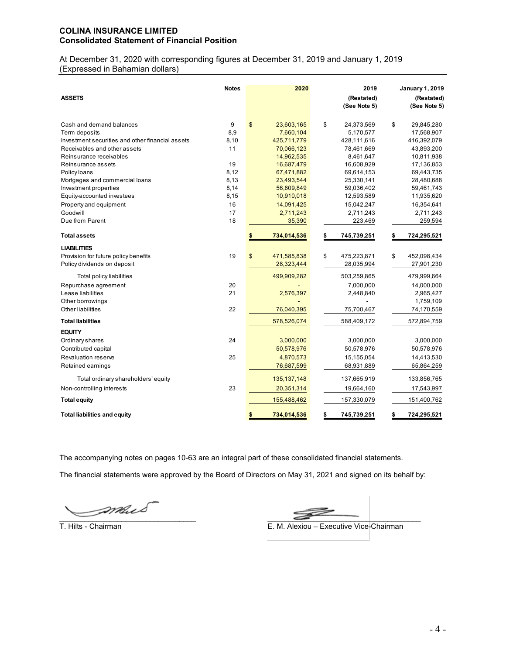# **COLINA INSURANCE LIMITED Consolidated Statement of Financial Position**

At December 31, 2020 with corresponding figures at December 31, 2019 and January 1, 2019 (Expressed in Bahamian dollars)

| <b>ASSETS</b>                                    | <b>Notes</b> |                   | 2020 | 2019<br>(Restated)<br>(See Note 5) | <b>January 1, 2019</b><br>(Restated)<br>(See Note 5) |
|--------------------------------------------------|--------------|-------------------|------|------------------------------------|------------------------------------------------------|
| Cash and demand balances                         | 9            | \$<br>23,603,165  | \$   | 24,373,569                         | \$<br>29,845,280                                     |
| Term deposits                                    | 8,9          | 7,660,104         |      | 5,170,577                          | 17,568,907                                           |
| Investment securities and other financial assets | 8,10         | 425,711,779       |      | 428,111,616                        | 416,392,079                                          |
| Receivables and other assets                     | 11           | 70,066,123        |      | 78,461,669                         | 43,893,200                                           |
| Reinsurance receivables                          |              | 14,962,535        |      | 8,461,647                          | 10,811,938                                           |
| Reinsurance assets                               | 19           | 16,687,479        |      | 16,608,929                         | 17,136,853                                           |
| Policy loans                                     | 8,12         | 67,471,882        |      | 69,614,153                         | 69,443,735                                           |
| Mortgages and commercial loans                   | 8,13         | 23,493,544        |      | 25,330,141                         | 28,480,688                                           |
| Investment properties                            | 8,14         | 56,609,849        |      | 59,036,402                         | 59,461,743                                           |
| Equity-accounted investees                       | 8,15         | 10,910,018        |      | 12,593,589                         | 11,935,620                                           |
| Property and equipment                           | 16           | 14,091,425        |      | 15,042,247                         | 16,354,641                                           |
| Goodwill                                         | 17           | 2,711,243         |      | 2,711,243                          | 2,711,243                                            |
| Due from Parent                                  | 18           | 35,390            |      | 223,469                            | 259,594                                              |
| <b>Total assets</b>                              |              | 734,014,536<br>\$ | \$   | 745,739,251                        | \$<br>724,295,521                                    |
| <b>LIABILITIES</b>                               |              |                   |      |                                    |                                                      |
| Provision for future policy benefits             | 19           | \$<br>471,585,838 | \$   | 475,223,871                        | \$<br>452,098,434                                    |
| Policy dividends on deposit                      |              | 28,323,444        |      | 28,035,994                         | 27,901,230                                           |
| Total policy liabilities                         |              | 499,909,282       |      | 503,259,865                        | 479,999,664                                          |
| Repurchase agreement                             | 20           |                   |      | 7,000,000                          | 14,000,000                                           |
| Lease liabilities                                | 21           | 2,576,397         |      | 2,448,840                          | 2,965,427                                            |
| Other borrowings                                 |              |                   |      |                                    | 1,759,109                                            |
| Other liabilities                                | 22           | 76,040,395        |      | 75,700,467                         | 74,170,559                                           |
| <b>Total liabilities</b>                         |              | 578,526,074       |      | 588,409,172                        | 572,894,759                                          |
| <b>EQUITY</b>                                    |              |                   |      |                                    |                                                      |
| Ordinary shares                                  | 24           | 3,000,000         |      | 3,000,000                          | 3,000,000                                            |
| Contributed capital                              |              | 50,578,976        |      | 50,578,976                         | 50,578,976                                           |
| Revaluation reserve                              | 25           | 4,870,573         |      | 15,155,054                         | 14,413,530                                           |
| Retained earnings                                |              | 76,687,599        |      | 68,931,889                         | 65,864,259                                           |
| Total ordinary shareholders' equity              |              | 135, 137, 148     |      | 137,665,919                        | 133,856,765                                          |
| Non-controlling interests                        | 23           | 20,351,314        |      | 19,664,160                         | 17,543,997                                           |
| <b>Total equity</b>                              |              | 155,488,462       |      | 157,330,079                        | 151,400,762                                          |
| <b>Total liabilities and equity</b>              |              | 734,014,536<br>\$ | \$   | 745,739,251                        | \$<br>724,295,521                                    |

The accompanying notes on pages 10-63 are an integral part of these consolidated financial statements.

The financial statements were approved by the Board of Directors on May 31, 2021 and signed on its behalf by:

 $\overline{\phantom{a}}$  ,  $\overline{\phantom{a}}$  ,  $\overline{\phantom{a}}$  ,  $\overline{\phantom{a}}$  ,  $\overline{\phantom{a}}$  ,  $\overline{\phantom{a}}$  ,  $\overline{\phantom{a}}$  ,  $\overline{\phantom{a}}$  ,  $\overline{\phantom{a}}$  ,  $\overline{\phantom{a}}$  ,  $\overline{\phantom{a}}$  ,  $\overline{\phantom{a}}$  ,  $\overline{\phantom{a}}$  ,  $\overline{\phantom{a}}$  ,  $\overline{\phantom{a}}$  ,  $\overline{\phantom{a}}$ 

 $\overline{\mathsf{F}}$ . Hilts - Chairman **E. M. Alexiou – Executive Vice-Chairman**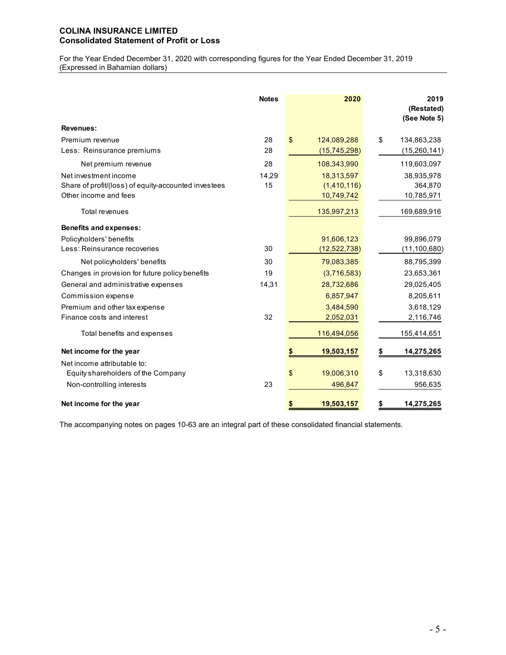# **COLINA INSURANCE LIMITED Consolidated Statement of Profit or Loss**

For the Year Ended December 31, 2020 with corresponding figures for the Year Ended December 31, 2019 (Expressed in Bahamian dollars)

|                                                      | <b>Notes</b> | 2020              | 2019<br>(Restated)<br>(See Note 5) |
|------------------------------------------------------|--------------|-------------------|------------------------------------|
| <b>Revenues:</b>                                     |              |                   |                                    |
| Premium revenue                                      | 28           | \$<br>124,089,288 | \$<br>134,863,238                  |
| Less: Reinsurance premiums                           | 28           | (15,745,298)      | (15,260,141)                       |
| Net premium revenue                                  | 28           | 108,343,990       | 119,603,097                        |
| Net investment income                                | 14,29        | 18,313,597        | 38,935,978                         |
| Share of profit/(loss) of equity-accounted investees | 15           | (1,410,116)       | 364,870                            |
| Other income and fees                                |              | 10,749,742        | 10,785,971                         |
| Total revenues                                       |              | 135,997,213       | 169,689,916                        |
| <b>Benefits and expenses:</b>                        |              |                   |                                    |
| Policyholders' benefits                              |              | 91,606,123        | 99,896,079                         |
| Less: Reinsurance recoveries                         | 30           | (12,522,738)      | (11,100,680)                       |
| Net policyholders' benefits                          | 30           | 79,083,385        | 88,795,399                         |
| Changes in provision for future policy benefits      | 19           | (3,716,583)       | 23,653,361                         |
| General and administrative expenses                  | 14,31        | 28,732,686        | 29,025,405                         |
| Commission expense                                   |              | 6,857,947         | 8,205,611                          |
| Premium and other tax expense                        |              | 3,484,590         | 3,618,129                          |
| Finance costs and interest                           | 32           | 2,052,031         | 2,116,746                          |
| Total benefits and expenses                          |              | 116,494,056       | 155,414,651                        |
| Net income for the year                              |              | 19,503,157        | \$<br>14,275,265                   |
| Net income attributable to:                          |              |                   |                                    |
| Equity shareholders of the Company                   |              | \$<br>19,006,310  | \$<br>13,318,630                   |
| Non-controlling interests                            | 23           | 496,847           | 956,635                            |
| Net income for the year                              |              | \$<br>19,503,157  | \$<br>14,275,265                   |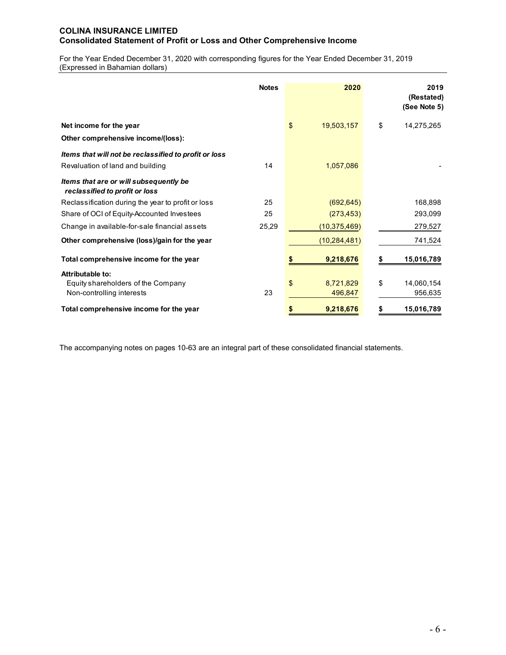# **COLINA INSURANCE LIMITED Consolidated Statement of Profit or Loss and Other Comprehensive Income**

For the Year Ended December 31, 2020 with corresponding figures for the Year Ended December 31, 2019 (Expressed in Bahamian dollars)

|                                                                          | <b>Notes</b> | 2020             | 2019<br>(Restated)<br>(See Note 5) |
|--------------------------------------------------------------------------|--------------|------------------|------------------------------------|
| Net income for the year                                                  |              | \$<br>19,503,157 | \$<br>14,275,265                   |
| Other comprehensive income/(loss):                                       |              |                  |                                    |
| Items that will not be reclassified to profit or loss                    |              |                  |                                    |
| Revaluation of land and building                                         | 14           | 1,057,086        |                                    |
| Items that are or will subsequently be<br>reclassified to profit or loss |              |                  |                                    |
| Reclassification during the year to profit or loss                       | 25           | (692, 645)       | 168,898                            |
| Share of OCI of Equity-Accounted Investees                               | 25           | (273, 453)       | 293,099                            |
| Change in available-for-sale financial assets                            | 25,29        | (10, 375, 469)   | 279,527                            |
| Other comprehensive (loss)/gain for the year                             |              | (10, 284, 481)   | 741,524                            |
| Total comprehensive income for the year                                  |              | 9,218,676        | 15,016,789                         |
| Attributable to:                                                         |              |                  |                                    |
| Equity shareholders of the Company                                       |              | \$<br>8,721,829  | \$<br>14,060,154                   |
| Non-controlling interests                                                | 23           | 496,847          | 956,635                            |
| Total comprehensive income for the year                                  |              | 9,218,676<br>\$  | \$<br>15,016,789                   |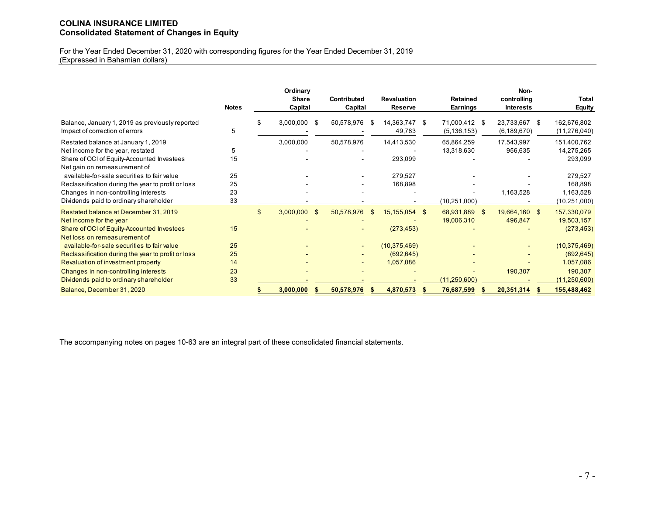# **COLINA INSURANCE LIMITED Consolidated Statement of Changes in Equity**

For the Year Ended December 31, 2020 with corresponding figures for the Year Ended December 31, 2019 (Expressed in Bahamian dollars)

|                                                                                                                                                                                     | <b>Notes</b>         |     | Ordinary<br><b>Share</b><br>Capital | Contributed<br>Capital |      | <b>Revaluation</b><br><b>Reserve</b>      | <b>Retained</b><br><b>Earnings</b> |    | Non-<br>controlling<br><b>Interests</b> | Total<br><b>Equity</b>                               |
|-------------------------------------------------------------------------------------------------------------------------------------------------------------------------------------|----------------------|-----|-------------------------------------|------------------------|------|-------------------------------------------|------------------------------------|----|-----------------------------------------|------------------------------------------------------|
| Balance, January 1, 2019 as previously reported<br>Impact of correction of errors                                                                                                   | 5                    |     | $3,000,000$ \$                      | 50,578,976             | - \$ | 14,363,747 \$<br>49,783                   | 71,000,412 \$<br>(5, 136, 153)     |    | 23,733,667 \$<br>(6, 189, 670)          | 162,676,802<br>(11, 276, 040)                        |
| Restated balance at January 1, 2019<br>Net income for the year, restated<br>Share of OCI of Equity-Accounted Investees<br>Net gain on remeasurement of                              | 5<br>15              |     | 3,000,000                           | 50,578,976             |      | 14,413,530<br>293,099                     | 65,864,259<br>13,318,630           |    | 17,543,997<br>956,635                   | 151,400,762<br>14,275,265<br>293,099                 |
| available-for-sale securities to fair value<br>Reclassification during the year to profit or loss<br>Changes in non-controlling interests<br>Dividends paid to ordinary shareholder | 25<br>25<br>23<br>33 |     |                                     |                        |      | 279,527<br>168,898                        | (10, 251, 000)                     |    | 1,163,528                               | 279,527<br>168,898<br>1,163,528<br>(10, 251, 000)    |
| Restated balance at December 31, 2019<br>Net income for the year<br>Share of OCI of Equity-Accounted Investees<br>Net loss on remeasurement of                                      | 15                   | \$. | $3,000,000$ \$                      | 50,578,976             | - \$ | $15,155,054$ \$<br>(273, 453)             | 68,931,889<br>19,006,310           | \$ | 19,664,160 \$<br>496,847                | 157,330,079<br>19,503,157<br>(273, 453)              |
| available-for-sale securities to fair value<br>Reclassification during the year to profit or loss<br>Revaluation of investment property<br>Changes in non-controlling interests     | 25<br>25<br>14<br>23 |     |                                     | $\blacksquare$         |      | (10, 375, 469)<br>(692, 645)<br>1,057,086 |                                    |    | 190,307                                 | (10, 375, 469)<br>(692, 645)<br>1,057,086<br>190,307 |
| Dividends paid to ordinary shareholder<br>Balance, December 31, 2020                                                                                                                | 33                   |     | 3,000,000                           | 50,578,976             | Æ    | 4,870,573                                 | \$<br>(11, 250, 600)<br>76,687,599 | S  | 20,351,314                              | (11, 250, 600)<br>155,488,462                        |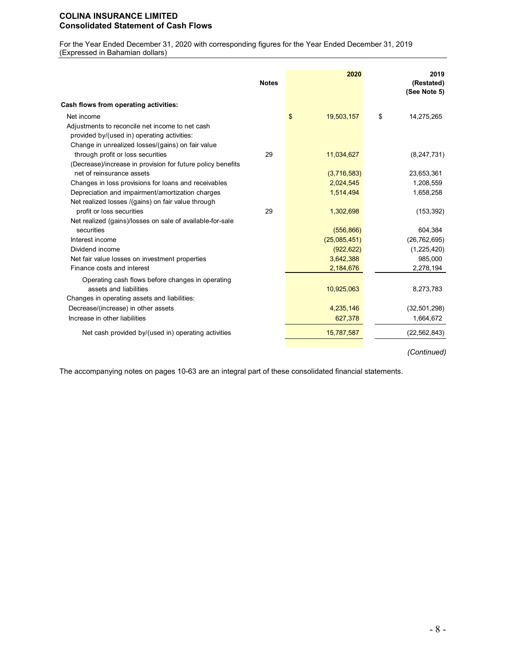# **COLINA INSURANCE LIMITED Consolidated Statement of Cash Flows**

For the Year Ended December 31, 2020 with corresponding figures for the Year Ended December 31, 2019 (Expressed in Bahamian dollars)

|                                                             | <b>Notes</b> | 2020             | 2019<br>(Restated)<br>(See Note 5) |
|-------------------------------------------------------------|--------------|------------------|------------------------------------|
| Cash flows from operating activities:                       |              |                  |                                    |
| Net income                                                  |              | \$<br>19,503,157 | 14,275,265<br>\$                   |
| Adjustments to reconcile net income to net cash             |              |                  |                                    |
| provided by/(used in) operating activities:                 |              |                  |                                    |
| Change in unrealized losses/(gains) on fair value           |              |                  |                                    |
| through profit or loss securities                           | 29           | 11,034,627       | (8, 247, 731)                      |
| (Decrease)/increase in provision for future policy benefits |              |                  |                                    |
| net of reinsurance assets                                   |              | (3,716,583)      | 23,653,361                         |
| Changes in loss provisions for loans and receivables        |              | 2,024,545        | 1,208,559                          |
| Depreciation and impairment/amortization charges            |              | 1,514,494        | 1,658,258                          |
| Net realized losses /(gains) on fair value through          |              |                  |                                    |
| profit or loss securities                                   | 29           | 1,302,698        | (153, 392)                         |
| Net realized (gains)/losses on sale of available-for-sale   |              |                  |                                    |
| securities                                                  |              | (556, 866)       | 604,384                            |
| Interest income                                             |              | (25,085,451)     | (26, 762, 695)                     |
| Dividend income                                             |              | (922, 622)       | (1,225,420)                        |
| Net fair value losses on investment properties              |              | 3,642,388        | 985,000                            |
| Finance costs and interest                                  |              | 2,184,676        | 2,278,194                          |
| Operating cash flows before changes in operating            |              |                  |                                    |
| assets and liabilities                                      |              | 10,925,063       | 8,273,783                          |
| Changes in operating assets and liabilities:                |              |                  |                                    |
| Decrease/(increase) in other assets                         |              | 4,235,146        | (32, 501, 298)                     |
| Increase in other liabilities                               |              | 627,378          | 1,664,672                          |
| Net cash provided by/(used in) operating activities         |              | 15,787,587       | (22, 562, 843)                     |
|                                                             |              |                  |                                    |

*(Continued)*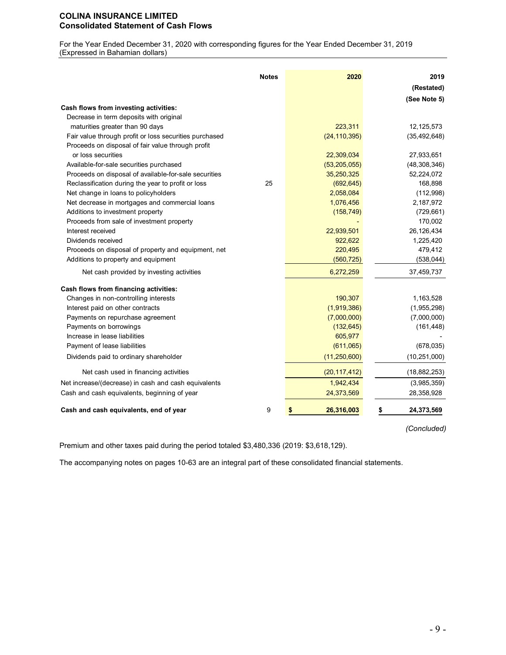# **COLINA INSURANCE LIMITED Consolidated Statement of Cash Flows**

For the Year Ended December 31, 2020 with corresponding figures for the Year Ended December 31, 2019 (Expressed in Bahamian dollars)

|                                                        | <b>Notes</b> | 2020             | 2019             |
|--------------------------------------------------------|--------------|------------------|------------------|
|                                                        |              |                  | (Restated)       |
|                                                        |              |                  | (See Note 5)     |
| Cash flows from investing activities:                  |              |                  |                  |
| Decrease in term deposits with original                |              |                  |                  |
| maturities greater than 90 days                        |              | 223,311          | 12, 125, 573     |
| Fair value through profit or loss securities purchased |              | (24, 110, 395)   | (35, 492, 648)   |
| Proceeds on disposal of fair value through profit      |              |                  |                  |
| or loss securities                                     |              | 22,309,034       | 27,933,651       |
| Available-for-sale securities purchased                |              | (53, 205, 055)   | (48, 308, 346)   |
| Proceeds on disposal of available-for-sale securities  |              | 35,250,325       | 52,224,072       |
| Reclassification during the year to profit or loss     | 25           | (692, 645)       | 168,898          |
| Net change in loans to policyholders                   |              | 2,058,084        | (112,998)        |
| Net decrease in mortgages and commercial loans         |              | 1,076,456        | 2,187,972        |
| Additions to investment property                       |              | (158, 749)       | (729, 661)       |
| Proceeds from sale of investment property              |              |                  | 170,002          |
| Interest received                                      |              | 22,939,501       | 26,126,434       |
| Dividends received                                     |              | 922,622          | 1,225,420        |
| Proceeds on disposal of property and equipment, net    |              | 220,495          | 479,412          |
| Additions to property and equipment                    |              | (560, 725)       | (538, 044)       |
| Net cash provided by investing activities              |              | 6,272,259        | 37,459,737       |
| Cash flows from financing activities:                  |              |                  |                  |
| Changes in non-controlling interests                   |              | 190,307          | 1,163,528        |
| Interest paid on other contracts                       |              | (1,919,386)      | (1,955,298)      |
| Payments on repurchase agreement                       |              | (7,000,000)      | (7,000,000)      |
| Payments on borrowings                                 |              | (132, 645)       | (161, 448)       |
| Increase in lease liabilities                          |              | 605,977          |                  |
| Payment of lease liabilities                           |              | (611,065)        | (678, 035)       |
| Dividends paid to ordinary shareholder                 |              | (11, 250, 600)   | (10, 251, 000)   |
| Net cash used in financing activities                  |              | (20, 117, 412)   | (18, 882, 253)   |
| Net increase/(decrease) in cash and cash equivalents   |              | 1,942,434        | (3,985,359)      |
| Cash and cash equivalents, beginning of year           |              | 24,373,569       | 28,358,928       |
| Cash and cash equivalents, end of year                 | 9            | \$<br>26,316,003 | \$<br>24,373,569 |

*(Concluded)*

Premium and other taxes paid during the period totaled \$3,480,336 (2019: \$3,618,129).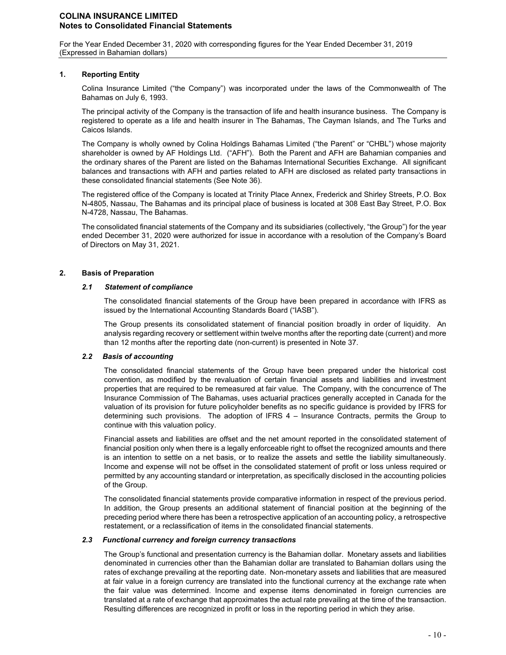For the Year Ended December 31, 2020 with corresponding figures for the Year Ended December 31, 2019 (Expressed in Bahamian dollars)

# **1. Reporting Entity**

Colina Insurance Limited ("the Company") was incorporated under the laws of the Commonwealth of The Bahamas on July 6, 1993.

The principal activity of the Company is the transaction of life and health insurance business. The Company is registered to operate as a life and health insurer in The Bahamas, The Cayman Islands, and The Turks and Caicos Islands.

The Company is wholly owned by Colina Holdings Bahamas Limited ("the Parent" or "CHBL") whose majority shareholder is owned by AF Holdings Ltd. ("AFH"). Both the Parent and AFH are Bahamian companies and the ordinary shares of the Parent are listed on the Bahamas International Securities Exchange. All significant balances and transactions with AFH and parties related to AFH are disclosed as related party transactions in these consolidated financial statements (See Note 36).

The registered office of the Company is located at Trinity Place Annex, Frederick and Shirley Streets, P.O. Box N-4805, Nassau, The Bahamas and its principal place of business is located at 308 East Bay Street, P.O. Box N-4728, Nassau, The Bahamas.

The consolidated financial statements of the Company and its subsidiaries (collectively, "the Group") for the year ended December 31, 2020 were authorized for issue in accordance with a resolution of the Company's Board of Directors on May 31, 2021.

# **2. Basis of Preparation**

# *2.1 Statement of compliance*

The consolidated financial statements of the Group have been prepared in accordance with IFRS as issued by the International Accounting Standards Board ("IASB").

The Group presents its consolidated statement of financial position broadly in order of liquidity. An analysis regarding recovery or settlement within twelve months after the reporting date (current) and more than 12 months after the reporting date (non-current) is presented in Note 37.

### *2.2 Basis of accounting*

The consolidated financial statements of the Group have been prepared under the historical cost convention, as modified by the revaluation of certain financial assets and liabilities and investment properties that are required to be remeasured at fair value. The Company, with the concurrence of The Insurance Commission of The Bahamas, uses actuarial practices generally accepted in Canada for the valuation of its provision for future policyholder benefits as no specific guidance is provided by IFRS for determining such provisions. The adoption of IFRS 4 – Insurance Contracts, permits the Group to continue with this valuation policy.

Financial assets and liabilities are offset and the net amount reported in the consolidated statement of financial position only when there is a legally enforceable right to offset the recognized amounts and there is an intention to settle on a net basis, or to realize the assets and settle the liability simultaneously. Income and expense will not be offset in the consolidated statement of profit or loss unless required or permitted by any accounting standard or interpretation, as specifically disclosed in the accounting policies of the Group.

The consolidated financial statements provide comparative information in respect of the previous period. In addition, the Group presents an additional statement of financial position at the beginning of the preceding period where there has been a retrospective application of an accounting policy, a retrospective restatement, or a reclassification of items in the consolidated financial statements.

# *2.3 Functional currency and foreign currency transactions*

The Group's functional and presentation currency is the Bahamian dollar. Monetary assets and liabilities denominated in currencies other than the Bahamian dollar are translated to Bahamian dollars using the rates of exchange prevailing at the reporting date. Non-monetary assets and liabilities that are measured at fair value in a foreign currency are translated into the functional currency at the exchange rate when the fair value was determined. Income and expense items denominated in foreign currencies are translated at a rate of exchange that approximates the actual rate prevailing at the time of the transaction. Resulting differences are recognized in profit or loss in the reporting period in which they arise.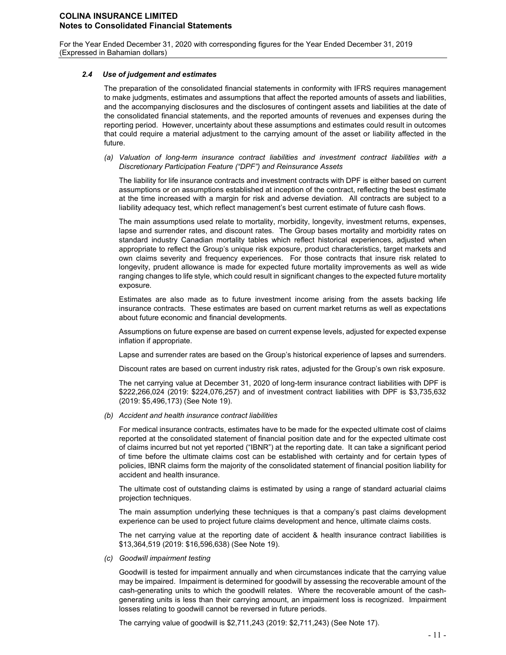For the Year Ended December 31, 2020 with corresponding figures for the Year Ended December 31, 2019 (Expressed in Bahamian dollars)

### *2.4 Use of judgement and estimates*

The preparation of the consolidated financial statements in conformity with IFRS requires management to make judgments, estimates and assumptions that affect the reported amounts of assets and liabilities, and the accompanying disclosures and the disclosures of contingent assets and liabilities at the date of the consolidated financial statements, and the reported amounts of revenues and expenses during the reporting period. However, uncertainty about these assumptions and estimates could result in outcomes that could require a material adjustment to the carrying amount of the asset or liability affected in the future.

*(a) Valuation of long-term insurance contract liabilities and investment contract liabilities with a Discretionary Participation Feature ("DPF") and Reinsurance Assets*

The liability for life insurance contracts and investment contracts with DPF is either based on current assumptions or on assumptions established at inception of the contract, reflecting the best estimate at the time increased with a margin for risk and adverse deviation. All contracts are subject to a liability adequacy test, which reflect management's best current estimate of future cash flows.

The main assumptions used relate to mortality, morbidity, longevity, investment returns, expenses, lapse and surrender rates, and discount rates. The Group bases mortality and morbidity rates on standard industry Canadian mortality tables which reflect historical experiences, adjusted when appropriate to reflect the Group's unique risk exposure, product characteristics, target markets and own claims severity and frequency experiences. For those contracts that insure risk related to longevity, prudent allowance is made for expected future mortality improvements as well as wide ranging changes to life style, which could result in significant changes to the expected future mortality exposure.

Estimates are also made as to future investment income arising from the assets backing life insurance contracts. These estimates are based on current market returns as well as expectations about future economic and financial developments.

Assumptions on future expense are based on current expense levels, adjusted for expected expense inflation if appropriate.

Lapse and surrender rates are based on the Group's historical experience of lapses and surrenders.

Discount rates are based on current industry risk rates, adjusted for the Group's own risk exposure.

The net carrying value at December 31, 2020 of long-term insurance contract liabilities with DPF is \$222,266,024 (2019: \$224,076,257) and of investment contract liabilities with DPF is \$3,735,632 (2019: \$5,496,173) (See Note 19).

### *(b) Accident and health insurance contract liabilities*

For medical insurance contracts, estimates have to be made for the expected ultimate cost of claims reported at the consolidated statement of financial position date and for the expected ultimate cost of claims incurred but not yet reported ("IBNR") at the reporting date. It can take a significant period of time before the ultimate claims cost can be established with certainty and for certain types of policies, IBNR claims form the majority of the consolidated statement of financial position liability for accident and health insurance.

The ultimate cost of outstanding claims is estimated by using a range of standard actuarial claims projection techniques.

The main assumption underlying these techniques is that a company's past claims development experience can be used to project future claims development and hence, ultimate claims costs.

The net carrying value at the reporting date of accident & health insurance contract liabilities is \$13,364,519 (2019: \$16,596,638) (See Note 19).

*(c) Goodwill impairment testing*

Goodwill is tested for impairment annually and when circumstances indicate that the carrying value may be impaired. Impairment is determined for goodwill by assessing the recoverable amount of the cash-generating units to which the goodwill relates. Where the recoverable amount of the cashgenerating units is less than their carrying amount, an impairment loss is recognized. Impairment losses relating to goodwill cannot be reversed in future periods.

The carrying value of goodwill is \$2,711,243 (2019: \$2,711,243) (See Note 17).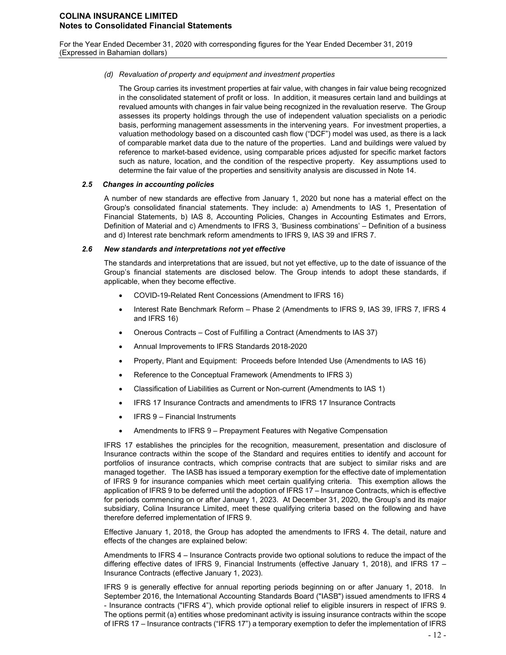#### *(d) Revaluation of property and equipment and investment properties*

The Group carries its investment properties at fair value, with changes in fair value being recognized in the consolidated statement of profit or loss. In addition, it measures certain land and buildings at revalued amounts with changes in fair value being recognized in the revaluation reserve. The Group assesses its property holdings through the use of independent valuation specialists on a periodic basis, performing management assessments in the intervening years. For investment properties, a valuation methodology based on a discounted cash flow ("DCF") model was used, as there is a lack of comparable market data due to the nature of the properties. Land and buildings were valued by reference to market-based evidence, using comparable prices adjusted for specific market factors such as nature, location, and the condition of the respective property. Key assumptions used to determine the fair value of the properties and sensitivity analysis are discussed in Note 14.

### *2.5 Changes in accounting policies*

A number of new standards are effective from January 1, 2020 but none has a material effect on the Group's consolidated financial statements. They include: a) Amendments to IAS 1, Presentation of Financial Statements, b) IAS 8, Accounting Policies, Changes in Accounting Estimates and Errors, Definition of Material and c) Amendments to IFRS 3, 'Business combinations' – Definition of a business and d) Interest rate benchmark reform amendments to IFRS 9, IAS 39 and IFRS 7.

### *2.6 New standards and interpretations not yet effective*

The standards and interpretations that are issued, but not yet effective, up to the date of issuance of the Group's financial statements are disclosed below. The Group intends to adopt these standards, if applicable, when they become effective.

- COVID-19-Related Rent Concessions (Amendment to IFRS 16)
- Interest Rate Benchmark Reform Phase 2 (Amendments to IFRS 9, IAS 39, IFRS 7, IFRS 4 and IFRS 16)
- Onerous Contracts Cost of Fulfilling a Contract (Amendments to IAS 37)
- Annual Improvements to IFRS Standards 2018-2020
- Property, Plant and Equipment: Proceeds before Intended Use (Amendments to IAS 16)
- Reference to the Conceptual Framework (Amendments to IFRS 3)
- Classification of Liabilities as Current or Non-current (Amendments to IAS 1)
- IFRS 17 Insurance Contracts and amendments to IFRS 17 Insurance Contracts
- IFRS 9 Financial Instruments
- Amendments to IFRS 9 Prepayment Features with Negative Compensation

IFRS 17 establishes the principles for the recognition, measurement, presentation and disclosure of Insurance contracts within the scope of the Standard and requires entities to identify and account for portfolios of insurance contracts, which comprise contracts that are subject to similar risks and are managed together. The IASB has issued a temporary exemption for the effective date of implementation of IFRS 9 for insurance companies which meet certain qualifying criteria. This exemption allows the application of IFRS 9 to be deferred until the adoption of IFRS 17 – Insurance Contracts, which is effective for periods commencing on or after January 1, 2023. At December 31, 2020, the Group's and its major subsidiary, Colina Insurance Limited, meet these qualifying criteria based on the following and have therefore deferred implementation of IFRS 9.

Effective January 1, 2018, the Group has adopted the amendments to IFRS 4. The detail, nature and effects of the changes are explained below:

Amendments to IFRS 4 – Insurance Contracts provide two optional solutions to reduce the impact of the differing effective dates of IFRS 9, Financial Instruments (effective January 1, 2018), and IFRS 17 – Insurance Contracts (effective January 1, 2023).

IFRS 9 is generally effective for annual reporting periods beginning on or after January 1, 2018. In September 2016, the International Accounting Standards Board ("IASB") issued amendments to IFRS 4 - Insurance contracts ("IFRS 4"), which provide optional relief to eligible insurers in respect of IFRS 9. The options permit (a) entities whose predominant activity is issuing insurance contracts within the scope of IFRS 17 – Insurance contracts ("IFRS 17") a temporary exemption to defer the implementation of IFRS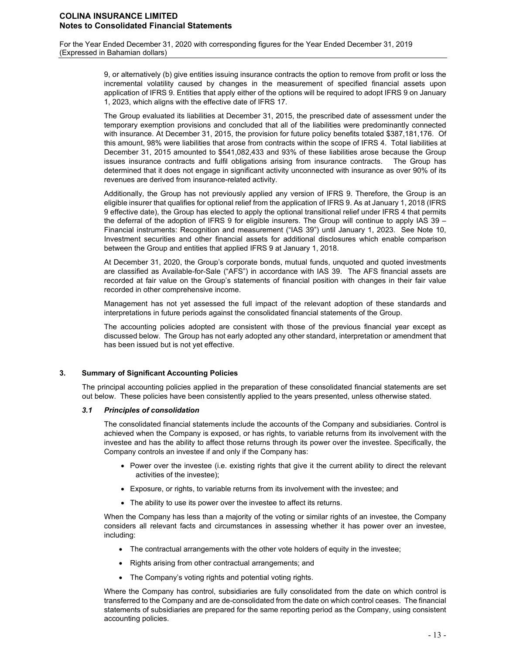> 9, or alternatively (b) give entities issuing insurance contracts the option to remove from profit or loss the incremental volatility caused by changes in the measurement of specified financial assets upon application of IFRS 9. Entities that apply either of the options will be required to adopt IFRS 9 on January 1, 2023, which aligns with the effective date of IFRS 17.

> The Group evaluated its liabilities at December 31, 2015, the prescribed date of assessment under the temporary exemption provisions and concluded that all of the liabilities were predominantly connected with insurance. At December 31, 2015, the provision for future policy benefits totaled \$387,181,176. Of this amount, 98% were liabilities that arose from contracts within the scope of IFRS 4. Total liabilities at December 31, 2015 amounted to \$541,082,433 and 93% of these liabilities arose because the Group issues insurance contracts and fulfil obligations arising from insurance contracts. The Group has determined that it does not engage in significant activity unconnected with insurance as over 90% of its revenues are derived from insurance-related activity.

> Additionally, the Group has not previously applied any version of IFRS 9. Therefore, the Group is an eligible insurer that qualifies for optional relief from the application of IFRS 9. As at January 1, 2018 (IFRS 9 effective date), the Group has elected to apply the optional transitional relief under IFRS 4 that permits the deferral of the adoption of IFRS 9 for eligible insurers. The Group will continue to apply IAS 39 – Financial instruments: Recognition and measurement ("IAS 39") until January 1, 2023. See Note 10, Investment securities and other financial assets for additional disclosures which enable comparison between the Group and entities that applied IFRS 9 at January 1, 2018.

> At December 31, 2020, the Group's corporate bonds, mutual funds, unquoted and quoted investments are classified as Available-for-Sale ("AFS") in accordance with IAS 39. The AFS financial assets are recorded at fair value on the Group's statements of financial position with changes in their fair value recorded in other comprehensive income.

> Management has not yet assessed the full impact of the relevant adoption of these standards and interpretations in future periods against the consolidated financial statements of the Group.

> The accounting policies adopted are consistent with those of the previous financial year except as discussed below. The Group has not early adopted any other standard, interpretation or amendment that has been issued but is not yet effective.

### **3. Summary of Significant Accounting Policies**

The principal accounting policies applied in the preparation of these consolidated financial statements are set out below. These policies have been consistently applied to the years presented, unless otherwise stated.

### *3.1 Principles of consolidation*

The consolidated financial statements include the accounts of the Company and subsidiaries. Control is achieved when the Company is exposed, or has rights, to variable returns from its involvement with the investee and has the ability to affect those returns through its power over the investee. Specifically, the Company controls an investee if and only if the Company has:

- Power over the investee (i.e. existing rights that give it the current ability to direct the relevant activities of the investee);
- Exposure, or rights, to variable returns from its involvement with the investee; and
- The ability to use its power over the investee to affect its returns.

When the Company has less than a majority of the voting or similar rights of an investee, the Company considers all relevant facts and circumstances in assessing whether it has power over an investee, including:

- The contractual arrangements with the other vote holders of equity in the investee;
- Rights arising from other contractual arrangements; and
- The Company's voting rights and potential voting rights.

Where the Company has control, subsidiaries are fully consolidated from the date on which control is transferred to the Company and are de-consolidated from the date on which control ceases. The financial statements of subsidiaries are prepared for the same reporting period as the Company, using consistent accounting policies.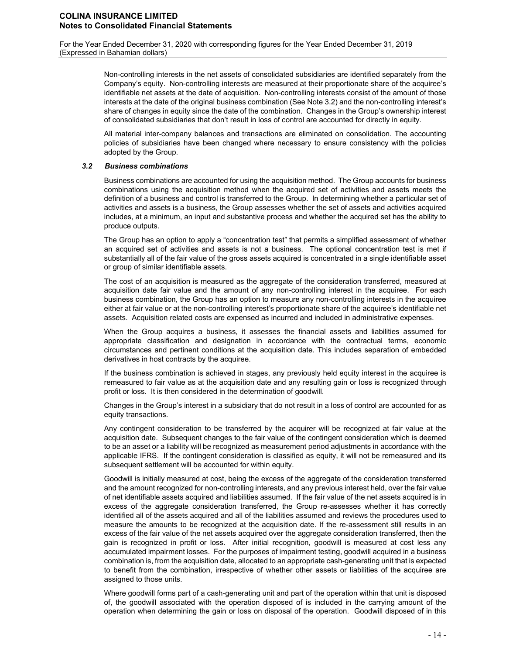> Non-controlling interests in the net assets of consolidated subsidiaries are identified separately from the Company's equity. Non-controlling interests are measured at their proportionate share of the acquiree's identifiable net assets at the date of acquisition. Non-controlling interests consist of the amount of those interests at the date of the original business combination (See Note 3.2) and the non-controlling interest's share of changes in equity since the date of the combination. Changes in the Group's ownership interest of consolidated subsidiaries that don't result in loss of control are accounted for directly in equity.

> All material inter-company balances and transactions are eliminated on consolidation. The accounting policies of subsidiaries have been changed where necessary to ensure consistency with the policies adopted by the Group.

### *3.2 Business combinations*

Business combinations are accounted for using the acquisition method. The Group accounts for business combinations using the acquisition method when the acquired set of activities and assets meets the definition of a business and control is transferred to the Group. In determining whether a particular set of activities and assets is a business, the Group assesses whether the set of assets and activities acquired includes, at a minimum, an input and substantive process and whether the acquired set has the ability to produce outputs.

The Group has an option to apply a "concentration test" that permits a simplified assessment of whether an acquired set of activities and assets is not a business. The optional concentration test is met if substantially all of the fair value of the gross assets acquired is concentrated in a single identifiable asset or group of similar identifiable assets.

The cost of an acquisition is measured as the aggregate of the consideration transferred, measured at acquisition date fair value and the amount of any non-controlling interest in the acquiree. For each business combination, the Group has an option to measure any non-controlling interests in the acquiree either at fair value or at the non-controlling interest's proportionate share of the acquiree's identifiable net assets. Acquisition related costs are expensed as incurred and included in administrative expenses.

When the Group acquires a business, it assesses the financial assets and liabilities assumed for appropriate classification and designation in accordance with the contractual terms, economic circumstances and pertinent conditions at the acquisition date. This includes separation of embedded derivatives in host contracts by the acquiree.

If the business combination is achieved in stages, any previously held equity interest in the acquiree is remeasured to fair value as at the acquisition date and any resulting gain or loss is recognized through profit or loss. It is then considered in the determination of goodwill.

Changes in the Group's interest in a subsidiary that do not result in a loss of control are accounted for as equity transactions.

Any contingent consideration to be transferred by the acquirer will be recognized at fair value at the acquisition date. Subsequent changes to the fair value of the contingent consideration which is deemed to be an asset or a liability will be recognized as measurement period adjustments in accordance with the applicable IFRS. If the contingent consideration is classified as equity, it will not be remeasured and its subsequent settlement will be accounted for within equity.

Goodwill is initially measured at cost, being the excess of the aggregate of the consideration transferred and the amount recognized for non-controlling interests, and any previous interest held, over the fair value of net identifiable assets acquired and liabilities assumed. If the fair value of the net assets acquired is in excess of the aggregate consideration transferred, the Group re-assesses whether it has correctly identified all of the assets acquired and all of the liabilities assumed and reviews the procedures used to measure the amounts to be recognized at the acquisition date. If the re-assessment still results in an excess of the fair value of the net assets acquired over the aggregate consideration transferred, then the gain is recognized in profit or loss. After initial recognition, goodwill is measured at cost less any accumulated impairment losses. For the purposes of impairment testing, goodwill acquired in a business combination is, from the acquisition date, allocated to an appropriate cash-generating unit that is expected to benefit from the combination, irrespective of whether other assets or liabilities of the acquiree are assigned to those units.

Where goodwill forms part of a cash-generating unit and part of the operation within that unit is disposed of, the goodwill associated with the operation disposed of is included in the carrying amount of the operation when determining the gain or loss on disposal of the operation. Goodwill disposed of in this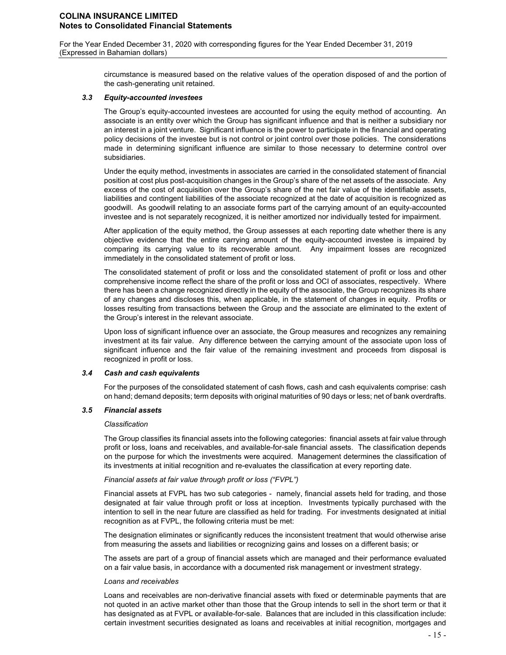For the Year Ended December 31, 2020 with corresponding figures for the Year Ended December 31, 2019 (Expressed in Bahamian dollars)

> circumstance is measured based on the relative values of the operation disposed of and the portion of the cash-generating unit retained.

#### *3.3 Equity-accounted investees*

The Group's equity-accounted investees are accounted for using the equity method of accounting. An associate is an entity over which the Group has significant influence and that is neither a subsidiary nor an interest in a joint venture. Significant influence is the power to participate in the financial and operating policy decisions of the investee but is not control or joint control over those policies. The considerations made in determining significant influence are similar to those necessary to determine control over subsidiaries.

Under the equity method, investments in associates are carried in the consolidated statement of financial position at cost plus post-acquisition changes in the Group's share of the net assets of the associate. Any excess of the cost of acquisition over the Group's share of the net fair value of the identifiable assets, liabilities and contingent liabilities of the associate recognized at the date of acquisition is recognized as goodwill. As goodwill relating to an associate forms part of the carrying amount of an equity-accounted investee and is not separately recognized, it is neither amortized nor individually tested for impairment.

After application of the equity method, the Group assesses at each reporting date whether there is any objective evidence that the entire carrying amount of the equity-accounted investee is impaired by comparing its carrying value to its recoverable amount. Any impairment losses are recognized immediately in the consolidated statement of profit or loss.

The consolidated statement of profit or loss and the consolidated statement of profit or loss and other comprehensive income reflect the share of the profit or loss and OCI of associates, respectively. Where there has been a change recognized directly in the equity of the associate, the Group recognizes its share of any changes and discloses this, when applicable, in the statement of changes in equity. Profits or losses resulting from transactions between the Group and the associate are eliminated to the extent of the Group's interest in the relevant associate.

Upon loss of significant influence over an associate, the Group measures and recognizes any remaining investment at its fair value. Any difference between the carrying amount of the associate upon loss of significant influence and the fair value of the remaining investment and proceeds from disposal is recognized in profit or loss.

### *3.4 Cash and cash equivalents*

For the purposes of the consolidated statement of cash flows, cash and cash equivalents comprise: cash on hand; demand deposits; term deposits with original maturities of 90 days or less; net of bank overdrafts.

### *3.5 Financial assets*

### *Classification*

The Group classifies its financial assets into the following categories: financial assets at fair value through profit or loss, loans and receivables, and available-for-sale financial assets. The classification depends on the purpose for which the investments were acquired. Management determines the classification of its investments at initial recognition and re-evaluates the classification at every reporting date.

### *Financial assets at fair value through profit or loss ("FVPL")*

Financial assets at FVPL has two sub categories - namely, financial assets held for trading, and those designated at fair value through profit or loss at inception. Investments typically purchased with the intention to sell in the near future are classified as held for trading. For investments designated at initial recognition as at FVPL, the following criteria must be met:

The designation eliminates or significantly reduces the inconsistent treatment that would otherwise arise from measuring the assets and liabilities or recognizing gains and losses on a different basis; or

The assets are part of a group of financial assets which are managed and their performance evaluated on a fair value basis, in accordance with a documented risk management or investment strategy.

### *Loans and receivables*

Loans and receivables are non-derivative financial assets with fixed or determinable payments that are not quoted in an active market other than those that the Group intends to sell in the short term or that it has designated as at FVPL or available-for-sale. Balances that are included in this classification include: certain investment securities designated as loans and receivables at initial recognition, mortgages and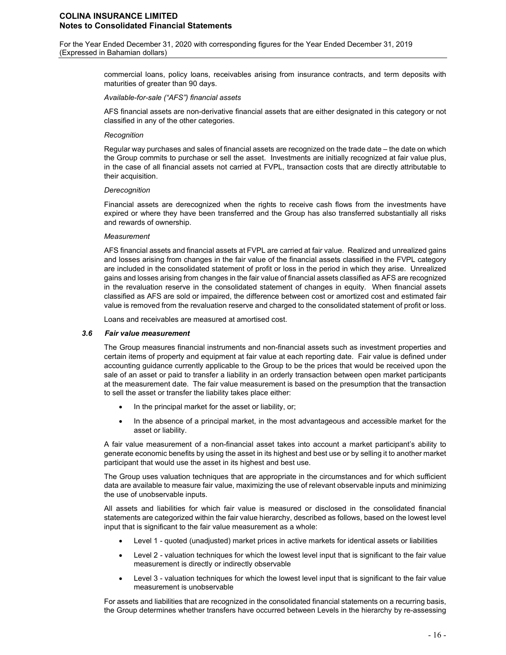For the Year Ended December 31, 2020 with corresponding figures for the Year Ended December 31, 2019 (Expressed in Bahamian dollars)

> commercial loans, policy loans, receivables arising from insurance contracts, and term deposits with maturities of greater than 90 days.

#### *Available-for-sale ("AFS") financial assets*

AFS financial assets are non-derivative financial assets that are either designated in this category or not classified in any of the other categories.

### *Recognition*

Regular way purchases and sales of financial assets are recognized on the trade date – the date on which the Group commits to purchase or sell the asset. Investments are initially recognized at fair value plus, in the case of all financial assets not carried at FVPL, transaction costs that are directly attributable to their acquisition.

### *Derecognition*

Financial assets are derecognized when the rights to receive cash flows from the investments have expired or where they have been transferred and the Group has also transferred substantially all risks and rewards of ownership.

### *Measurement*

AFS financial assets and financial assets at FVPL are carried at fair value. Realized and unrealized gains and losses arising from changes in the fair value of the financial assets classified in the FVPL category are included in the consolidated statement of profit or loss in the period in which they arise. Unrealized gains and losses arising from changes in the fair value of financial assets classified as AFS are recognized in the revaluation reserve in the consolidated statement of changes in equity. When financial assets classified as AFS are sold or impaired, the difference between cost or amortized cost and estimated fair value is removed from the revaluation reserve and charged to the consolidated statement of profit or loss.

Loans and receivables are measured at amortised cost.

### *3.6 Fair value measurement*

The Group measures financial instruments and non-financial assets such as investment properties and certain items of property and equipment at fair value at each reporting date. Fair value is defined under accounting guidance currently applicable to the Group to be the prices that would be received upon the sale of an asset or paid to transfer a liability in an orderly transaction between open market participants at the measurement date. The fair value measurement is based on the presumption that the transaction to sell the asset or transfer the liability takes place either:

- In the principal market for the asset or liability, or;
- In the absence of a principal market, in the most advantageous and accessible market for the asset or liability.

A fair value measurement of a non-financial asset takes into account a market participant's ability to generate economic benefits by using the asset in its highest and best use or by selling it to another market participant that would use the asset in its highest and best use.

The Group uses valuation techniques that are appropriate in the circumstances and for which sufficient data are available to measure fair value, maximizing the use of relevant observable inputs and minimizing the use of unobservable inputs.

All assets and liabilities for which fair value is measured or disclosed in the consolidated financial statements are categorized within the fair value hierarchy, described as follows, based on the lowest level input that is significant to the fair value measurement as a whole:

- Level 1 quoted (unadjusted) market prices in active markets for identical assets or liabilities
- Level 2 valuation techniques for which the lowest level input that is significant to the fair value measurement is directly or indirectly observable
- Level 3 valuation techniques for which the lowest level input that is significant to the fair value measurement is unobservable

For assets and liabilities that are recognized in the consolidated financial statements on a recurring basis, the Group determines whether transfers have occurred between Levels in the hierarchy by re-assessing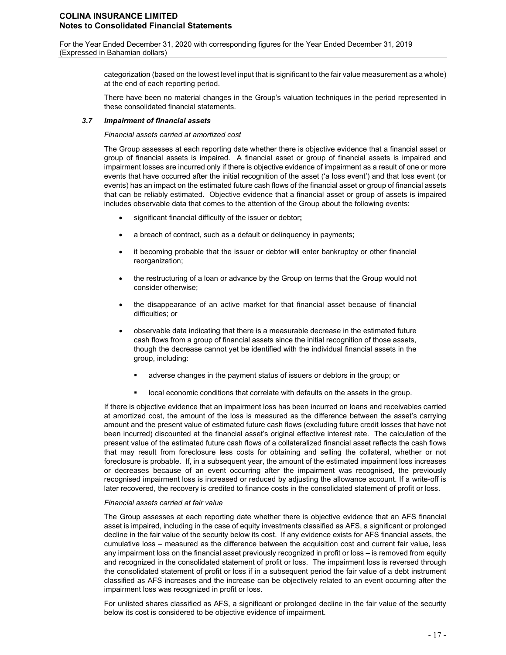For the Year Ended December 31, 2020 with corresponding figures for the Year Ended December 31, 2019 (Expressed in Bahamian dollars)

> categorization (based on the lowest level input that is significant to the fair value measurement as a whole) at the end of each reporting period.

> There have been no material changes in the Group's valuation techniques in the period represented in these consolidated financial statements.

### *3.7 Impairment of financial assets*

#### *Financial assets carried at amortized cost*

The Group assesses at each reporting date whether there is objective evidence that a financial asset or group of financial assets is impaired. A financial asset or group of financial assets is impaired and impairment losses are incurred only if there is objective evidence of impairment as a result of one or more events that have occurred after the initial recognition of the asset ('a loss event') and that loss event (or events) has an impact on the estimated future cash flows of the financial asset or group of financial assets that can be reliably estimated. Objective evidence that a financial asset or group of assets is impaired includes observable data that comes to the attention of the Group about the following events:

- significant financial difficulty of the issuer or debtor**;**
- a breach of contract, such as a default or delinguency in payments;
- it becoming probable that the issuer or debtor will enter bankruptcy or other financial reorganization;
- the restructuring of a loan or advance by the Group on terms that the Group would not consider otherwise;
- the disappearance of an active market for that financial asset because of financial difficulties; or
- observable data indicating that there is a measurable decrease in the estimated future cash flows from a group of financial assets since the initial recognition of those assets, though the decrease cannot yet be identified with the individual financial assets in the group, including:
	- adverse changes in the payment status of issuers or debtors in the group; or
	- local economic conditions that correlate with defaults on the assets in the group.

If there is objective evidence that an impairment loss has been incurred on loans and receivables carried at amortized cost, the amount of the loss is measured as the difference between the asset's carrying amount and the present value of estimated future cash flows (excluding future credit losses that have not been incurred) discounted at the financial asset's original effective interest rate. The calculation of the present value of the estimated future cash flows of a collateralized financial asset reflects the cash flows that may result from foreclosure less costs for obtaining and selling the collateral, whether or not foreclosure is probable. If, in a subsequent year, the amount of the estimated impairment loss increases or decreases because of an event occurring after the impairment was recognised, the previously recognised impairment loss is increased or reduced by adjusting the allowance account. If a write-off is later recovered, the recovery is credited to finance costs in the consolidated statement of profit or loss.

#### *Financial assets carried at fair value*

The Group assesses at each reporting date whether there is objective evidence that an AFS financial asset is impaired, including in the case of equity investments classified as AFS, a significant or prolonged decline in the fair value of the security below its cost. If any evidence exists for AFS financial assets, the cumulative loss – measured as the difference between the acquisition cost and current fair value, less any impairment loss on the financial asset previously recognized in profit or loss – is removed from equity and recognized in the consolidated statement of profit or loss. The impairment loss is reversed through the consolidated statement of profit or loss if in a subsequent period the fair value of a debt instrument classified as AFS increases and the increase can be objectively related to an event occurring after the impairment loss was recognized in profit or loss.

For unlisted shares classified as AFS, a significant or prolonged decline in the fair value of the security below its cost is considered to be objective evidence of impairment.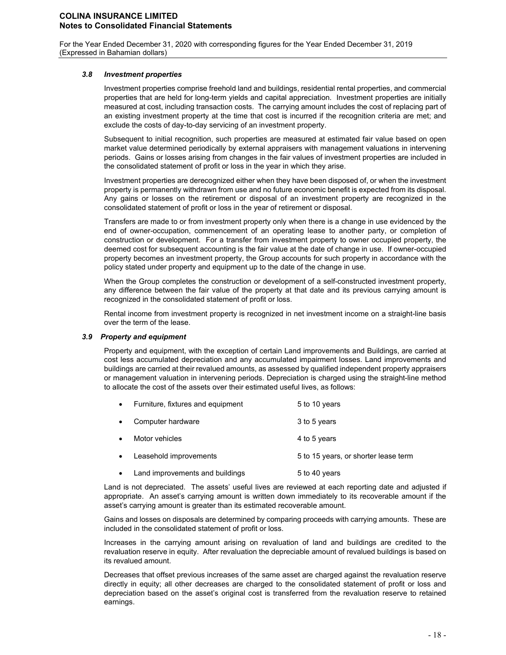For the Year Ended December 31, 2020 with corresponding figures for the Year Ended December 31, 2019 (Expressed in Bahamian dollars)

### *3.8 Investment properties*

Investment properties comprise freehold land and buildings, residential rental properties, and commercial properties that are held for long-term yields and capital appreciation. Investment properties are initially measured at cost, including transaction costs. The carrying amount includes the cost of replacing part of an existing investment property at the time that cost is incurred if the recognition criteria are met; and exclude the costs of day-to-day servicing of an investment property.

Subsequent to initial recognition, such properties are measured at estimated fair value based on open market value determined periodically by external appraisers with management valuations in intervening periods. Gains or losses arising from changes in the fair values of investment properties are included in the consolidated statement of profit or loss in the year in which they arise.

Investment properties are derecognized either when they have been disposed of, or when the investment property is permanently withdrawn from use and no future economic benefit is expected from its disposal. Any gains or losses on the retirement or disposal of an investment property are recognized in the consolidated statement of profit or loss in the year of retirement or disposal.

Transfers are made to or from investment property only when there is a change in use evidenced by the end of owner-occupation, commencement of an operating lease to another party, or completion of construction or development. For a transfer from investment property to owner occupied property, the deemed cost for subsequent accounting is the fair value at the date of change in use. If owner-occupied property becomes an investment property, the Group accounts for such property in accordance with the policy stated under property and equipment up to the date of the change in use.

When the Group completes the construction or development of a self-constructed investment property, any difference between the fair value of the property at that date and its previous carrying amount is recognized in the consolidated statement of profit or loss.

Rental income from investment property is recognized in net investment income on a straight-line basis over the term of the lease.

### *3.9 Property and equipment*

Property and equipment, with the exception of certain Land improvements and Buildings, are carried at cost less accumulated depreciation and any accumulated impairment losses. Land improvements and buildings are carried at their revalued amounts, as assessed by qualified independent property appraisers or management valuation in intervening periods. Depreciation is charged using the straight-line method to allocate the cost of the assets over their estimated useful lives, as follows:

| $\bullet$ | Furniture, fixtures and equipment | 5 to 10 years                        |
|-----------|-----------------------------------|--------------------------------------|
| $\bullet$ | Computer hardware                 | 3 to 5 years                         |
| $\bullet$ | Motor vehicles                    | 4 to 5 years                         |
| $\bullet$ | Leasehold improvements            | 5 to 15 years, or shorter lease term |
| $\bullet$ | Land improvements and buildings   | 5 to 40 years                        |

Land is not depreciated. The assets' useful lives are reviewed at each reporting date and adjusted if appropriate. An asset's carrying amount is written down immediately to its recoverable amount if the asset's carrying amount is greater than its estimated recoverable amount.

Gains and losses on disposals are determined by comparing proceeds with carrying amounts. These are included in the consolidated statement of profit or loss.

Increases in the carrying amount arising on revaluation of land and buildings are credited to the revaluation reserve in equity. After revaluation the depreciable amount of revalued buildings is based on its revalued amount.

Decreases that offset previous increases of the same asset are charged against the revaluation reserve directly in equity; all other decreases are charged to the consolidated statement of profit or loss and depreciation based on the asset's original cost is transferred from the revaluation reserve to retained earnings.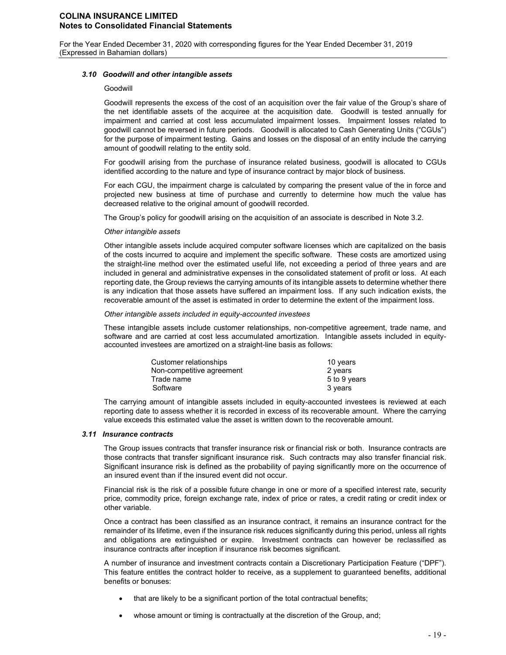### *3.10 Goodwill and other intangible assets*

#### Goodwill

Goodwill represents the excess of the cost of an acquisition over the fair value of the Group's share of the net identifiable assets of the acquiree at the acquisition date. Goodwill is tested annually for impairment and carried at cost less accumulated impairment losses. Impairment losses related to goodwill cannot be reversed in future periods. Goodwill is allocated to Cash Generating Units ("CGUs") for the purpose of impairment testing. Gains and losses on the disposal of an entity include the carrying amount of goodwill relating to the entity sold.

For goodwill arising from the purchase of insurance related business, goodwill is allocated to CGUs identified according to the nature and type of insurance contract by major block of business.

For each CGU, the impairment charge is calculated by comparing the present value of the in force and projected new business at time of purchase and currently to determine how much the value has decreased relative to the original amount of goodwill recorded.

The Group's policy for goodwill arising on the acquisition of an associate is described in Note 3.2.

#### *Other intangible assets*

Other intangible assets include acquired computer software licenses which are capitalized on the basis of the costs incurred to acquire and implement the specific software. These costs are amortized using the straight-line method over the estimated useful life, not exceeding a period of three years and are included in general and administrative expenses in the consolidated statement of profit or loss. At each reporting date, the Group reviews the carrying amounts of its intangible assets to determine whether there is any indication that those assets have suffered an impairment loss. If any such indication exists, the recoverable amount of the asset is estimated in order to determine the extent of the impairment loss.

#### *Other intangible assets included in equity-accounted investees*

These intangible assets include customer relationships, non-competitive agreement, trade name, and software and are carried at cost less accumulated amortization. Intangible assets included in equityaccounted investees are amortized on a straight-line basis as follows:

| Customer relationships    | 10 years     |
|---------------------------|--------------|
| Non-competitive agreement | 2 years      |
| Trade name                | 5 to 9 years |
| Software                  | 3 years      |

The carrying amount of intangible assets included in equity-accounted investees is reviewed at each reporting date to assess whether it is recorded in excess of its recoverable amount. Where the carrying value exceeds this estimated value the asset is written down to the recoverable amount.

#### *3.11 Insurance contracts*

The Group issues contracts that transfer insurance risk or financial risk or both. Insurance contracts are those contracts that transfer significant insurance risk. Such contracts may also transfer financial risk. Significant insurance risk is defined as the probability of paying significantly more on the occurrence of an insured event than if the insured event did not occur.

Financial risk is the risk of a possible future change in one or more of a specified interest rate, security price, commodity price, foreign exchange rate, index of price or rates, a credit rating or credit index or other variable.

Once a contract has been classified as an insurance contract, it remains an insurance contract for the remainder of its lifetime, even if the insurance risk reduces significantly during this period, unless all rights and obligations are extinguished or expire. Investment contracts can however be reclassified as insurance contracts after inception if insurance risk becomes significant.

A number of insurance and investment contracts contain a Discretionary Participation Feature ("DPF"). This feature entitles the contract holder to receive, as a supplement to guaranteed benefits, additional benefits or bonuses:

- that are likely to be a significant portion of the total contractual benefits;
- whose amount or timing is contractually at the discretion of the Group, and;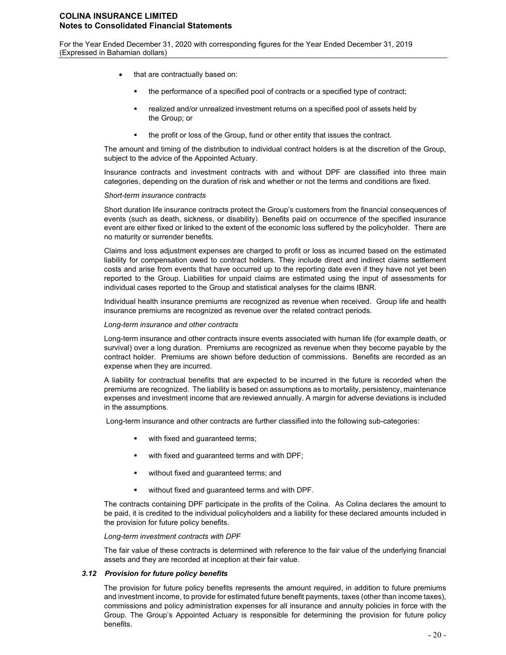For the Year Ended December 31, 2020 with corresponding figures for the Year Ended December 31, 2019 (Expressed in Bahamian dollars)

- that are contractually based on:
	- the performance of a specified pool of contracts or a specified type of contract;
	- realized and/or unrealized investment returns on a specified pool of assets held by the Group; or
	- the profit or loss of the Group, fund or other entity that issues the contract.

The amount and timing of the distribution to individual contract holders is at the discretion of the Group, subject to the advice of the Appointed Actuary.

Insurance contracts and investment contracts with and without DPF are classified into three main categories, depending on the duration of risk and whether or not the terms and conditions are fixed.

#### *Short-term insurance contracts*

Short duration life insurance contracts protect the Group's customers from the financial consequences of events (such as death, sickness, or disability). Benefits paid on occurrence of the specified insurance event are either fixed or linked to the extent of the economic loss suffered by the policyholder. There are no maturity or surrender benefits.

Claims and loss adjustment expenses are charged to profit or loss as incurred based on the estimated liability for compensation owed to contract holders. They include direct and indirect claims settlement costs and arise from events that have occurred up to the reporting date even if they have not yet been reported to the Group. Liabilities for unpaid claims are estimated using the input of assessments for individual cases reported to the Group and statistical analyses for the claims IBNR.

Individual health insurance premiums are recognized as revenue when received. Group life and health insurance premiums are recognized as revenue over the related contract periods.

#### *Long-term insurance and other contracts*

Long-term insurance and other contracts insure events associated with human life (for example death, or survival) over a long duration. Premiums are recognized as revenue when they become payable by the contract holder. Premiums are shown before deduction of commissions. Benefits are recorded as an expense when they are incurred.

A liability for contractual benefits that are expected to be incurred in the future is recorded when the premiums are recognized. The liability is based on assumptions as to mortality, persistency, maintenance expenses and investment income that are reviewed annually. A margin for adverse deviations is included in the assumptions.

Long-term insurance and other contracts are further classified into the following sub-categories:

- with fixed and guaranteed terms;
- with fixed and guaranteed terms and with DPF;
- without fixed and guaranteed terms; and
- without fixed and guaranteed terms and with DPF.

The contracts containing DPF participate in the profits of the Colina. As Colina declares the amount to be paid, it is credited to the individual policyholders and a liability for these declared amounts included in the provision for future policy benefits.

*Long-term investment contracts with DPF*

The fair value of these contracts is determined with reference to the fair value of the underlying financial assets and they are recorded at inception at their fair value.

#### *3.12 Provision for future policy benefits*

The provision for future policy benefits represents the amount required, in addition to future premiums and investment income, to provide for estimated future benefit payments, taxes (other than income taxes), commissions and policy administration expenses for all insurance and annuity policies in force with the Group. The Group's Appointed Actuary is responsible for determining the provision for future policy benefits.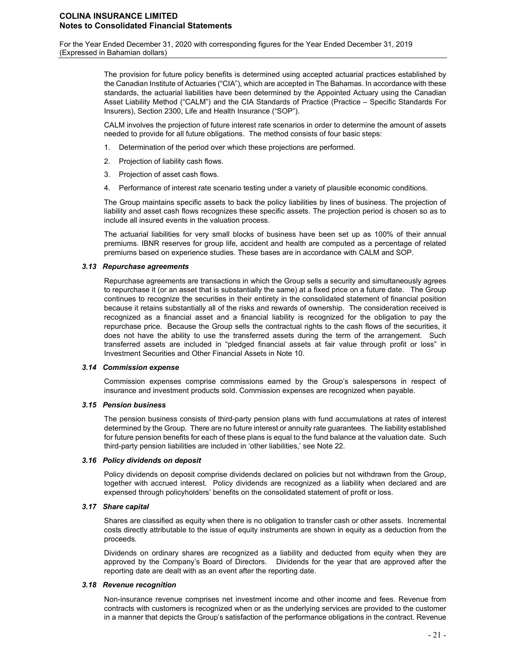> The provision for future policy benefits is determined using accepted actuarial practices established by the Canadian Institute of Actuaries ("CIA"), which are accepted in The Bahamas. In accordance with these standards, the actuarial liabilities have been determined by the Appointed Actuary using the Canadian Asset Liability Method ("CALM") and the CIA Standards of Practice (Practice – Specific Standards For Insurers), Section 2300, Life and Health Insurance ("SOP").

> CALM involves the projection of future interest rate scenarios in order to determine the amount of assets needed to provide for all future obligations. The method consists of four basic steps:

- 1. Determination of the period over which these projections are performed.
- 2. Projection of liability cash flows.
- 3. Projection of asset cash flows.
- 4. Performance of interest rate scenario testing under a variety of plausible economic conditions.

The Group maintains specific assets to back the policy liabilities by lines of business. The projection of liability and asset cash flows recognizes these specific assets. The projection period is chosen so as to include all insured events in the valuation process.

The actuarial liabilities for very small blocks of business have been set up as 100% of their annual premiums. IBNR reserves for group life, accident and health are computed as a percentage of related premiums based on experience studies. These bases are in accordance with CALM and SOP.

#### *3.13 Repurchase agreements*

Repurchase agreements are transactions in which the Group sells a security and simultaneously agrees to repurchase it (or an asset that is substantially the same) at a fixed price on a future date. The Group continues to recognize the securities in their entirety in the consolidated statement of financial position because it retains substantially all of the risks and rewards of ownership. The consideration received is recognized as a financial asset and a financial liability is recognized for the obligation to pay the repurchase price. Because the Group sells the contractual rights to the cash flows of the securities, it does not have the ability to use the transferred assets during the term of the arrangement. Such transferred assets are included in "pledged financial assets at fair value through profit or loss" in Investment Securities and Other Financial Assets in Note 10.

#### *3.14 Commission expense*

Commission expenses comprise commissions earned by the Group's salespersons in respect of insurance and investment products sold. Commission expenses are recognized when payable.

### *3.15 Pension business*

The pension business consists of third-party pension plans with fund accumulations at rates of interest determined by the Group. There are no future interest or annuity rate guarantees. The liability established for future pension benefits for each of these plans is equal to the fund balance at the valuation date. Such third-party pension liabilities are included in 'other liabilities,' see Note 22.

#### *3.16 Policy dividends on deposit*

Policy dividends on deposit comprise dividends declared on policies but not withdrawn from the Group, together with accrued interest. Policy dividends are recognized as a liability when declared and are expensed through policyholders' benefits on the consolidated statement of profit or loss.

### *3.17 Share capital*

Shares are classified as equity when there is no obligation to transfer cash or other assets. Incremental costs directly attributable to the issue of equity instruments are shown in equity as a deduction from the proceeds.

Dividends on ordinary shares are recognized as a liability and deducted from equity when they are approved by the Company's Board of Directors. Dividends for the year that are approved after the reporting date are dealt with as an event after the reporting date.

#### *3.18 Revenue recognition*

Non-insurance revenue comprises net investment income and other income and fees. Revenue from contracts with customers is recognized when or as the underlying services are provided to the customer in a manner that depicts the Group's satisfaction of the performance obligations in the contract. Revenue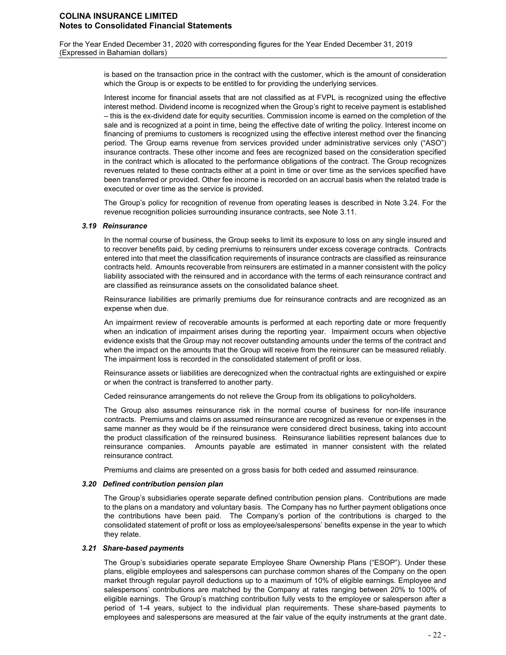For the Year Ended December 31, 2020 with corresponding figures for the Year Ended December 31, 2019 (Expressed in Bahamian dollars)

> is based on the transaction price in the contract with the customer, which is the amount of consideration which the Group is or expects to be entitled to for providing the underlying services.

> Interest income for financial assets that are not classified as at FVPL is recognized using the effective interest method. Dividend income is recognized when the Group's right to receive payment is established – this is the ex-dividend date for equity securities. Commission income is earned on the completion of the sale and is recognized at a point in time, being the effective date of writing the policy. Interest income on financing of premiums to customers is recognized using the effective interest method over the financing period. The Group earns revenue from services provided under administrative services only ("ASO") insurance contracts. These other income and fees are recognized based on the consideration specified in the contract which is allocated to the performance obligations of the contract. The Group recognizes revenues related to these contracts either at a point in time or over time as the services specified have been transferred or provided. Other fee income is recorded on an accrual basis when the related trade is executed or over time as the service is provided.

> The Group's policy for recognition of revenue from operating leases is described in Note 3.24. For the revenue recognition policies surrounding insurance contracts, see Note 3.11.

### *3.19 Reinsurance*

In the normal course of business, the Group seeks to limit its exposure to loss on any single insured and to recover benefits paid, by ceding premiums to reinsurers under excess coverage contracts. Contracts entered into that meet the classification requirements of insurance contracts are classified as reinsurance contracts held. Amounts recoverable from reinsurers are estimated in a manner consistent with the policy liability associated with the reinsured and in accordance with the terms of each reinsurance contract and are classified as reinsurance assets on the consolidated balance sheet.

Reinsurance liabilities are primarily premiums due for reinsurance contracts and are recognized as an expense when due.

An impairment review of recoverable amounts is performed at each reporting date or more frequently when an indication of impairment arises during the reporting year. Impairment occurs when objective evidence exists that the Group may not recover outstanding amounts under the terms of the contract and when the impact on the amounts that the Group will receive from the reinsurer can be measured reliably. The impairment loss is recorded in the consolidated statement of profit or loss.

Reinsurance assets or liabilities are derecognized when the contractual rights are extinguished or expire or when the contract is transferred to another party.

Ceded reinsurance arrangements do not relieve the Group from its obligations to policyholders.

The Group also assumes reinsurance risk in the normal course of business for non-life insurance contracts. Premiums and claims on assumed reinsurance are recognized as revenue or expenses in the same manner as they would be if the reinsurance were considered direct business, taking into account the product classification of the reinsured business. Reinsurance liabilities represent balances due to reinsurance companies. Amounts payable are estimated in manner consistent with the related reinsurance contract.

Premiums and claims are presented on a gross basis for both ceded and assumed reinsurance.

#### *3.20 Defined contribution pension plan*

The Group's subsidiaries operate separate defined contribution pension plans. Contributions are made to the plans on a mandatory and voluntary basis. The Company has no further payment obligations once the contributions have been paid. The Company's portion of the contributions is charged to the consolidated statement of profit or loss as employee/salespersons' benefits expense in the year to which they relate.

#### *3.21 Share-based payments*

The Group's subsidiaries operate separate Employee Share Ownership Plans ("ESOP"). Under these plans, eligible employees and salespersons can purchase common shares of the Company on the open market through regular payroll deductions up to a maximum of 10% of eligible earnings. Employee and salespersons' contributions are matched by the Company at rates ranging between 20% to 100% of eligible earnings. The Group's matching contribution fully vests to the employee or salesperson after a period of 1-4 years, subject to the individual plan requirements. These share-based payments to employees and salespersons are measured at the fair value of the equity instruments at the grant date.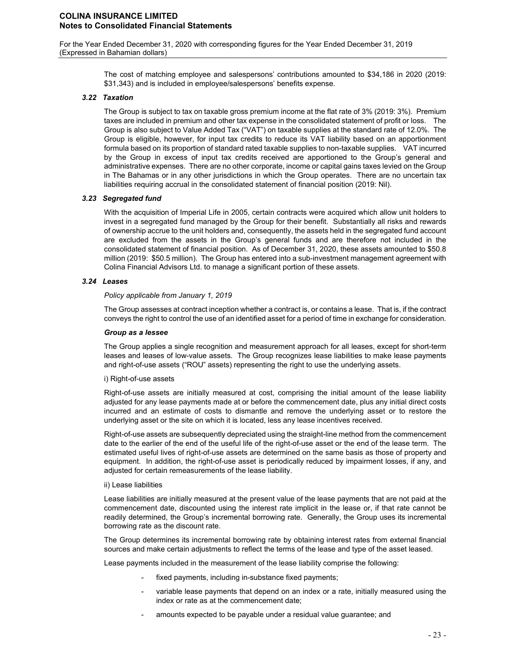For the Year Ended December 31, 2020 with corresponding figures for the Year Ended December 31, 2019 (Expressed in Bahamian dollars)

> The cost of matching employee and salespersons' contributions amounted to \$34,186 in 2020 (2019: \$31,343) and is included in employee/salespersons' benefits expense.

### *3.22 Taxation*

The Group is subject to tax on taxable gross premium income at the flat rate of 3% (2019: 3%). Premium taxes are included in premium and other tax expense in the consolidated statement of profit or loss. The Group is also subject to Value Added Tax ("VAT") on taxable supplies at the standard rate of 12.0%. The Group is eligible, however, for input tax credits to reduce its VAT liability based on an apportionment formula based on its proportion of standard rated taxable supplies to non-taxable supplies. VAT incurred by the Group in excess of input tax credits received are apportioned to the Group's general and administrative expenses. There are no other corporate, income or capital gains taxes levied on the Group in The Bahamas or in any other jurisdictions in which the Group operates. There are no uncertain tax liabilities requiring accrual in the consolidated statement of financial position (2019: Nil).

### *3.23 Segregated fund*

With the acquisition of Imperial Life in 2005, certain contracts were acquired which allow unit holders to invest in a segregated fund managed by the Group for their benefit. Substantially all risks and rewards of ownership accrue to the unit holders and, consequently, the assets held in the segregated fund account are excluded from the assets in the Group's general funds and are therefore not included in the consolidated statement of financial position. As of December 31, 2020, these assets amounted to \$50.8 million (2019: \$50.5 million). The Group has entered into a sub-investment management agreement with Colina Financial Advisors Ltd. to manage a significant portion of these assets.

### *3.24 Leases*

*Policy applicable from January 1, 2019*

The Group assesses at contract inception whether a contract is, or contains a lease. That is, if the contract conveys the right to control the use of an identified asset for a period of time in exchange for consideration.

#### *Group as a lessee*

The Group applies a single recognition and measurement approach for all leases, except for short-term leases and leases of low-value assets. The Group recognizes lease liabilities to make lease payments and right-of-use assets ("ROU" assets) representing the right to use the underlying assets.

#### i) Right-of-use assets

Right-of-use assets are initially measured at cost, comprising the initial amount of the lease liability adjusted for any lease payments made at or before the commencement date, plus any initial direct costs incurred and an estimate of costs to dismantle and remove the underlying asset or to restore the underlying asset or the site on which it is located, less any lease incentives received.

Right-of-use assets are subsequently depreciated using the straight-line method from the commencement date to the earlier of the end of the useful life of the right-of-use asset or the end of the lease term. The estimated useful lives of right-of-use assets are determined on the same basis as those of property and equipment. In addition, the right-of-use asset is periodically reduced by impairment losses, if any, and adjusted for certain remeasurements of the lease liability.

#### ii) Lease liabilities

Lease liabilities are initially measured at the present value of the lease payments that are not paid at the commencement date, discounted using the interest rate implicit in the lease or, if that rate cannot be readily determined, the Group's incremental borrowing rate. Generally, the Group uses its incremental borrowing rate as the discount rate.

The Group determines its incremental borrowing rate by obtaining interest rates from external financial sources and make certain adjustments to reflect the terms of the lease and type of the asset leased.

Lease payments included in the measurement of the lease liability comprise the following:

- fixed payments, including in-substance fixed payments;
- variable lease payments that depend on an index or a rate, initially measured using the index or rate as at the commencement date;
- amounts expected to be payable under a residual value guarantee; and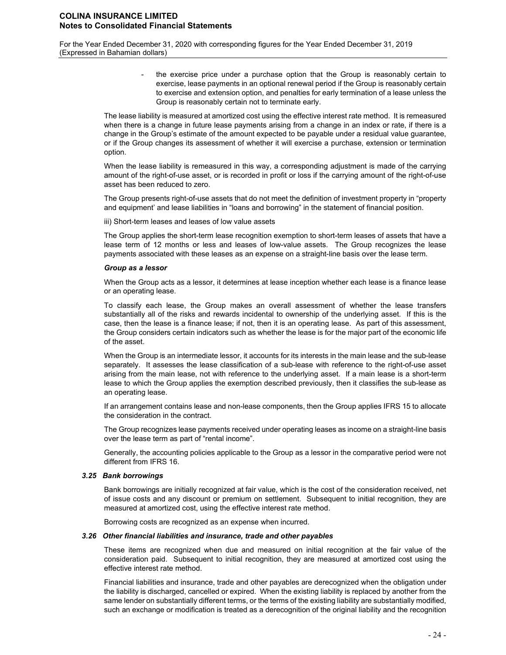For the Year Ended December 31, 2020 with corresponding figures for the Year Ended December 31, 2019 (Expressed in Bahamian dollars)

> the exercise price under a purchase option that the Group is reasonably certain to exercise, lease payments in an optional renewal period if the Group is reasonably certain to exercise and extension option, and penalties for early termination of a lease unless the Group is reasonably certain not to terminate early.

The lease liability is measured at amortized cost using the effective interest rate method. It is remeasured when there is a change in future lease payments arising from a change in an index or rate, if there is a change in the Group's estimate of the amount expected to be payable under a residual value guarantee, or if the Group changes its assessment of whether it will exercise a purchase, extension or termination option.

When the lease liability is remeasured in this way, a corresponding adjustment is made of the carrying amount of the right-of-use asset, or is recorded in profit or loss if the carrying amount of the right-of-use asset has been reduced to zero.

The Group presents right-of-use assets that do not meet the definition of investment property in "property and equipment' and lease liabilities in "loans and borrowing" in the statement of financial position.

iii) Short-term leases and leases of low value assets

The Group applies the short-term lease recognition exemption to short-term leases of assets that have a lease term of 12 months or less and leases of low-value assets. The Group recognizes the lease payments associated with these leases as an expense on a straight-line basis over the lease term.

#### *Group as a lessor*

When the Group acts as a lessor, it determines at lease inception whether each lease is a finance lease or an operating lease.

To classify each lease, the Group makes an overall assessment of whether the lease transfers substantially all of the risks and rewards incidental to ownership of the underlying asset. If this is the case, then the lease is a finance lease; if not, then it is an operating lease. As part of this assessment, the Group considers certain indicators such as whether the lease is for the major part of the economic life of the asset.

When the Group is an intermediate lessor, it accounts for its interests in the main lease and the sub-lease separately. It assesses the lease classification of a sub-lease with reference to the right-of-use asset arising from the main lease, not with reference to the underlying asset. If a main lease is a short-term lease to which the Group applies the exemption described previously, then it classifies the sub-lease as an operating lease.

If an arrangement contains lease and non-lease components, then the Group applies IFRS 15 to allocate the consideration in the contract.

The Group recognizes lease payments received under operating leases as income on a straight-line basis over the lease term as part of "rental income".

Generally, the accounting policies applicable to the Group as a lessor in the comparative period were not different from IFRS 16.

#### *3.25 Bank borrowings*

Bank borrowings are initially recognized at fair value, which is the cost of the consideration received, net of issue costs and any discount or premium on settlement. Subsequent to initial recognition, they are measured at amortized cost, using the effective interest rate method.

Borrowing costs are recognized as an expense when incurred.

#### *3.26 Other financial liabilities and insurance, trade and other payables*

These items are recognized when due and measured on initial recognition at the fair value of the consideration paid. Subsequent to initial recognition, they are measured at amortized cost using the effective interest rate method.

Financial liabilities and insurance, trade and other payables are derecognized when the obligation under the liability is discharged, cancelled or expired. When the existing liability is replaced by another from the same lender on substantially different terms, or the terms of the existing liability are substantially modified, such an exchange or modification is treated as a derecognition of the original liability and the recognition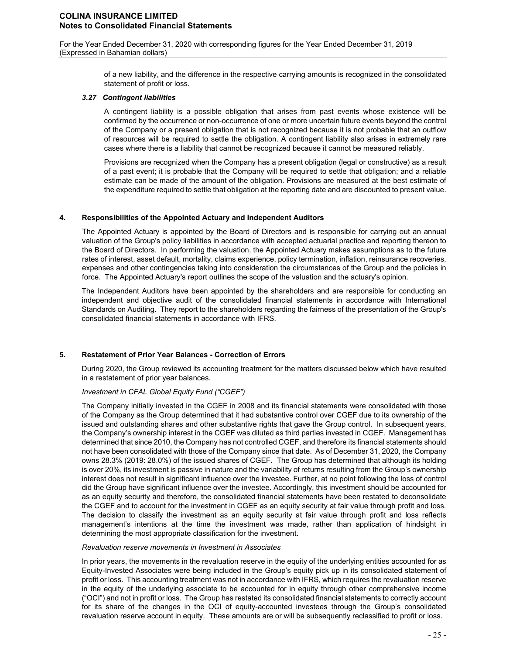For the Year Ended December 31, 2020 with corresponding figures for the Year Ended December 31, 2019 (Expressed in Bahamian dollars)

> of a new liability, and the difference in the respective carrying amounts is recognized in the consolidated statement of profit or loss.

### *3.27 Contingent liabilities*

A contingent liability is a possible obligation that arises from past events whose existence will be confirmed by the occurrence or non-occurrence of one or more uncertain future events beyond the control of the Company or a present obligation that is not recognized because it is not probable that an outflow of resources will be required to settle the obligation. A contingent liability also arises in extremely rare cases where there is a liability that cannot be recognized because it cannot be measured reliably.

Provisions are recognized when the Company has a present obligation (legal or constructive) as a result of a past event; it is probable that the Company will be required to settle that obligation; and a reliable estimate can be made of the amount of the obligation. Provisions are measured at the best estimate of the expenditure required to settle that obligation at the reporting date and are discounted to present value.

### **4. Responsibilities of the Appointed Actuary and Independent Auditors**

The Appointed Actuary is appointed by the Board of Directors and is responsible for carrying out an annual valuation of the Group's policy liabilities in accordance with accepted actuarial practice and reporting thereon to the Board of Directors. In performing the valuation, the Appointed Actuary makes assumptions as to the future rates of interest, asset default, mortality, claims experience, policy termination, inflation, reinsurance recoveries, expenses and other contingencies taking into consideration the circumstances of the Group and the policies in force. The Appointed Actuary's report outlines the scope of the valuation and the actuary's opinion.

The Independent Auditors have been appointed by the shareholders and are responsible for conducting an independent and objective audit of the consolidated financial statements in accordance with International Standards on Auditing. They report to the shareholders regarding the fairness of the presentation of the Group's consolidated financial statements in accordance with IFRS.

### **5. Restatement of Prior Year Balances - Correction of Errors**

During 2020, the Group reviewed its accounting treatment for the matters discussed below which have resulted in a restatement of prior year balances.

### *Investment in CFAL Global Equity Fund ("CGEF")*

The Company initially invested in the CGEF in 2008 and its financial statements were consolidated with those of the Company as the Group determined that it had substantive control over CGEF due to its ownership of the issued and outstanding shares and other substantive rights that gave the Group control. In subsequent years, the Company's ownership interest in the CGEF was diluted as third parties invested in CGEF. Management has determined that since 2010, the Company has not controlled CGEF, and therefore its financial statements should not have been consolidated with those of the Company since that date. As of December 31, 2020, the Company owns 28.3% (2019: 28.0%) of the issued shares of CGEF. The Group has determined that although its holding is over 20%, its investment is passive in nature and the variability of returns resulting from the Group's ownership interest does not result in significant influence over the investee. Further, at no point following the loss of control did the Group have significant influence over the investee. Accordingly, this investment should be accounted for as an equity security and therefore, the consolidated financial statements have been restated to deconsolidate the CGEF and to account for the investment in CGEF as an equity security at fair value through profit and loss. The decision to classify the investment as an equity security at fair value through profit and loss reflects management's intentions at the time the investment was made, rather than application of hindsight in determining the most appropriate classification for the investment.

#### *Revaluation reserve movements in Investment in Associates*

In prior years, the movements in the revaluation reserve in the equity of the underlying entities accounted for as Equity-Invested Associates were being included in the Group's equity pick up in its consolidated statement of profit or loss. This accounting treatment was not in accordance with IFRS, which requires the revaluation reserve in the equity of the underlying associate to be accounted for in equity through other comprehensive income ("OCI") and not in profit or loss. The Group has restated its consolidated financial statements to correctly account for its share of the changes in the OCI of equity-accounted investees through the Group's consolidated revaluation reserve account in equity. These amounts are or will be subsequently reclassified to profit or loss.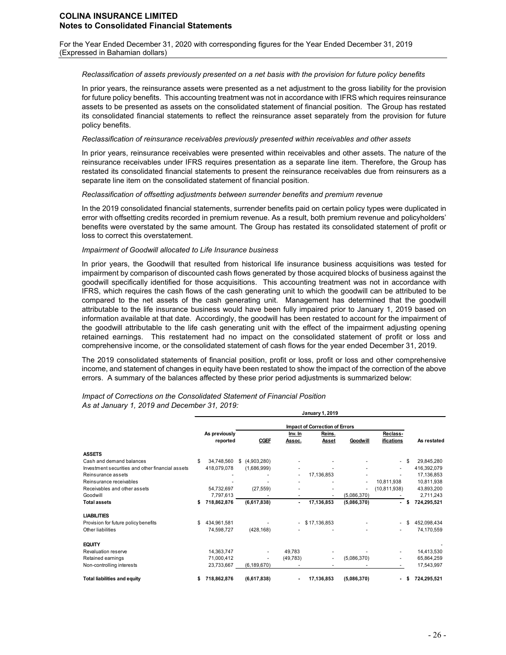For the Year Ended December 31, 2020 with corresponding figures for the Year Ended December 31, 2019 (Expressed in Bahamian dollars)

### *Reclassification of assets previously presented on a net basis with the provision for future policy benefits*

In prior years, the reinsurance assets were presented as a net adjustment to the gross liability for the provision for future policy benefits. This accounting treatment was not in accordance with IFRS which requires reinsurance assets to be presented as assets on the consolidated statement of financial position. The Group has restated its consolidated financial statements to reflect the reinsurance asset separately from the provision for future policy benefits.

### *Reclassification of reinsurance receivables previously presented within receivables and other assets*

In prior years, reinsurance receivables were presented within receivables and other assets. The nature of the reinsurance receivables under IFRS requires presentation as a separate line item. Therefore, the Group has restated its consolidated financial statements to present the reinsurance receivables due from reinsurers as a separate line item on the consolidated statement of financial position.

### *Reclassification of offsetting adjustments between surrender benefits and premium revenue*

In the 2019 consolidated financial statements, surrender benefits paid on certain policy types were duplicated in error with offsetting credits recorded in premium revenue. As a result, both premium revenue and policyholders' benefits were overstated by the same amount. The Group has restated its consolidated statement of profit or loss to correct this overstatement.

# *Impairment of Goodwill allocated to Life Insurance business*

In prior years, the Goodwill that resulted from historical life insurance business acquisitions was tested for impairment by comparison of discounted cash flows generated by those acquired blocks of business against the goodwill specifically identified for those acquisitions. This accounting treatment was not in accordance with IFRS, which requires the cash flows of the cash generating unit to which the goodwill can be attributed to be compared to the net assets of the cash generating unit. Management has determined that the goodwill attributable to the life insurance business would have been fully impaired prior to January 1, 2019 based on information available at that date. Accordingly, the goodwill has been restated to account for the impairment of the goodwill attributable to the life cash generating unit with the effect of the impairment adjusting opening retained earnings. This restatement had no impact on the consolidated statement of profit or loss and comprehensive income, or the consolidated statement of cash flows for the year ended December 31, 2019.

The 2019 consolidated statements of financial position, profit or loss, profit or loss and other comprehensive income, and statement of changes in equity have been restated to show the impact of the correction of the above errors. A summary of the balances affected by these prior period adjustments is summarized below:

|                                                  |    |                           | <b>Impact of Correction of Errors</b> |                          |                   |                        |             |                        |    |             |
|--------------------------------------------------|----|---------------------------|---------------------------------------|--------------------------|-------------------|------------------------|-------------|------------------------|----|-------------|
|                                                  |    | As previously<br>reported |                                       | <b>CGEF</b>              | Inv. In<br>Assoc. | Reins.<br><b>Asset</b> | Goodwill    | Reclass-<br>ifications |    | As restated |
| <b>ASSETS</b>                                    |    |                           |                                       |                          |                   |                        |             |                        |    |             |
| Cash and demand balances                         | \$ | 34,748,560                | S                                     | (4,903,280)              |                   |                        |             | - \$                   |    | 29,845,280  |
| Investment securities and other financial assets |    | 418,079,078               |                                       | (1,686,999)              |                   |                        |             |                        |    | 416,392,079 |
| Reinsurance assets                               |    |                           |                                       |                          |                   | 17,136,853             |             |                        |    | 17,136,853  |
| Reinsurance receivables                          |    |                           |                                       |                          |                   |                        |             | 10,811,938             |    | 10,811,938  |
| Receivables and other assets                     |    | 54,732,697                |                                       | (27, 559)                |                   |                        |             | (10, 811, 938)         |    | 43,893,200  |
| Goodwill                                         |    | 7,797,613                 |                                       | ٠                        |                   |                        | (5,086,370) |                        |    | 2,711,243   |
| <b>Total assets</b>                              | s  | 718,862,876               |                                       | (6,617,838)              | $\blacksquare$    | 17,136,853             | (5,086,370) | . .                    | -5 | 724,295,521 |
| <b>LIABILITIES</b>                               |    |                           |                                       |                          |                   |                        |             |                        |    |             |
| Provision for future policy benefits             | \$ | 434,961,581               |                                       |                          |                   | $-$ \$17,136,853       |             | - \$                   |    | 452,098,434 |
| Other liabilities                                |    | 74,598,727                |                                       | (428, 168)               |                   |                        |             |                        |    | 74,170,559  |
| <b>EQUITY</b>                                    |    |                           |                                       |                          |                   |                        |             |                        |    |             |
| Revaluation reserve                              |    | 14,363,747                |                                       | $\overline{\phantom{a}}$ | 49,783            |                        |             |                        |    | 14,413,530  |
| Retained earnings                                |    | 71,000,412                |                                       | ٠                        | (49, 783)         |                        | (5,086,370) |                        |    | 65,864,259  |
| Non-controlling interests                        |    | 23,733,667                |                                       | (6, 189, 670)            |                   |                        |             |                        |    | 17,543,997  |
| <b>Total liabilities and equity</b>              |    | 718,862,876               |                                       | (6,617,838)              |                   | 17,136,853             | (5,086,370) |                        |    | 724,295,521 |

*Impact of Corrections on the Consolidated Statement of Financial Position As at January 1, 2019 and December 31, 2019:* **January 1, 2019**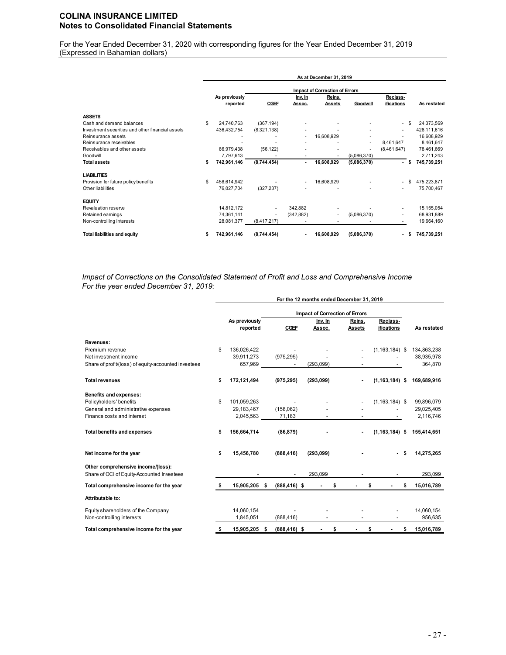For the Year Ended December 31, 2020 with corresponding figures for the Year Ended December 31, 2019 (Expressed in Bahamian dollars)

|                                                  |    |               |                                       |                | As at December 31, 2019 |                          |               |             |  |  |  |
|--------------------------------------------------|----|---------------|---------------------------------------|----------------|-------------------------|--------------------------|---------------|-------------|--|--|--|
|                                                  |    |               | <b>Impact of Correction of Errors</b> |                |                         |                          |               |             |  |  |  |
|                                                  |    | As previously |                                       | Inv. In        | Reins.                  |                          | Reclass-      |             |  |  |  |
|                                                  |    | reported      | <b>CGEF</b>                           | Assoc.         | Assets                  | <b>Goodwill</b>          | ifications    | As restated |  |  |  |
| <b>ASSETS</b>                                    |    |               |                                       |                |                         |                          |               |             |  |  |  |
| Cash and demand balances                         | \$ | 24,740,763    | (367, 194)                            |                |                         |                          | \$.<br>$\sim$ | 24,373,569  |  |  |  |
| Investment securities and other financial assets |    | 436,432,754   | (8,321,138)                           |                |                         | $\overline{\phantom{a}}$ | ٠             | 428,111,616 |  |  |  |
| Reinsurance assets                               |    |               |                                       | ٠              | 16,608,929              |                          |               | 16,608,929  |  |  |  |
| Reinsurance receivables                          |    |               |                                       |                |                         | ٠                        | 8,461,647     | 8,461,647   |  |  |  |
| Receivables and other assets                     |    | 86,979,438    | (56, 122)                             |                |                         | ٠                        | (8,461,647)   | 78,461,669  |  |  |  |
| Goodwill                                         |    | 7,797,613     |                                       |                | ٠                       | (5,086,370)              |               | 2,711,243   |  |  |  |
| <b>Total assets</b>                              | \$ | 742,961,146   | (8,744,454)                           | $\blacksquare$ | 16,608,929              | (5,086,370)              | \$<br>$\sim$  | 745,739,251 |  |  |  |
| <b>LIABILITIES</b>                               |    |               |                                       |                |                         |                          |               |             |  |  |  |
| Provision for future policy benefits             | \$ | 458,614,942   |                                       | ٠              | 16,608,929              |                          | S             | 475,223,871 |  |  |  |
| Other liabilities                                |    | 76.027.704    | (327, 237)                            |                |                         |                          |               | 75,700,467  |  |  |  |
| <b>EQUITY</b>                                    |    |               |                                       |                |                         |                          |               |             |  |  |  |
| Revaluation reserve                              |    | 14.812.172    | ٠                                     | 342,882        |                         |                          |               | 15,155,054  |  |  |  |
| Retained earnings                                |    | 74,361,141    | ٠                                     | (342, 882)     | ٠                       | (5,086,370)              | ٠             | 68,931,889  |  |  |  |
| Non-controlling interests                        |    | 28,081,377    | (8,417,217)                           |                |                         |                          |               | 19,664,160  |  |  |  |
|                                                  |    |               |                                       |                |                         |                          |               |             |  |  |  |
| <b>Total liabilities and equity</b>              | s  | 742,961,146   | (8,744,454)                           | $\blacksquare$ | 16.608.929              | (5,086,370)              | $\sim$        | 745.739.251 |  |  |  |

*Impact of Corrections on the Consolidated Statement of Profit and Loss and Comprehensive Income For the year ended December 31, 2019:*

|                                                                                  |    |                                       |    |                 |  | For the 12 months ended December 31, 2019 |               |    |                    |    |             |
|----------------------------------------------------------------------------------|----|---------------------------------------|----|-----------------|--|-------------------------------------------|---------------|----|--------------------|----|-------------|
|                                                                                  |    | <b>Impact of Correction of Errors</b> |    |                 |  |                                           |               |    |                    |    |             |
|                                                                                  |    | As previously                         |    |                 |  | Inv. In                                   | Reins.        |    | Reclass-           |    |             |
|                                                                                  |    | reported                              |    | <b>CGEF</b>     |  | Assoc.                                    | <b>Assets</b> |    | ifications         |    | As restated |
| Revenues:                                                                        |    |                                       |    |                 |  |                                           |               |    |                    |    |             |
| Premium revenue                                                                  | \$ | 136,026,422                           |    |                 |  |                                           |               |    | $(1, 163, 184)$ \$ |    | 134,863,238 |
| Net investment income                                                            |    | 39,911,273                            |    | (975, 295)      |  |                                           |               |    |                    |    | 38,935,978  |
| Share of profit/(loss) of equity-accounted investees                             |    | 657,969                               |    |                 |  | (293,099)                                 |               |    |                    |    | 364,870     |
| <b>Total revenues</b>                                                            | \$ | 172,121,494                           |    | (975, 295)      |  | (293, 099)                                |               |    | $(1, 163, 184)$ \$ |    | 169,689,916 |
| Benefits and expenses:                                                           |    |                                       |    |                 |  |                                           |               |    |                    |    |             |
| Policyholders' benefits                                                          | \$ | 101,059,263                           |    |                 |  |                                           |               |    | $(1, 163, 184)$ \$ |    | 99,896,079  |
| General and administrative expenses                                              |    | 29,183,467                            |    | (158,062)       |  |                                           |               |    |                    |    | 29,025,405  |
| Finance costs and interest                                                       |    | 2,045,563                             |    | 71,183          |  |                                           |               |    |                    |    | 2,116,746   |
| <b>Total benefits and expenses</b>                                               | \$ | 156,664,714                           |    | (86, 879)       |  |                                           |               |    | $(1, 163, 184)$ \$ |    | 155,414,651 |
| Net income for the year                                                          | \$ | 15,456,780                            |    | (888, 416)      |  | (293,099)                                 |               |    |                    |    | 14,275,265  |
| Other comprehensive income/(loss):<br>Share of OCI of Equity-Accounted Investees |    |                                       |    |                 |  | 293,099                                   |               |    |                    |    | 293,099     |
| Total comprehensive income for the year                                          | £. | 15,905,205 \$                         |    | $(888, 416)$ \$ |  | \$                                        |               | \$ |                    | \$ | 15,016,789  |
| Attributable to:                                                                 |    |                                       |    |                 |  |                                           |               |    |                    |    |             |
| Equity shareholders of the Company                                               |    | 14,060,154                            |    |                 |  |                                           |               |    |                    |    | 14,060,154  |
| Non-controlling interests                                                        |    | 1,845,051                             |    | (888, 416)      |  |                                           |               |    |                    |    | 956,635     |
| Total comprehensive income for the year                                          | \$ | 15,905,205                            | \$ | $(888, 416)$ \$ |  | \$                                        |               | \$ |                    | \$ | 15,016,789  |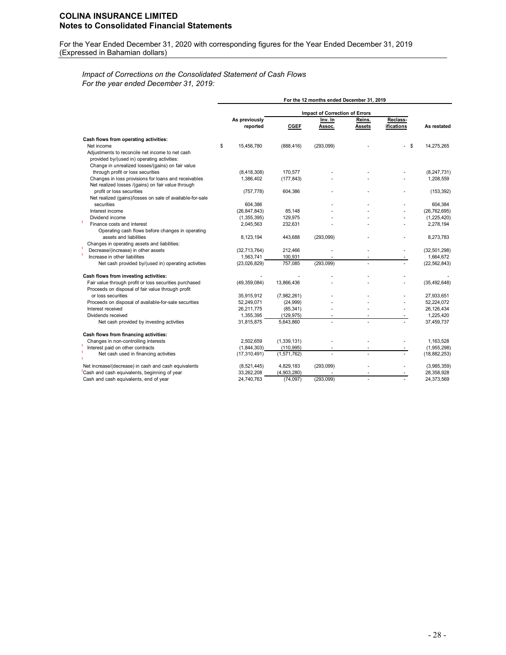For the Year Ended December 31, 2020 with corresponding figures for the Year Ended December 31, 2019 (Expressed in Bahamian dollars)

# *Impact of Corrections on the Consolidated Statement of Cash Flows For the year ended December 31, 2019:*

|                                                                                                                                                     | For the 12 months ended December 31, 2019 |                |             |                                |                          |                                |                |  |  |
|-----------------------------------------------------------------------------------------------------------------------------------------------------|-------------------------------------------|----------------|-------------|--------------------------------|--------------------------|--------------------------------|----------------|--|--|
|                                                                                                                                                     |                                           |                |             | Impact of Correction of Errors |                          |                                |                |  |  |
|                                                                                                                                                     |                                           | As previously  |             | Inv. In                        | Reins.                   | Reclass-                       |                |  |  |
|                                                                                                                                                     |                                           | reported       | <b>CGEF</b> | Assoc.                         | Assets                   | ifications                     | As restated    |  |  |
| Cash flows from operating activities:                                                                                                               |                                           |                |             |                                |                          |                                |                |  |  |
| Net income                                                                                                                                          | \$                                        | 15,456,780     | (888, 416)  | (293,099)                      |                          | Ŝ.<br>$\overline{\phantom{a}}$ | 14,275,265     |  |  |
| Adjustments to reconcile net income to net cash<br>provided by/(used in) operating activities:<br>Change in unrealized losses/(gains) on fair value |                                           |                |             |                                |                          |                                |                |  |  |
| through profit or loss securities                                                                                                                   |                                           | (8,418,308)    | 170.577     |                                |                          |                                | (8, 247, 731)  |  |  |
| Changes in loss provisions for loans and receivables<br>Net realized losses /(gains) on fair value through                                          |                                           | 1,386,402      | (177, 843)  |                                |                          |                                | 1,208,559      |  |  |
| profit or loss securities                                                                                                                           |                                           | (757, 778)     | 604,386     |                                |                          |                                | (153, 392)     |  |  |
| Net realized (gains)/losses on sale of available-for-sale                                                                                           |                                           |                |             |                                |                          |                                |                |  |  |
| securities                                                                                                                                          |                                           | 604,386        |             |                                |                          |                                | 604,384        |  |  |
| Interest income                                                                                                                                     |                                           | (26, 847, 843) | 85.148      |                                |                          |                                | (26, 762, 695) |  |  |
| Dividend income                                                                                                                                     |                                           | (1,355,395)    | 129,975     |                                |                          | ä,                             | (1,225,420)    |  |  |
| Finance costs and interest                                                                                                                          |                                           | 2,045,563      | 232,631     |                                |                          |                                | 2,278,194      |  |  |
| Operating cash flows before changes in operating                                                                                                    |                                           |                |             |                                |                          |                                |                |  |  |
| assets and liabilities                                                                                                                              |                                           | 8,123,194      | 443.688     | (293,099)                      |                          |                                | 8.273.783      |  |  |
| Changes in operating assets and liabilities:                                                                                                        |                                           |                |             |                                |                          |                                |                |  |  |
| Decrease/(increase) in other assets                                                                                                                 |                                           | (32,713,764)   | 212,466     |                                |                          |                                | (32, 501, 298) |  |  |
| Increase in other liabilities                                                                                                                       |                                           | 1,563,741      | 100,931     |                                |                          |                                | 1,664,672      |  |  |
| Net cash provided by/(used in) operating activities                                                                                                 |                                           | (23,026,829)   | 757,085     | (293,099)                      |                          |                                | (22, 562, 843) |  |  |
| Cash flows from investing activities:                                                                                                               |                                           |                |             |                                |                          |                                |                |  |  |
| Fair value through profit or loss securities purchased                                                                                              |                                           | (49, 359, 084) | 13,866,436  |                                |                          |                                | (35, 492, 648) |  |  |
| Proceeds on disposal of fair value through profit                                                                                                   |                                           |                |             |                                |                          |                                |                |  |  |
| or loss securities                                                                                                                                  |                                           | 35,915,912     | (7,982,261) |                                |                          |                                | 27,933,651     |  |  |
| Proceeds on disposal of available-for-sale securities                                                                                               |                                           | 52,249,071     | (24, 999)   |                                |                          |                                | 52,224,072     |  |  |
| Interest received                                                                                                                                   |                                           | 26,211,775     | (85, 341)   |                                |                          |                                | 26,126,434     |  |  |
| Dividends received                                                                                                                                  |                                           | 1,355,395      | (129, 975)  |                                |                          |                                | 1,225,420      |  |  |
| Net cash provided by investing activities                                                                                                           |                                           | 31,815,875     | 5,643,860   |                                |                          |                                | 37,459,737     |  |  |
| Cash flows from financing activities:                                                                                                               |                                           |                |             |                                |                          |                                |                |  |  |
| Changes in non-controlling interests                                                                                                                |                                           | 2,502,659      | (1,339,131) |                                |                          |                                | 1,163,528      |  |  |
| Interest paid on other contracts                                                                                                                    |                                           | (1,844,303)    | (110, 995)  |                                |                          |                                | (1,955,298)    |  |  |
| Net cash used in financing activities                                                                                                               |                                           | (17, 310, 491) | (1,571,762) |                                |                          |                                | (18, 882, 253) |  |  |
| Net increase/(decrease) in cash and cash equivalents                                                                                                |                                           | (8,521,445)    | 4,829,183   | (293,099)                      |                          |                                | (3,985,359)    |  |  |
| Cash and cash equivalents, beginning of year                                                                                                        |                                           | 33,262,208     | (4,903,280) |                                | ٠                        |                                | 28,358,928     |  |  |
| Cash and cash equivalents, end of year                                                                                                              |                                           | 24,740,763     | (74, 097)   | (293,099)                      | $\overline{\phantom{a}}$ |                                | 24,373,569     |  |  |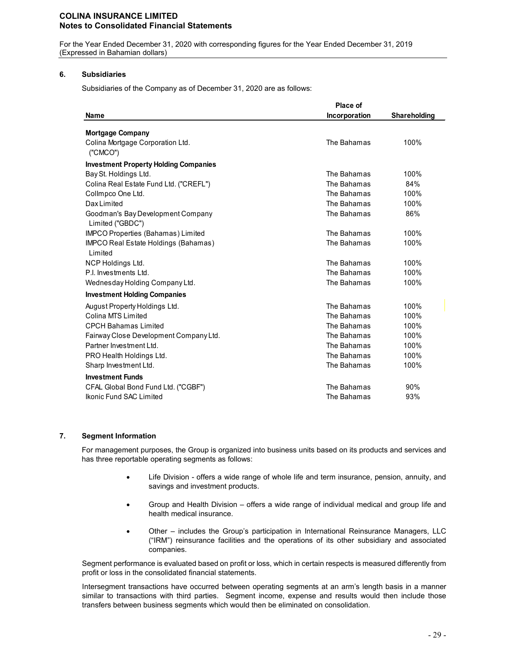For the Year Ended December 31, 2020 with corresponding figures for the Year Ended December 31, 2019 (Expressed in Bahamian dollars)

# **6. Subsidiaries**

Subsidiaries of the Company as of December 31, 2020 are as follows:

|                                                       | Place of      |                     |
|-------------------------------------------------------|---------------|---------------------|
| Name                                                  | Incorporation | <b>Shareholding</b> |
| <b>Mortgage Company</b>                               |               |                     |
| Colina Mortgage Corporation Ltd.<br>('CMCO")          | The Bahamas   | 100%                |
| <b>Investment Property Holding Companies</b>          |               |                     |
| Bay St. Holdings Ltd.                                 | The Bahamas   | 100%                |
| Colina Real Estate Fund Ltd. ("CREFL")                | The Bahamas   | 84%                 |
| Collmpco One Ltd.                                     | The Bahamas   | 100%                |
| <b>DaxLimited</b>                                     | The Bahamas   | 100%                |
| Goodman's Bay Development Company<br>Limited ("GBDC") | The Bahamas   | 86%                 |
| IMPCO Properties (Bahamas) Limited                    | The Bahamas   | 100%                |
| IMPCO Real Estate Holdings (Bahamas)<br>Limited       | The Bahamas   | 100%                |
| NCP Holdings Ltd.                                     | The Bahamas   | 100%                |
| P.I. Investments Ltd.                                 | The Bahamas   | 100%                |
| Wednesday Holding Company Ltd.                        | The Bahamas   | 100%                |
| <b>Investment Holding Companies</b>                   |               |                     |
| August Property Holdings Ltd.                         | The Bahamas   | 100%                |
| Colina MTS Limited                                    | The Bahamas   | 100%                |
| <b>CPCH Bahamas Limited</b>                           | The Bahamas   | 100%                |
| Fairway Close Development Company Ltd.                | The Bahamas   | 100%                |
| Partner Investment Ltd.                               | The Bahamas   | 100%                |
| PRO Health Holdings Ltd.                              | The Bahamas   | 100%                |
| Sharp Investment Ltd.                                 | The Bahamas   | 100%                |
| <b>Investment Funds</b>                               |               |                     |
| CFAL Global Bond Fund Ltd. ("CGBF")                   | The Bahamas   | 90%                 |
| Ikonic Fund SAC Limited                               | The Bahamas   | 93%                 |

# **7. Segment Information**

For management purposes, the Group is organized into business units based on its products and services and has three reportable operating segments as follows:

- Life Division offers a wide range of whole life and term insurance, pension, annuity, and savings and investment products.
- Group and Health Division offers a wide range of individual medical and group life and health medical insurance.
- Other includes the Group's participation in International Reinsurance Managers, LLC ("IRM") reinsurance facilities and the operations of its other subsidiary and associated companies.

Segment performance is evaluated based on profit or loss, which in certain respects is measured differently from profit or loss in the consolidated financial statements.

Intersegment transactions have occurred between operating segments at an arm's length basis in a manner similar to transactions with third parties. Segment income, expense and results would then include those transfers between business segments which would then be eliminated on consolidation.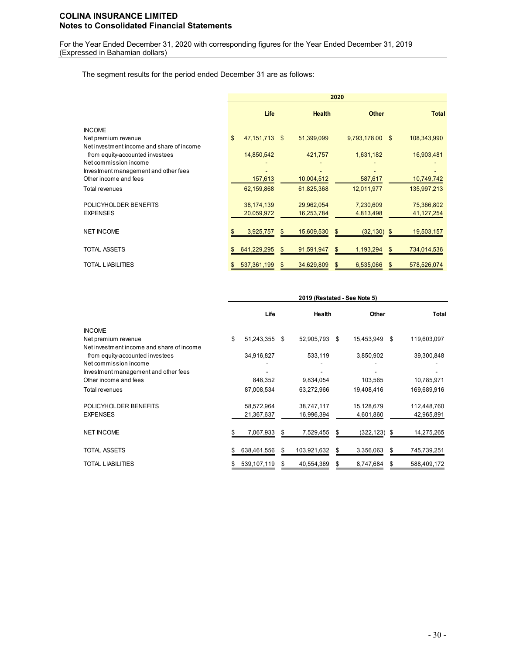For the Year Ended December 31, 2020 with corresponding figures for the Year Ended December 31, 2019 (Expressed in Bahamian dollars)

The segment results for the period ended December 31 are as follows:

|                                           | 2020 |               |    |               |    |                 |    |              |
|-------------------------------------------|------|---------------|----|---------------|----|-----------------|----|--------------|
|                                           |      | Life          |    | <b>Health</b> |    | <b>Other</b>    |    | <b>Total</b> |
| <b>INCOME</b>                             |      |               |    |               |    |                 |    |              |
| Net premium revenue                       | \$   | 47,151,713 \$ |    | 51,399,099    |    | 9,793,178.00 \$ |    | 108,343,990  |
| Net investment income and share of income |      |               |    |               |    |                 |    |              |
| from equity-accounted investees           |      | 14,850,542    |    | 421,757       |    | 1,631,182       |    | 16,903,481   |
| Net commission income                     |      |               |    |               |    |                 |    |              |
| Investment management and other fees      |      |               |    |               |    |                 |    |              |
| Other income and fees                     |      | 157,613       |    | 10,004,512    |    | 587,617         |    | 10,749,742   |
| Total revenues                            |      | 62,159,868    |    | 61,825,368    |    | 12,011,977      |    | 135,997,213  |
| POLICYHOLDER BENEFITS                     |      | 38,174,139    |    | 29,962,054    |    | 7,230,609       |    | 75,366,802   |
| <b>EXPENSES</b>                           |      | 20,059,972    |    | 16,253,784    |    | 4,813,498       |    | 41,127,254   |
| <b>NET INCOME</b>                         |      | 3,925,757     | \$ | 15,609,530    | \$ | (32, 130)       | \$ | 19,503,157   |
|                                           |      |               |    |               |    |                 |    |              |
| <b>TOTAL ASSETS</b>                       | \$.  | 641,229,295   | \$ | 91,591,947    | \$ | 1,193,294       | \$ | 734,014,536  |
| <b>TOTAL LIABILITIES</b>                  |      | 537,361,199   | S  | 34,629,809    | \$ | 6,535,066       | \$ | 578,526,074  |

|                                           | 2019 (Restated - See Note 5) |             |    |             |    |            |     |             |
|-------------------------------------------|------------------------------|-------------|----|-------------|----|------------|-----|-------------|
|                                           |                              | Life        |    | Health      |    | Other      |     | Total       |
| <b>INCOME</b>                             |                              |             |    |             |    |            |     |             |
| Net premium revenue                       | \$                           | 51,243,355  | \$ | 52,905,793  | \$ | 15,453,949 | -\$ | 119,603,097 |
| Net investment income and share of income |                              |             |    |             |    |            |     |             |
| from equity-accounted investees           |                              | 34,916,827  |    | 533,119     |    | 3,850,902  |     | 39,300,848  |
| Net commission income                     |                              |             |    |             |    |            |     |             |
| Investment management and other fees      |                              |             |    |             |    |            |     |             |
| Other income and fees                     |                              | 848,352     |    | 9,834,054   |    | 103,565    |     | 10,785,971  |
| Total revenues                            |                              | 87,008,534  |    | 63,272,966  |    | 19,408,416 |     | 169,689,916 |
| POLICYHOLDER BENEFITS                     |                              | 58,572,964  |    | 38,747,117  |    | 15,128,679 |     | 112,448,760 |
| <b>EXPENSES</b>                           |                              | 21,367,637  |    | 16,996,394  |    | 4,601,860  |     | 42,965,891  |
| <b>NET INCOME</b>                         |                              | 7,067,933   | S  | 7,529,455   | \$ | (322, 123) | -\$ | 14,275,265  |
| <b>TOTAL ASSETS</b>                       |                              | 638,461,556 | \$ | 103,921,632 | \$ | 3,356,063  | \$  | 745,739,251 |
| <b>TOTAL LIABILITIES</b>                  |                              | 539,107,119 |    | 40,554,369  | S  | 8,747,684  | S   | 588,409,172 |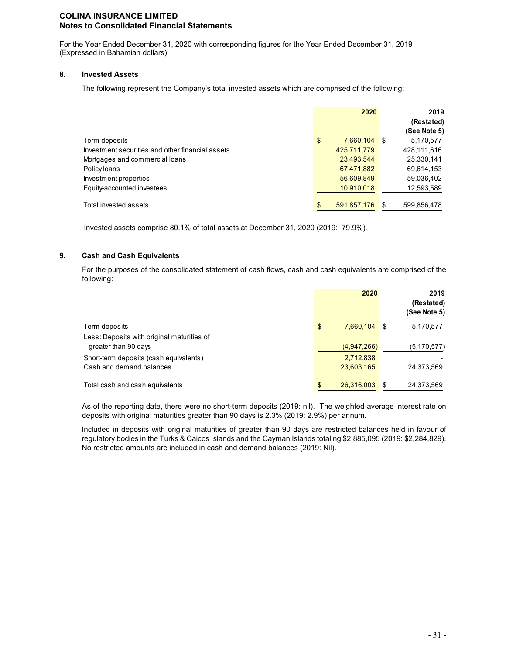For the Year Ended December 31, 2020 with corresponding figures for the Year Ended December 31, 2019 (Expressed in Bahamian dollars)

# **8. Invested Assets**

The following represent the Company's total invested assets which are comprised of the following:

|                                                  | 2020            |   | 2019<br>(Restated)<br>(See Note 5) |
|--------------------------------------------------|-----------------|---|------------------------------------|
| Term deposits                                    | \$<br>7,660,104 | 8 | 5,170,577                          |
| Investment securities and other financial assets | 425,711,779     |   | 428,111,616                        |
| Mortgages and commercial loans                   | 23,493,544      |   | 25,330,141                         |
| Policy loans                                     | 67,471,882      |   | 69,614,153                         |
| Investment properties                            | 56,609,849      |   | 59,036,402                         |
| Equity-accounted investees                       | 10,910,018      |   | 12,593,589                         |
| Total invested assets                            | 591,857,176     |   | 599,856,478                        |

Invested assets comprise 80.1% of total assets at December 31, 2020 (2019: 79.9%).

# **9. Cash and Cash Equivalents**

For the purposes of the consolidated statement of cash flows, cash and cash equivalents are comprised of the following:

|                                                                    | 2020               |   | 2019<br>(Restated)<br>(See Note 5) |
|--------------------------------------------------------------------|--------------------|---|------------------------------------|
| Term deposits                                                      | \$<br>7.660.104 \$ |   | 5,170,577                          |
| Less: Deposits with original maturities of<br>greater than 90 days | (4,947,266)        |   | (5, 170, 577)                      |
| Short-term deposits (cash equivalents)                             | 2,712,838          |   |                                    |
| Cash and demand balances                                           | 23,603,165         |   | 24,373,569                         |
| Total cash and cash equivalents                                    | \$<br>26,316,003   | S | 24,373,569                         |

As of the reporting date, there were no short-term deposits (2019: nil). The weighted-average interest rate on deposits with original maturities greater than 90 days is 2.3% (2019: 2.9%) per annum.

Included in deposits with original maturities of greater than 90 days are restricted balances held in favour of regulatory bodies in the Turks & Caicos Islands and the Cayman Islands totaling \$2,885,095 (2019: \$2,284,829). No restricted amounts are included in cash and demand balances (2019: Nil).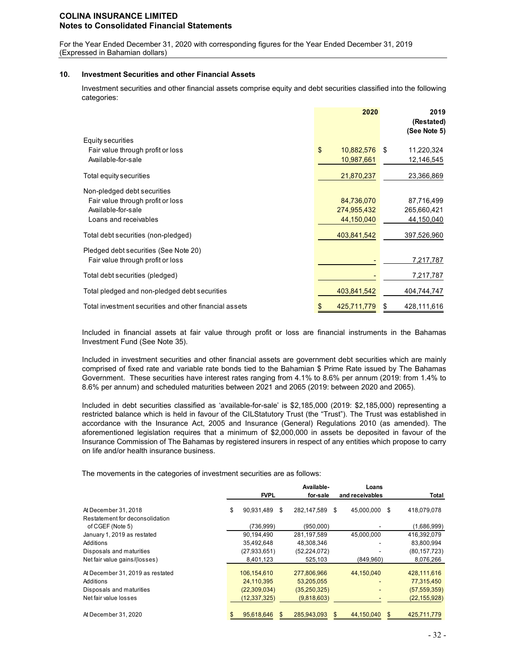For the Year Ended December 31, 2020 with corresponding figures for the Year Ended December 31, 2019 (Expressed in Bahamian dollars)

### **10. Investment Securities and other Financial Assets**

Investment securities and other financial assets comprise equity and debt securities classified into the following categories:

|                                                        | 2020                           | 2019<br>(Restated)<br>(See Note 5) |
|--------------------------------------------------------|--------------------------------|------------------------------------|
| Equity securities                                      |                                |                                    |
| Fair value through profit or loss                      | $\mathbf{\$}$<br>10,882,576 \$ | 11,220,324                         |
| Available-for-sale                                     | 10,987,661                     | 12,146,545                         |
| Total equity securities                                | 21,870,237                     | 23,366,869                         |
| Non-pledged debt securities                            |                                |                                    |
| Fair value through profit or loss                      | 84,736,070                     | 87,716,499                         |
| Available-for-sale                                     | 274,955,432                    | 265,660,421                        |
| Loans and receivables                                  | 44,150,040                     | 44,150,040                         |
| Total debt securities (non-pledged)                    | 403,841,542                    | 397,526,960                        |
| Pledged debt securities (See Note 20)                  |                                |                                    |
| Fair value through profit or loss                      |                                | 7,217,787                          |
| Total debt securities (pledged)                        |                                | 7,217,787                          |
| Total pledged and non-pledged debt securities          | 403,841,542                    | 404,744,747                        |
| Total investment securities and other financial assets | 425,711,779<br>\$              | 428,111,616<br>\$                  |

Included in financial assets at fair value through profit or loss are financial instruments in the Bahamas Investment Fund (See Note 35).

Included in investment securities and other financial assets are government debt securities which are mainly comprised of fixed rate and variable rate bonds tied to the Bahamian \$ Prime Rate issued by The Bahamas Government. These securities have interest rates ranging from 4.1% to 8.6% per annum (2019: from 1.4% to 8.6% per annum) and scheduled maturities between 2021 and 2065 (2019: between 2020 and 2065).

Included in debt securities classified as 'available-for-sale' is \$2,185,000 (2019: \$2,185,000) representing a restricted balance which is held in favour of the CILStatutory Trust (the "Trust"). The Trust was established in accordance with the Insurance Act, 2005 and Insurance (General) Regulations 2010 (as amended). The aforementioned legislation requires that a minimum of \$2,000,000 in assets be deposited in favour of the Insurance Commission of The Bahamas by registered insurers in respect of any entities which propose to carry on life and/or health insurance business.

The movements in the categories of investment securities are as follows:

|                                  | Available-             |                | Loans             |                   |
|----------------------------------|------------------------|----------------|-------------------|-------------------|
|                                  | <b>FVPL</b>            | for-sale       | and receivables   | Total             |
| At December 31, 2018             | 90.931.489<br>\$<br>\$ | 282.147.589    | 45.000.000<br>\$  | 418,079,078<br>\$ |
| Restatement for deconsolidation  |                        |                |                   |                   |
| of CGEF (Note 5)                 | (736, 999)             | (950.000)      |                   | (1,686,999)       |
| January 1, 2019 as restated      | 90,194,490             | 281,197,589    | 45,000,000        | 416,392,079       |
| Additions                        | 35,492,648             | 48,308,346     |                   | 83,800,994        |
| Disposals and maturities         | (27, 933, 651)         | (52, 224, 072) |                   | (80, 157, 723)    |
| Net fair value gains/(losses)    | 8,401,123              | 525.103        | (849.960)         | 8,076,266         |
| At December 31, 2019 as restated | 106,154,610            | 277,806,966    | 44.150.040        | 428,111,616       |
| Additions                        | 24,110,395             | 53,205,055     |                   | 77,315,450        |
| Disposals and maturities         | (22, 309, 034)         | (35,250,325)   |                   | (57, 559, 359)    |
| Net fair value losses            | (12, 337, 325)         | (9,818,603)    |                   | (22, 155, 928)    |
| At December 31, 2020             | 95.618.646<br>\$.<br>S | 285.943.093    | 44.150.040<br>\$. | 425.711.779<br>S  |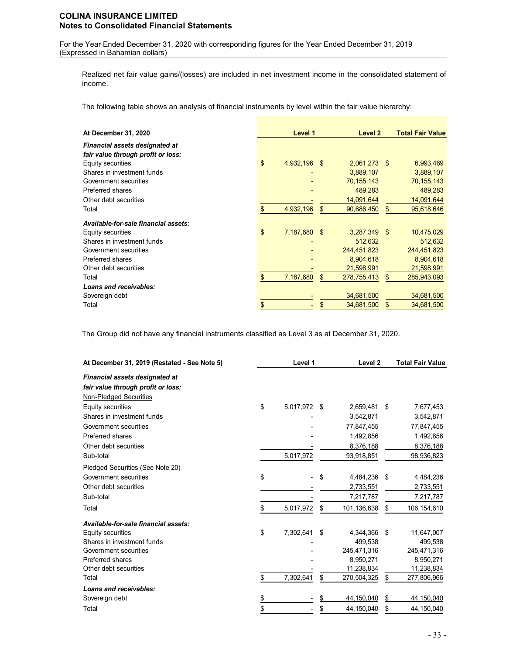For the Year Ended December 31, 2020 with corresponding figures for the Year Ended December 31, 2019 (Expressed in Bahamian dollars)

Realized net fair value gains/(losses) are included in net investment income in the consolidated statement of income.

The following table shows an analysis of financial instruments by level within the fair value hierarchy:

| At December 31, 2020                                                        | Level 1         |      | Level 2        |      | <b>Total Fair Value</b> |
|-----------------------------------------------------------------------------|-----------------|------|----------------|------|-------------------------|
| <b>Financial assets designated at</b><br>fair value through profit or loss: |                 |      |                |      |                         |
| Equity securities                                                           | \$<br>4,932,196 | - \$ | 2,061,273      | - \$ | 6,993,469               |
| Shares in investment funds                                                  |                 |      | 3,889,107      |      | 3,889,107               |
| Government securities                                                       |                 |      | 70, 155, 143   |      | 70, 155, 143            |
| Preferred shares                                                            |                 |      | 489,283        |      | 489,283                 |
| Other debt securities                                                       |                 |      | 14,091,644     |      | 14,091,644              |
| Total                                                                       | 4,932,196<br>\$ | \$   | 90,686,450     | \$   | 95,618,646              |
| Available-for-sale financial assets:                                        |                 |      |                |      |                         |
| Equity securities                                                           | \$<br>7,187,680 | \$.  | $3,287,349$ \$ |      | 10,475,029              |
| Shares in investment funds                                                  |                 |      | 512,632        |      | 512,632                 |
| Government securities                                                       |                 |      | 244,451,823    |      | 244,451,823             |
| Preferred shares                                                            |                 |      | 8,904,618      |      | 8,904,618               |
| Other debt securities                                                       |                 |      | 21,598,991     |      | 21,598,991              |
| Total                                                                       | 7,187,680<br>\$ | \$   | 278,755,413    | \$   | 285,943,093             |
| <b>Loans and receivables:</b>                                               |                 |      |                |      |                         |
| Sovereign debt                                                              |                 |      | 34,681,500     |      | 34,681,500              |
| Total                                                                       | \$              | \$   | 34,681,500     | \$   | 34,681,500              |

The Group did not have any financial instruments classified as Level 3 as at December 31, 2020.

| At December 31, 2019 (Restated - See Note 5) | Level 1         |      | Level 2     |      | <b>Total Fair Value</b> |
|----------------------------------------------|-----------------|------|-------------|------|-------------------------|
| <b>Financial assets designated at</b>        |                 |      |             |      |                         |
| fair value through profit or loss:           |                 |      |             |      |                         |
| Non-Pledged Securities                       |                 |      |             |      |                         |
| <b>Equity securities</b>                     | \$<br>5,017,972 | - \$ | 2,659,481   | \$   | 7,677,453               |
| Shares in investment funds                   |                 |      | 3,542,871   |      | 3,542,871               |
| Government securities                        |                 |      | 77,847,455  |      | 77,847,455              |
| Preferred shares                             |                 |      | 1,492,856   |      | 1,492,856               |
| Other debt securities                        |                 |      | 8,376,188   |      | 8,376,188               |
| Sub-total                                    | 5,017,972       |      | 93,918,851  |      | 98,936,823              |
| Pledged Securities (See Note 20)             |                 |      |             |      |                         |
| Government securities                        | \$              | \$   | 4,484,236   | - \$ | 4,484,236               |
| Other debt securities                        |                 |      | 2,733,551   |      | 2,733,551               |
| Sub-total                                    |                 |      | 7,217,787   |      | 7,217,787               |
| Total                                        | \$<br>5,017,972 | \$   | 101,136,638 | \$   | 106,154,610             |
| Available-for-sale financial assets:         |                 |      |             |      |                         |
| Equity securities                            | \$<br>7,302,641 | \$   | 4,344,366   | -\$  | 11,647,007              |
| Shares in investment funds                   |                 |      | 499.538     |      | 499,538                 |
| Government securities                        |                 |      | 245,471,316 |      | 245,471,316             |
| Preferred shares                             |                 |      | 8,950,271   |      | 8,950,271               |
| Other debt securities                        |                 |      | 11,238,834  |      | 11,238,834              |
| Total                                        | \$<br>7,302,641 | \$   | 270,504,325 | \$   | 277,806,966             |
| Loans and receivables:                       |                 |      |             |      |                         |
| Sovereign debt                               | \$              | \$   | 44,150,040  | S    | 44,150,040              |
| Total                                        | \$              | \$   | 44,150,040  | \$   | 44,150,040              |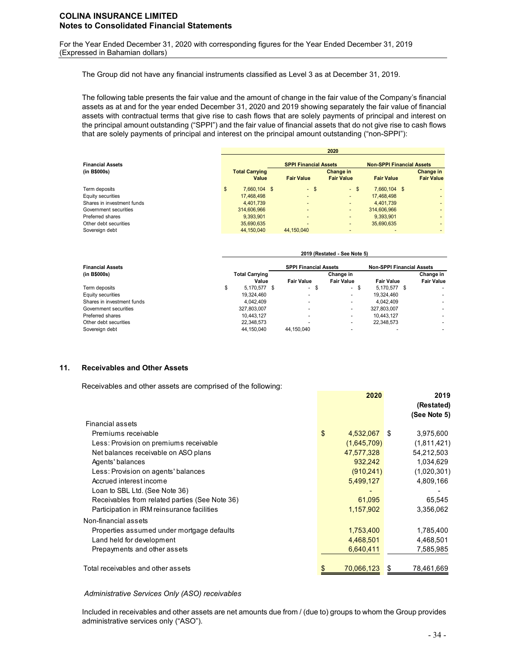For the Year Ended December 31, 2020 with corresponding figures for the Year Ended December 31, 2019 (Expressed in Bahamian dollars)

The Group did not have any financial instruments classified as Level 3 as at December 31, 2019.

The following table presents the fair value and the amount of change in the fair value of the Company's financial assets as at and for the year ended December 31, 2020 and 2019 showing separately the fair value of financial assets with contractual terms that give rise to cash flows that are solely payments of principal and interest on the principal amount outstanding ("SPPI") and the fair value of financial assets that do not give rise to cash flows that are solely payments of principal and interest on the principal amount outstanding ("non-SPPI"):

|                            | 2020                  |                              |                          |                          |                                  |  |  |  |  |
|----------------------------|-----------------------|------------------------------|--------------------------|--------------------------|----------------------------------|--|--|--|--|
| <b>Financial Assets</b>    |                       | <b>SPPI Financial Assets</b> |                          |                          | <b>Non-SPPI Financial Assets</b> |  |  |  |  |
| (in B\$000s)               | <b>Total Carrying</b> |                              | Change in                |                          | <b>Change in</b>                 |  |  |  |  |
|                            | Value                 | <b>Fair Value</b>            | <b>Fair Value</b>        | <b>Fair Value</b>        | <b>Fair Value</b>                |  |  |  |  |
| Term deposits              | \$<br>7.660.104 \$    | - \$                         | - \$                     | 7.660.104 \$             |                                  |  |  |  |  |
| Equity securities          | 17.468.498            |                              |                          | 17.468.498               |                                  |  |  |  |  |
| Shares in investment funds | 4.401.739             | $\overline{\phantom{0}}$     |                          | 4.401.739                |                                  |  |  |  |  |
| Government securities      | 314,606,966           | $\overline{\phantom{0}}$     | $\overline{\phantom{0}}$ | 314,606,966              |                                  |  |  |  |  |
| Preferred shares           | 9.393.901             | $\overline{\phantom{0}}$     | $\overline{\phantom{0}}$ | 9.393.901                |                                  |  |  |  |  |
| Other debt securities      | 35,690,635            | $\overline{a}$               | $\overline{\phantom{0}}$ | 35,690,635               |                                  |  |  |  |  |
| Sovereign debt             | 44.150.040            | 44.150.040                   | $\overline{a}$           | $\overline{\phantom{0}}$ |                                  |  |  |  |  |

|                            |    | LUIS (Restated - Occ Note 9) |  |                              |                   |                                  |                   |  |  |  |
|----------------------------|----|------------------------------|--|------------------------------|-------------------|----------------------------------|-------------------|--|--|--|
| <b>Financial Assets</b>    |    |                              |  | <b>SPPI Financial Assets</b> |                   | <b>Non-SPPI Financial Assets</b> |                   |  |  |  |
| (in B\$000s)               |    | <b>Total Carrying</b>        |  |                              | Change in         |                                  | Change in         |  |  |  |
|                            |    | Value                        |  | <b>Fair Value</b>            | <b>Fair Value</b> | <b>Fair Value</b>                | <b>Fair Value</b> |  |  |  |
| Term deposits              | \$ | 5.170.577 \$                 |  | - \$                         | - \$              | 5.170.577 \$                     |                   |  |  |  |
| Equity securities          |    | 19.324.460                   |  | -                            | ۰                 | 19.324.460                       |                   |  |  |  |
| Shares in investment funds |    | 4.042.409                    |  | $\overline{\phantom{a}}$     | ۰                 | 4.042.409                        |                   |  |  |  |
| Government securities      |    | 327.803.007                  |  | $\overline{\phantom{a}}$     | ۰                 | 327,803,007                      |                   |  |  |  |
| Preferred shares           |    | 10.443.127                   |  | $\overline{\phantom{a}}$     | ۰                 | 10.443.127                       |                   |  |  |  |
| Other debt securities      |    | 22,348,573                   |  | $\overline{a}$               | ۰                 | 22.348.573                       |                   |  |  |  |
| Sovereign debt             |    | 44.150.040                   |  | 44,150,040                   | ۰                 |                                  |                   |  |  |  |
|                            |    |                              |  |                              |                   |                                  |                   |  |  |  |

**2019 (Restated - See Note 5)**

### **11. Receivables and Other Assets**

Receivables and other assets are comprised of the following:

|                                                | 2020               | 2019<br>(Restated)<br>(See Note 5) |
|------------------------------------------------|--------------------|------------------------------------|
| Financial assets                               |                    |                                    |
| Premiums receivable                            | \$<br>4,532,067 \$ | 3,975,600                          |
| Less: Provision on premiums receivable         | (1,645,709)        | (1,811,421)                        |
| Net balances receivable on ASO plans           | 47,577,328         | 54,212,503                         |
| Agents' balances                               | 932,242            | 1,034,629                          |
| Less: Provision on agents' balances            | (910, 241)         | (1,020,301)                        |
| Accrued interest income                        | 5,499,127          | 4,809,166                          |
| Loan to SBL Ltd. (See Note 36)                 |                    |                                    |
| Receivables from related parties (See Note 36) | 61,095             | 65,545                             |
| Participation in IRM reinsurance facilities    | 1,157,902          | 3,356,062                          |
| Non-financial assets                           |                    |                                    |
| Properties assumed under mortgage defaults     | 1,753,400          | 1,785,400                          |
| Land held for development                      | 4,468,501          | 4,468,501                          |
| Prepayments and other assets                   | 6,640,411          | 7,585,985                          |
| Total receivables and other assets             | 70,066,123         | 78,461,669<br>S                    |
|                                                |                    |                                    |

#### *Administrative Services Only (ASO) receivables*

Included in receivables and other assets are net amounts due from / (due to) groups to whom the Group provides administrative services only ("ASO").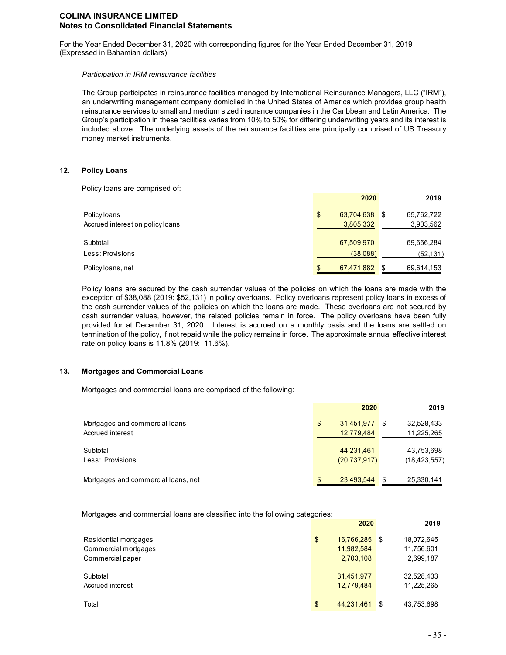For the Year Ended December 31, 2020 with corresponding figures for the Year Ended December 31, 2019 (Expressed in Bahamian dollars)

### *Participation in IRM reinsurance facilities*

The Group participates in reinsurance facilities managed by International Reinsurance Managers, LLC ("IRM"), an underwriting management company domiciled in the United States of America which provides group health reinsurance services to small and medium sized insurance companies in the Caribbean and Latin America. The Group's participation in these facilities varies from 10% to 50% for differing underwriting years and its interest is included above. The underlying assets of the reinsurance facilities are principally comprised of US Treasury money market instruments.

### **12. Policy Loans**

Policy loans are comprised of:

|                                  | 2020                | 2019             |
|----------------------------------|---------------------|------------------|
| Policy loans                     | \$<br>63,704,638 \$ | 65,762,722       |
| Accrued interest on policy loans | 3,805,332           | 3,903,562        |
| Subtotal                         | 67,509,970          | 69,666,284       |
| Less: Provisions                 | (38,088)            | (52, 131)        |
| Policy loans, net                | \$<br>67,471,882    | \$<br>69,614,153 |

Policy loans are secured by the cash surrender values of the policies on which the loans are made with the exception of \$38,088 (2019: \$52,131) in policy overloans. Policy overloans represent policy loans in excess of the cash surrender values of the policies on which the loans are made. These overloans are not secured by cash surrender values, however, the related policies remain in force. The policy overloans have been fully provided for at December 31, 2020. Interest is accrued on a monthly basis and the loans are settled on termination of the policy, if not repaid while the policy remains in force. The approximate annual effective interest rate on policy loans is 11.8% (2019: 11.6%).

### **13. Mortgages and Commercial Loans**

Mortgages and commercial loans are comprised of the following:

|                                     | 2020             | 2019               |
|-------------------------------------|------------------|--------------------|
| Mortgages and commercial loans      | 31,451,977<br>\$ | 32,528,433<br>- \$ |
| Accrued interest                    | 12,779,484       | 11,225,265         |
| Subtotal                            | 44.231.461       | 43,753,698         |
| Less: Provisions                    | (20, 737, 917)   | (18, 423, 557)     |
| Mortgages and commercial loans, net | 23,493,544<br>\$ | 25,330,141<br>S    |

Mortgages and commercial loans are classified into the following categories:

|                       | 2020             | 2019             |
|-----------------------|------------------|------------------|
| Residential mortgages | 16,766,285<br>\$ | 18,072,645<br>\$ |
| Commercial mortgages  | 11,982,584       | 11,756,601       |
| Commercial paper      | 2,703,108        | 2,699,187        |
| Subtotal              | 31,451,977       | 32,528,433       |
| Accrued interest      | 12,779,484       | 11,225,265       |
| Total                 | 44,231,461<br>\$ | 43,753,698<br>\$ |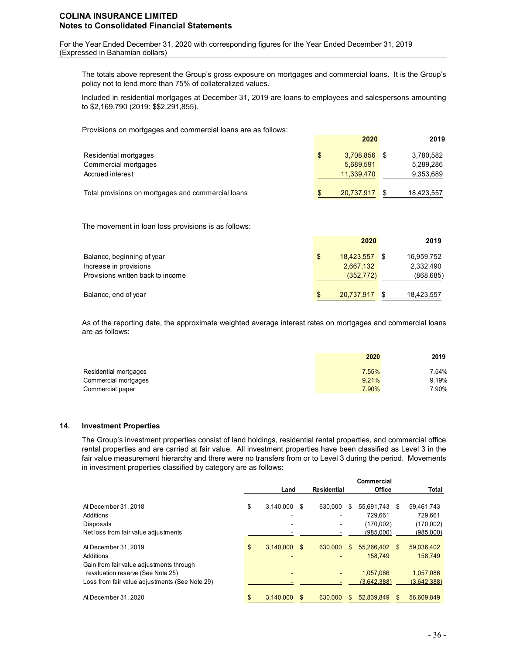For the Year Ended December 31, 2020 with corresponding figures for the Year Ended December 31, 2019 (Expressed in Bahamian dollars)

The totals above represent the Group's gross exposure on mortgages and commercial loans. It is the Group's policy not to lend more than 75% of collateralized values.

Included in residential mortgages at December 31, 2019 are loans to employees and salespersons amounting to \$2,169,790 (2019: \$\$2,291,855).

Provisions on mortgages and commercial loans are as follows:

|                                                    |     | 2020       | 2019       |
|----------------------------------------------------|-----|------------|------------|
| Residential mortgages                              | \$. | 3.708.856  | 3.780.582  |
| Commercial mortgages                               |     | 5.689.591  | 5,289,286  |
| Accrued interest                                   |     | 11,339,470 | 9,353,689  |
| Total provisions on mortgages and commercial loans |     | 20,737,917 | 18,423,557 |

The movement in loan loss provisions is as follows:

|                                   | 2020             | 2019       |
|-----------------------------------|------------------|------------|
| Balance, beginning of year        | \$<br>18.423.557 | 16,959,752 |
| Increase in provisions            | 2,667,132        | 2,332,490  |
| Provisions written back to income | (352, 772)       | (868, 685) |
| Balance, end of year              | 20,737,917       | 18,423,557 |

As of the reporting date, the approximate weighted average interest rates on mortgages and commercial loans are as follows:

|                       | 2020  | 2019  |
|-----------------------|-------|-------|
| Residential mortgages | 7.55% | 7.54% |
| Commercial mortgages  | 9.21% | 9.19% |
| Commercial paper      | 7.90% | 7.90% |

### **14. Investment Properties**

The Group's investment properties consist of land holdings, residential rental properties, and commercial office rental properties and are carried at fair value. All investment properties have been classified as Level 3 in the fair value measurement hierarchy and there were no transfers from or to Level 3 during the period. Movements in investment properties classified by category are as follows:

|                                                |                            |           | Commercial |         |     |               |   |             |
|------------------------------------------------|----------------------------|-----------|------------|---------|-----|---------------|---|-------------|
|                                                | <b>Residential</b><br>Land |           |            | Office  |     | Total         |   |             |
| At December 31, 2018                           | \$                         | 3.140.000 | S          | 630,000 | S   | 55.691.743    | S | 59,461,743  |
| Additions                                      |                            |           |            |         |     | 729.661       |   | 729.661     |
| Disposals                                      |                            |           |            |         |     | (170,002)     |   | (170,002)   |
| Net loss from fair value adjustments           |                            |           |            |         |     | (985,000)     |   | (985,000)   |
| At December 31, 2019                           | \$                         | 3.140.000 | \$.        | 630,000 | \$. | 55,266,402 \$ |   | 59,036,402  |
| Additions                                      |                            |           |            |         |     | 158.749       |   | 158.749     |
| Gain from fair value adjustments through       |                            |           |            |         |     |               |   |             |
| revaluation reserve (See Note 25)              |                            |           |            |         |     | 1,057,086     |   | 1,057,086   |
| Loss from fair value adjustments (See Note 29) |                            |           |            |         |     | (3,642,388)   |   | (3,642,388) |
| At December 31, 2020                           |                            | 3.140.000 | S          | 630,000 | \$. | 52.839.849    | S | 56.609.849  |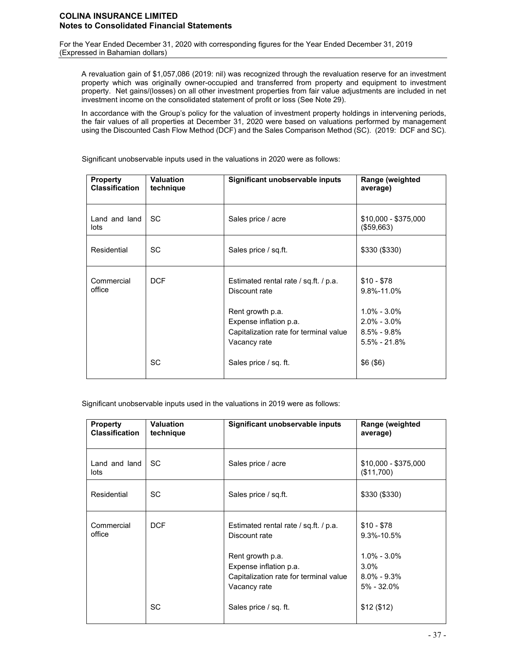A revaluation gain of \$1,057,086 (2019: nil) was recognized through the revaluation reserve for an investment property which was originally owner-occupied and transferred from property and equipment to investment property. Net gains/(losses) on all other investment properties from fair value adjustments are included in net investment income on the consolidated statement of profit or loss (See Note 29).

In accordance with the Group's policy for the valuation of investment property holdings in intervening periods, the fair values of all properties at December 31, 2020 were based on valuations performed by management using the Discounted Cash Flow Method (DCF) and the Sales Comparison Method (SC). (2019: DCF and SC).

**Property Classification technique Valuation Significant unobservable inputs Range (weighted average)**

Significant unobservable inputs used in the valuations in 2020 were as follows:

| Land and land<br>lots | SC.        | Sales price / acre                                                                                                                                             | \$10,000 - \$375,000<br>(\$59,663)                                                                     |
|-----------------------|------------|----------------------------------------------------------------------------------------------------------------------------------------------------------------|--------------------------------------------------------------------------------------------------------|
| Residential           | <b>SC</b>  | Sales price / sq.ft.                                                                                                                                           | \$330 (\$330)                                                                                          |
| Commercial<br>office  | <b>DCF</b> | Estimated rental rate / sq.ft. / p.a.<br>Discount rate<br>Rent growth p.a.<br>Expense inflation p.a.<br>Capitalization rate for terminal value<br>Vacancy rate | $$10 - $78$<br>9.8%-11.0%<br>$1.0\% - 3.0\%$<br>$2.0\% - 3.0\%$<br>$8.5\% - 9.8\%$<br>$5.5\% - 21.8\%$ |
|                       | SC         | Sales price / sq. ft.                                                                                                                                          | \$6(\$6)                                                                                               |

Significant unobservable inputs used in the valuations in 2019 were as follows:

| <b>Property</b><br><b>Classification</b> | Valuation<br>technique | Significant unobservable inputs                        | Range (weighted<br>average)        |
|------------------------------------------|------------------------|--------------------------------------------------------|------------------------------------|
| Land and land<br>lots                    | SC.                    | Sales price / acre                                     | \$10,000 - \$375,000<br>(\$11,700) |
| Residential                              | <b>SC</b>              | Sales price / sq.ft.                                   | \$330 (\$330)                      |
| Commercial<br>office                     | <b>DCF</b>             | Estimated rental rate / sq.ft. / p.a.<br>Discount rate | $$10 - $78$<br>$9.3\% - 10.5\%$    |
|                                          |                        | Rent growth p.a.                                       | $1.0\% - 3.0\%$                    |
|                                          |                        | Expense inflation p.a.                                 | $3.0\%$                            |
|                                          |                        | Capitalization rate for terminal value                 | $8.0\% - 9.3\%$                    |
|                                          |                        | Vacancy rate                                           | $5\% - 32.0\%$                     |
|                                          | <b>SC</b>              | Sales price / sq. ft.                                  | \$12(\$12)                         |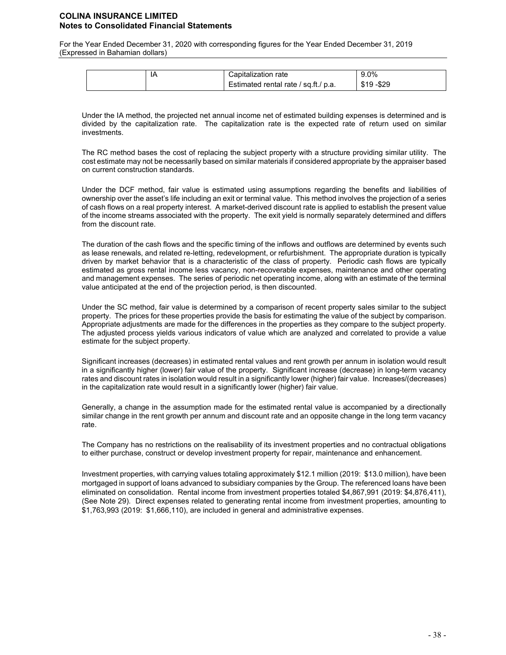For the Year Ended December 31, 2020 with corresponding figures for the Year Ended December 31, 2019 (Expressed in Bahamian dollars)

| ı٣ | Capitalization rate                  | 9.0%        |
|----|--------------------------------------|-------------|
|    | Estimated rental rate / sq.ft./ p.a. | $$19 - $29$ |

Under the IA method, the projected net annual income net of estimated building expenses is determined and is divided by the capitalization rate. The capitalization rate is the expected rate of return used on similar investments.

The RC method bases the cost of replacing the subject property with a structure providing similar utility. The cost estimate may not be necessarily based on similar materials if considered appropriate by the appraiser based on current construction standards.

Under the DCF method, fair value is estimated using assumptions regarding the benefits and liabilities of ownership over the asset's life including an exit or terminal value. This method involves the projection of a series of cash flows on a real property interest. A market-derived discount rate is applied to establish the present value of the income streams associated with the property. The exit yield is normally separately determined and differs from the discount rate.

The duration of the cash flows and the specific timing of the inflows and outflows are determined by events such as lease renewals, and related re-letting, redevelopment, or refurbishment. The appropriate duration is typically driven by market behavior that is a characteristic of the class of property. Periodic cash flows are typically estimated as gross rental income less vacancy, non-recoverable expenses, maintenance and other operating and management expenses. The series of periodic net operating income, along with an estimate of the terminal value anticipated at the end of the projection period, is then discounted.

Under the SC method, fair value is determined by a comparison of recent property sales similar to the subject property. The prices for these properties provide the basis for estimating the value of the subject by comparison. Appropriate adjustments are made for the differences in the properties as they compare to the subject property. The adjusted process yields various indicators of value which are analyzed and correlated to provide a value estimate for the subject property.

Significant increases (decreases) in estimated rental values and rent growth per annum in isolation would result in a significantly higher (lower) fair value of the property. Significant increase (decrease) in long-term vacancy rates and discount rates in isolation would result in a significantly lower (higher) fair value. Increases/(decreases) in the capitalization rate would result in a significantly lower (higher) fair value.

Generally, a change in the assumption made for the estimated rental value is accompanied by a directionally similar change in the rent growth per annum and discount rate and an opposite change in the long term vacancy rate.

The Company has no restrictions on the realisability of its investment properties and no contractual obligations to either purchase, construct or develop investment property for repair, maintenance and enhancement.

Investment properties, with carrying values totaling approximately \$12.1 million (2019: \$13.0 million), have been mortgaged in support of loans advanced to subsidiary companies by the Group. The referenced loans have been eliminated on consolidation. Rental income from investment properties totaled \$4,867,991 (2019: \$4,876,411), (See Note 29). Direct expenses related to generating rental income from investment properties, amounting to \$1,763,993 (2019: \$1,666,110), are included in general and administrative expenses.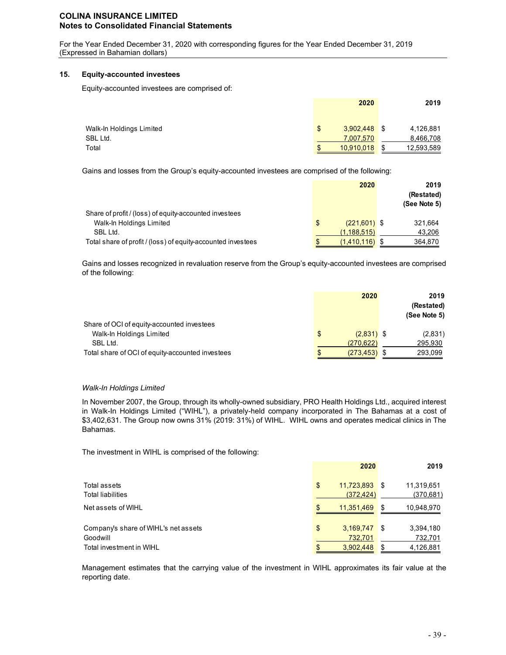For the Year Ended December 31, 2020 with corresponding figures for the Year Ended December 31, 2019 (Expressed in Bahamian dollars)

### **15. Equity-accounted investees**

Equity-accounted investees are comprised of:

|                          |     | 2020       |      | 2019       |
|--------------------------|-----|------------|------|------------|
|                          |     |            |      |            |
| Walk-In Holdings Limited | \$. | 3,902,448  | - \$ | 4,126,881  |
| SBL Ltd.                 |     | 7,007,570  |      | 8,466,708  |
| Total                    | \$  | 10,910,018 |      | 12,593,589 |

Gains and losses from the Group's equity-accounted investees are comprised of the following:

|                                                              |     | 2020             | 2019         |
|--------------------------------------------------------------|-----|------------------|--------------|
|                                                              |     |                  | (Restated)   |
|                                                              |     |                  | (See Note 5) |
| Share of profit / (loss) of equity-accounted investees       |     |                  |              |
| Walk-In Holdings Limited                                     | \$. | $(221,601)$ \$   | 321,664      |
| SBL Ltd.                                                     |     | (1, 188, 515)    | 43,206       |
| Total share of profit / (loss) of equity-accounted investees | S   | $(1,410,116)$ \$ | 364.870      |

Gains and losses recognized in revaluation reserve from the Group's equity-accounted investees are comprised of the following:

|                                                  | 2020               | 2019<br>(Restated)<br>(See Note 5) |
|--------------------------------------------------|--------------------|------------------------------------|
| Share of OCI of equity-accounted investees       |                    |                                    |
| Walk-In Holdings Limited                         | $(2,831)$ \$<br>\$ | (2,831)                            |
| SBL Ltd.                                         | (270, 622)         | 295,930                            |
| Total share of OCI of equity-accounted investees | (273, 453)         | 293,099                            |

### *Walk-In Holdings Limited*

In November 2007, the Group, through its wholly-owned subsidiary, PRO Health Holdings Ltd., acquired interest in Walk-In Holdings Limited ("WIHL"), a privately-held company incorporated in The Bahamas at a cost of \$3,402,631. The Group now owns 31% (2019: 31%) of WIHL. WIHL owns and operates medical clinics in The Bahamas.

The investment in WIHL is comprised of the following:

|                                                  | 2020                            |     | 2019                 |
|--------------------------------------------------|---------------------------------|-----|----------------------|
| Total assets                                     | \$<br>11,723,893 \$             |     | 11,319,651           |
| <b>Total liabilities</b>                         | (372, 424)                      |     | (370, 681)           |
| Net assets of WIHL                               | \$<br>11,351,469                | -\$ | 10,948,970           |
| Company's share of WIHL's net assets<br>Goodwill | \$<br>$3.169.747$ \$<br>732,701 |     | 3,394,180<br>732,701 |
| Total investment in WIHL                         | \$<br>3,902,448                 | S   | 4,126,881            |

Management estimates that the carrying value of the investment in WIHL approximates its fair value at the reporting date.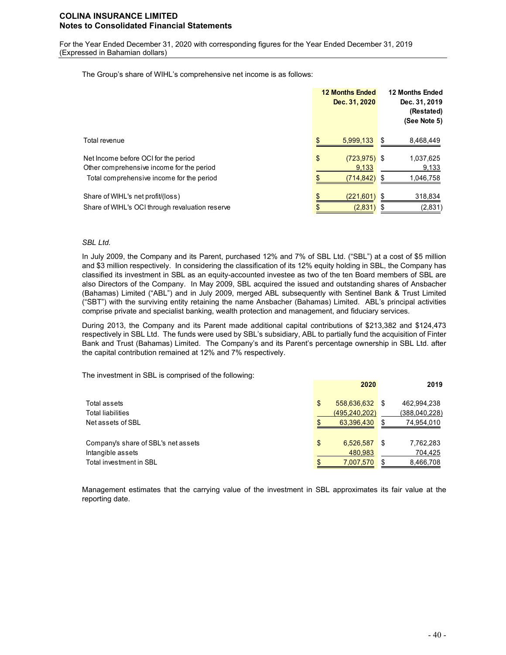For the Year Ended December 31, 2020 with corresponding figures for the Year Ended December 31, 2019 (Expressed in Bahamian dollars)

The Group's share of WIHL's comprehensive net income is as follows:

|                                                                                                                                | <b>12 Months Ended</b><br>Dec. 31, 2020      | <b>12 Months Ended</b><br>Dec. 31, 2019<br>(Restated)<br>(See Note 5) |
|--------------------------------------------------------------------------------------------------------------------------------|----------------------------------------------|-----------------------------------------------------------------------|
| Total revenue                                                                                                                  | 5,999,133                                    | 8,468,449<br>S                                                        |
| Net Income before OCI for the period<br>Other comprehensive income for the period<br>Total comprehensive income for the period | \$<br>$(723, 975)$ \$<br>9.133<br>(714, 842) | 1,037,625<br>9,133<br>1,046,758                                       |
| Share of WIHL's net profit/(loss)                                                                                              | \$<br>(221,601                               | 318,834<br>S                                                          |
| Share of WIHL's OCI through revaluation reserve                                                                                | (2,831)<br>\$                                | (2,831)<br>S                                                          |

### *SBL Ltd.*

In July 2009, the Company and its Parent, purchased 12% and 7% of SBL Ltd. ("SBL") at a cost of \$5 million and \$3 million respectively. In considering the classification of its 12% equity holding in SBL, the Company has classified its investment in SBL as an equity-accounted investee as two of the ten Board members of SBL are also Directors of the Company. In May 2009, SBL acquired the issued and outstanding shares of Ansbacher (Bahamas) Limited ("ABL") and in July 2009, merged ABL subsequently with Sentinel Bank & Trust Limited ("SBT") with the surviving entity retaining the name Ansbacher (Bahamas) Limited. ABL's principal activities comprise private and specialist banking, wealth protection and management, and fiduciary services.

During 2013, the Company and its Parent made additional capital contributions of \$213,382 and \$124,473 respectively in SBL Ltd. The funds were used by SBL's subsidiary, ABL to partially fund the acquisition of Finter Bank and Trust (Bahamas) Limited. The Company's and its Parent's percentage ownership in SBL Ltd. after the capital contribution remained at 12% and 7% respectively.

a a a a

The investment in SBL is comprised of the following:

|                                     | 2020                 |    | 2019          |
|-------------------------------------|----------------------|----|---------------|
| Total assets                        | \$<br>558,636,632 \$ |    | 462,994,238   |
| <b>Total liabilities</b>            | (495, 240, 202)      |    | (388,040,228) |
| Net assets of SBL                   | 63,396,430           | S  | 74,954,010    |
| Company's share of SBL's net assets | \$<br>6.526.587      | -S | 7,762,283     |
| Intangible assets                   | 480,983              |    | 704,425       |
| Total investment in SBL             | 7,007,570            | \$ | 8,466,708     |

Management estimates that the carrying value of the investment in SBL approximates its fair value at the reporting date.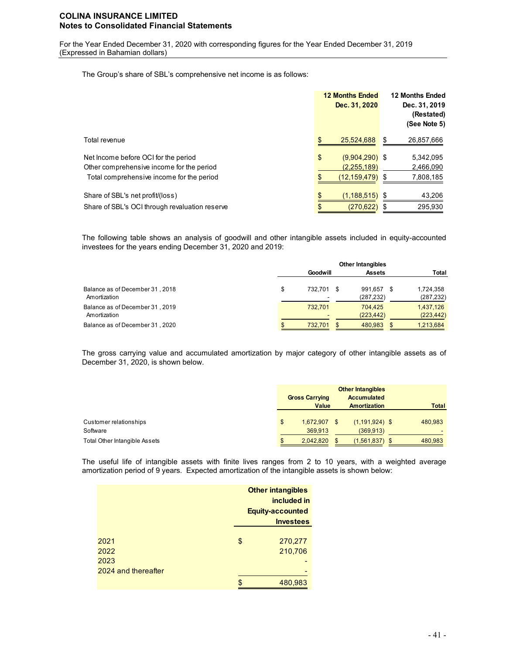For the Year Ended December 31, 2020 with corresponding figures for the Year Ended December 31, 2019 (Expressed in Bahamian dollars)

The Group's share of SBL's comprehensive net income is as follows:

|                                                                                                                                | <b>12 Months Ended</b><br>Dec. 31, 2020                 | <b>12 Months Ended</b><br>Dec. 31, 2019<br>(Restated)<br>(See Note 5) |
|--------------------------------------------------------------------------------------------------------------------------------|---------------------------------------------------------|-----------------------------------------------------------------------|
| Total revenue                                                                                                                  | 25,524,688                                              | 26,857,666<br>\$                                                      |
| Net Income before OCI for the period<br>Other comprehensive income for the period<br>Total comprehensive income for the period | \$<br>$(9,904,290)$ \$<br>(2,255,189)<br>(12, 159, 479) | 5,342,095<br>2,466,090<br>7,808,185<br>S                              |
| Share of SBL's net profit/(loss)                                                                                               | \$<br>(1, 188, 515)                                     | 43,206                                                                |
| Share of SBL's OCI through revaluation reserve                                                                                 | \$<br>$(270, 622)$ \$                                   | 295,930                                                               |

The following table shows an analysis of goodwill and other intangible assets included in equity-accounted investees for the years ending December 31, 2020 and 2019:

|                                                 |   | <b>Other Intangibles</b>            |  |                       |  |                         |  |  |
|-------------------------------------------------|---|-------------------------------------|--|-----------------------|--|-------------------------|--|--|
|                                                 |   | Goodwill                            |  | <b>Assets</b>         |  | <b>Total</b>            |  |  |
| Balance as of December 31, 2018<br>Amortization | S | 732.701 \$<br>-                     |  | 991.657<br>(287, 232) |  | 1,724,358<br>(287, 232) |  |  |
| Balance as of December 31, 2019<br>Amortization |   | 732.701<br>$\overline{\phantom{0}}$ |  | 704.425<br>(223, 442) |  | 1,437,126<br>(223, 442) |  |  |
| Balance as of December 31, 2020                 |   | 732.701                             |  | 480,983               |  | 1,213,684               |  |  |

The gross carrying value and accumulated amortization by major category of other intangible assets as of December 31, 2020, is shown below.

|                                    | <b>Gross Carrying</b><br>Value |                           |  | <b>Other Intangibles</b><br><b>Accumulated</b><br><b>Amortization</b> | <b>Total</b> |         |  |
|------------------------------------|--------------------------------|---------------------------|--|-----------------------------------------------------------------------|--------------|---------|--|
| Customer relationships<br>Software | \$                             | $1,672,907$ \$<br>369.913 |  | $(1, 191, 924)$ \$<br>(369, 913)                                      |              | 480,983 |  |
| Total Other Intangible Assets      |                                | 2.042.820                 |  | $(1,561,837)$ \$                                                      |              | 480.983 |  |

The useful life of intangible assets with finite lives ranges from 2 to 10 years, with a weighted average amortization period of 9 years. Expected amortization of the intangible assets is shown below:

|                     | <b>Other intangibles</b><br>included in |
|---------------------|-----------------------------------------|
|                     | <b>Equity-accounted</b>                 |
|                     | <b>Investees</b>                        |
|                     |                                         |
| 2021                | \$<br>270,277                           |
| 2022                | 210,706                                 |
| 2023                |                                         |
| 2024 and thereafter |                                         |
|                     | \$<br>480,983                           |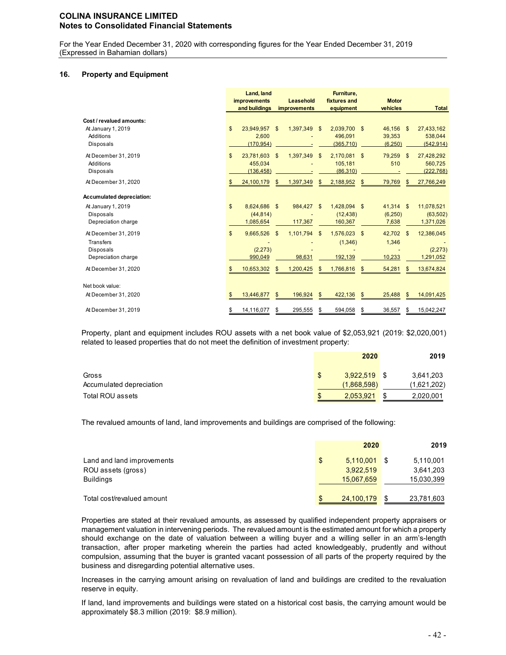For the Year Ended December 31, 2020 with corresponding figures for the Year Ended December 31, 2019 (Expressed in Bahamian dollars)

### **16. Property and Equipment**

|                                                                              |              | Land, land<br><b>improvements</b><br>and buildings |          | Leasehold<br><b>improvements</b> |                | Furniture,<br>fixtures and<br>equipment |     | <b>Motor</b><br>vehicles        |    | <b>Total</b>                         |
|------------------------------------------------------------------------------|--------------|----------------------------------------------------|----------|----------------------------------|----------------|-----------------------------------------|-----|---------------------------------|----|--------------------------------------|
| Cost / revalued amounts:<br>At January 1, 2019                               | \$           | 23.949.957 \$                                      |          | 1,397,349                        | -\$            | 2.039.700 \$                            |     | 46.156                          | \$ | 27,433,162                           |
| Additions<br><b>Disposals</b>                                                |              | 2,600<br>(170, 954)                                |          |                                  |                | 496,091<br>(365, 710)                   |     | 39,353<br>(6,250)               |    | 538,044<br>(542, 914)                |
| At December 31, 2019<br>Additions<br>Disposals                               | \$           | 23,781,603<br>455,034<br>(136, 458)                | - \$     | 1,397,349                        | \$             | 2,170,081<br>105,181<br>(86,310)        | -\$ | 79,259<br>510                   | \$ | 27,428,292<br>560,725<br>(222, 768)  |
| At December 31, 2020                                                         |              | 24,100,179                                         | \$       | 1,397,349                        | \$             | 2,188,952                               | \$  | 79,769                          |    | 27,766,249                           |
| Accumulated depreciation:                                                    |              |                                                    |          |                                  |                |                                         |     |                                 |    |                                      |
| At January 1, 2019<br><b>Disposals</b><br>Depreciation charge                | $\mathbb{S}$ | 8,624,686 \$<br>(44, 814)<br>1,085,654             |          | 984,427<br>117,367               | $\mathfrak{s}$ | 1,428,094 \$<br>(12, 438)<br>160,367    |     | $41,314$ \$<br>(6,250)<br>7,638 |    | 11,078,521<br>(63, 502)<br>1,371,026 |
| At December 31, 2019<br>Transfers<br><b>Disposals</b><br>Depreciation charge | \$           | 9,665,526<br>(2,273)<br>990.049                    | <b>S</b> | 1,101,794<br>98,631              | \$             | 1,576,023 \$<br>(1,346)<br>192.139      |     | 42,702<br>1,346<br>10,233       | \$ | 12,386,045<br>(2,273)<br>1,291,052   |
| At December 31, 2020                                                         |              | 10,653,302                                         | \$       | 1,200,425                        | \$             | 1,766,816                               | -S  | 54,281                          | S  | 13,674,824                           |
| Net book value:<br>At December 31, 2020                                      | \$           | 13,446,877                                         | \$       | 196,924                          | \$             | 422,136                                 | -\$ | 25,488                          | \$ | 14,091,425                           |
| At December 31, 2019                                                         | \$           | 14,116,077                                         | \$       | 295,555                          | \$             | 594,058                                 | \$  | 36,557                          | \$ | 15,042,247                           |

Property, plant and equipment includes ROU assets with a net book value of \$2,053,921 (2019: \$2,020,001) related to leased properties that do not meet the definition of investment property:

|                          |     | 2020           | 2019        |
|--------------------------|-----|----------------|-------------|
| Gross                    | \$. | $3.922.519$ \$ | 3,641,203   |
| Accumulated depreciation |     | (1,868,598)    | (1,621,202) |
| Total ROU assets         |     | 2,053,921      | 2,020,001   |

The revalued amounts of land, land improvements and buildings are comprised of the following:

|                            | 2020             |     | 2019       |
|----------------------------|------------------|-----|------------|
| Land and land improvements | \$<br>5,110,001  | -\$ | 5,110,001  |
| ROU assets (gross)         | 3,922,519        |     | 3,641,203  |
| <b>Buildings</b>           | 15,067,659       |     | 15,030,399 |
| Total cost/revalued amount | \$<br>24,100,179 | \$  | 23,781,603 |

Properties are stated at their revalued amounts, as assessed by qualified independent property appraisers or management valuation in intervening periods. The revalued amount is the estimated amount for which a property should exchange on the date of valuation between a willing buyer and a willing seller in an arm's-length transaction, after proper marketing wherein the parties had acted knowledgeably, prudently and without compulsion, assuming that the buyer is granted vacant possession of all parts of the property required by the business and disregarding potential alternative uses.

Increases in the carrying amount arising on revaluation of land and buildings are credited to the revaluation reserve in equity.

If land, land improvements and buildings were stated on a historical cost basis, the carrying amount would be approximately \$8.3 million (2019: \$8.9 million).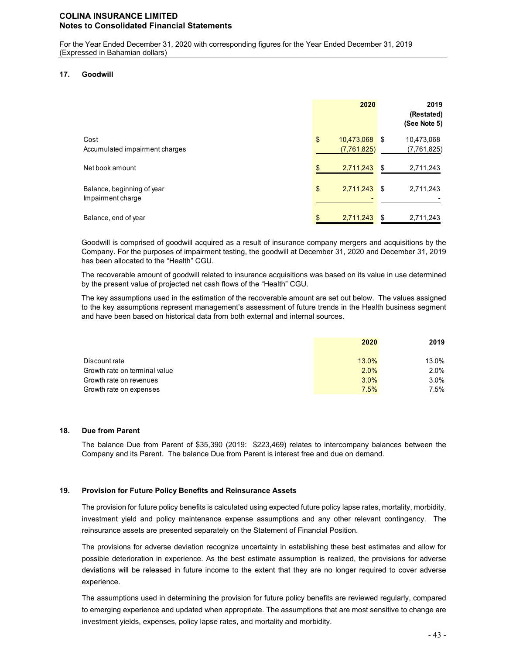For the Year Ended December 31, 2020 with corresponding figures for the Year Ended December 31, 2019 (Expressed in Bahamian dollars)

### **17. Goodwill**

|                                                 | 2020                              |          | 2019<br>(Restated)<br>(See Note 5) |
|-------------------------------------------------|-----------------------------------|----------|------------------------------------|
| Cost<br>Accumulated impairment charges          | \$<br>10,473,068<br>(7, 761, 825) | <b>S</b> | 10,473,068<br>(7, 761, 825)        |
| Net book amount                                 | \$<br>2,711,243                   | \$       | 2,711,243                          |
| Balance, beginning of year<br>Impairment charge | \$<br>2,711,243                   | ∣\$      | 2,711,243                          |
| Balance, end of year                            | \$<br>2,711,243                   | \$       | 2,711,243                          |

Goodwill is comprised of goodwill acquired as a result of insurance company mergers and acquisitions by the Company. For the purposes of impairment testing, the goodwill at December 31, 2020 and December 31, 2019 has been allocated to the "Health" CGU.

The recoverable amount of goodwill related to insurance acquisitions was based on its value in use determined by the present value of projected net cash flows of the "Health" CGU.

The key assumptions used in the estimation of the recoverable amount are set out below. The values assigned to the key assumptions represent management's assessment of future trends in the Health business segment and have been based on historical data from both external and internal sources.

|                               | 2020    | 2019    |
|-------------------------------|---------|---------|
|                               |         |         |
| Discount rate                 | 13.0%   | 13.0%   |
| Growth rate on terminal value | $2.0\%$ | 2.0%    |
| Growth rate on revenues       | 3.0%    | $3.0\%$ |
| Growth rate on expenses       | 7.5%    | $7.5\%$ |

#### **18. Due from Parent**

The balance Due from Parent of \$35,390 (2019: \$223,469) relates to intercompany balances between the Company and its Parent. The balance Due from Parent is interest free and due on demand.

### **19. Provision for Future Policy Benefits and Reinsurance Assets**

The provision for future policy benefits is calculated using expected future policy lapse rates, mortality, morbidity, investment yield and policy maintenance expense assumptions and any other relevant contingency. The reinsurance assets are presented separately on the Statement of Financial Position.

The provisions for adverse deviation recognize uncertainty in establishing these best estimates and allow for possible deterioration in experience. As the best estimate assumption is realized, the provisions for adverse deviations will be released in future income to the extent that they are no longer required to cover adverse experience.

The assumptions used in determining the provision for future policy benefits are reviewed regularly, compared to emerging experience and updated when appropriate. The assumptions that are most sensitive to change are investment yields, expenses, policy lapse rates, and mortality and morbidity.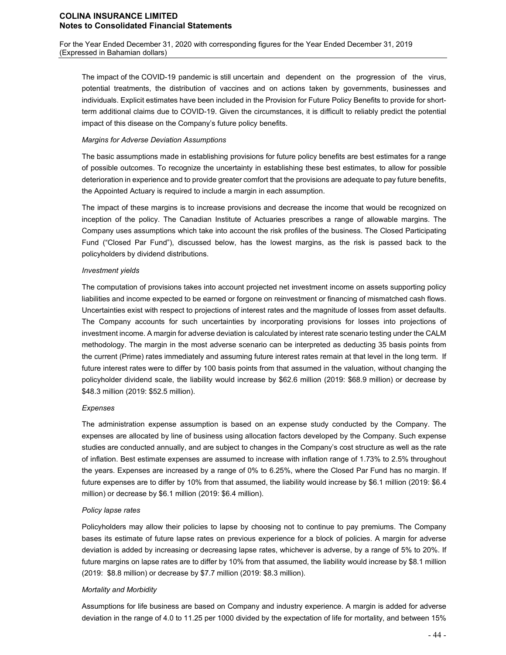For the Year Ended December 31, 2020 with corresponding figures for the Year Ended December 31, 2019 (Expressed in Bahamian dollars)

The impact of the COVID-19 pandemic is still uncertain and dependent on the progression of the virus, potential treatments, the distribution of vaccines and on actions taken by governments, businesses and individuals. Explicit estimates have been included in the Provision for Future Policy Benefits to provide for shortterm additional claims due to COVID-19. Given the circumstances, it is difficult to reliably predict the potential impact of this disease on the Company's future policy benefits.

### *Margins for Adverse Deviation Assumptions*

The basic assumptions made in establishing provisions for future policy benefits are best estimates for a range of possible outcomes. To recognize the uncertainty in establishing these best estimates, to allow for possible deterioration in experience and to provide greater comfort that the provisions are adequate to pay future benefits, the Appointed Actuary is required to include a margin in each assumption.

The impact of these margins is to increase provisions and decrease the income that would be recognized on inception of the policy. The Canadian Institute of Actuaries prescribes a range of allowable margins. The Company uses assumptions which take into account the risk profiles of the business. The Closed Participating Fund ("Closed Par Fund"), discussed below, has the lowest margins, as the risk is passed back to the policyholders by dividend distributions.

### *Investment yields*

The computation of provisions takes into account projected net investment income on assets supporting policy liabilities and income expected to be earned or forgone on reinvestment or financing of mismatched cash flows. Uncertainties exist with respect to projections of interest rates and the magnitude of losses from asset defaults. The Company accounts for such uncertainties by incorporating provisions for losses into projections of investment income. A margin for adverse deviation is calculated by interest rate scenario testing under the CALM methodology. The margin in the most adverse scenario can be interpreted as deducting 35 basis points from the current (Prime) rates immediately and assuming future interest rates remain at that level in the long term. If future interest rates were to differ by 100 basis points from that assumed in the valuation, without changing the policyholder dividend scale, the liability would increase by \$62.6 million (2019: \$68.9 million) or decrease by \$48.3 million (2019: \$52.5 million).

### *Expenses*

The administration expense assumption is based on an expense study conducted by the Company. The expenses are allocated by line of business using allocation factors developed by the Company. Such expense studies are conducted annually, and are subject to changes in the Company's cost structure as well as the rate of inflation. Best estimate expenses are assumed to increase with inflation range of 1.73% to 2.5% throughout the years. Expenses are increased by a range of 0% to 6.25%, where the Closed Par Fund has no margin. If future expenses are to differ by 10% from that assumed, the liability would increase by \$6.1 million (2019: \$6.4 million) or decrease by \$6.1 million (2019: \$6.4 million).

### *Policy lapse rates*

Policyholders may allow their policies to lapse by choosing not to continue to pay premiums. The Company bases its estimate of future lapse rates on previous experience for a block of policies. A margin for adverse deviation is added by increasing or decreasing lapse rates, whichever is adverse, by a range of 5% to 20%. If future margins on lapse rates are to differ by 10% from that assumed, the liability would increase by \$8.1 million (2019: \$8.8 million) or decrease by \$7.7 million (2019: \$8.3 million).

### *Mortality and Morbidity*

Assumptions for life business are based on Company and industry experience. A margin is added for adverse deviation in the range of 4.0 to 11.25 per 1000 divided by the expectation of life for mortality, and between 15%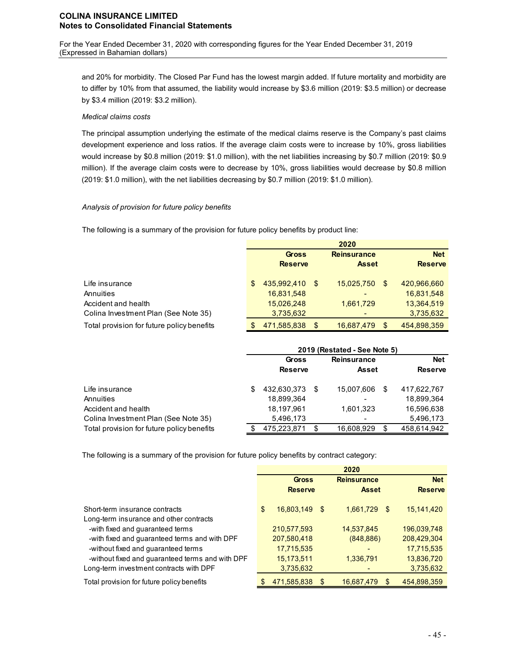For the Year Ended December 31, 2020 with corresponding figures for the Year Ended December 31, 2019 (Expressed in Bahamian dollars)

and 20% for morbidity. The Closed Par Fund has the lowest margin added. If future mortality and morbidity are to differ by 10% from that assumed, the liability would increase by \$3.6 million (2019: \$3.5 million) or decrease by \$3.4 million (2019: \$3.2 million).

# *Medical claims costs*

The principal assumption underlying the estimate of the medical claims reserve is the Company's past claims development experience and loss ratios. If the average claim costs were to increase by 10%, gross liabilities would increase by \$0.8 million (2019: \$1.0 million), with the net liabilities increasing by \$0.7 million (2019: \$0.9 million). If the average claim costs were to decrease by 10%, gross liabilities would decrease by \$0.8 million (2019: \$1.0 million), with the net liabilities decreasing by \$0.7 million (2019: \$1.0 million).

# *Analysis of provision for future policy benefits*

The following is a summary of the provision for future policy benefits by product line:

|                                            |     |                |    | 2020               |                   |
|--------------------------------------------|-----|----------------|----|--------------------|-------------------|
|                                            |     | <b>Gross</b>   |    | <b>Reinsurance</b> | <b>Net</b>        |
|                                            |     | <b>Reserve</b> |    | <b>Asset</b>       | <b>Reserve</b>    |
| Life insurance                             | \$. | 435.992.410    | -S | 15,025,750         | \$<br>420.966.660 |
| Annuities                                  |     | 16,831,548     |    |                    | 16,831,548        |
| Accident and health                        |     | 15,026,248     |    | 1,661,729          | 13,364,519        |
| Colina Investment Plan (See Note 35)       |     | 3,735,632      |    |                    | 3,735,632         |
| Total provision for future policy benefits |     | 471,585,838    | -S | 16,687,479         | \$<br>454,898,359 |

|                                            |   | 2019 (Restated - See Note 5) |     |                    |    |                |  |  |  |
|--------------------------------------------|---|------------------------------|-----|--------------------|----|----------------|--|--|--|
|                                            |   | Gross                        |     | <b>Reinsurance</b> |    | <b>Net</b>     |  |  |  |
|                                            |   | <b>Reserve</b>               |     | Asset              |    | <b>Reserve</b> |  |  |  |
| Life insurance                             | S | 432,630,373                  | S   | 15,007,606         | \$ | 417,622,767    |  |  |  |
| Annuities                                  |   | 18,899,364                   |     |                    |    | 18,899,364     |  |  |  |
| Accident and health                        |   | 18,197,961                   |     | 1.601.323          |    | 16,596,638     |  |  |  |
| Colina Investment Plan (See Note 35)       |   | 5,496,173                    |     |                    |    | 5,496,173      |  |  |  |
| Total provision for future policy benefits |   | 475,223,871                  | \$. | 16,608,929         | S  | 458,614,942    |  |  |  |

The following is a summary of the provision for future policy benefits by contract category:

|                                                  | 2020           |                |  |                    |      |                |
|--------------------------------------------------|----------------|----------------|--|--------------------|------|----------------|
|                                                  |                | <b>Gross</b>   |  | <b>Reinsurance</b> |      | <b>Net</b>     |
|                                                  |                | <b>Reserve</b> |  | <b>Asset</b>       |      | <b>Reserve</b> |
| Short-term insurance contracts                   | $\mathfrak{L}$ | 16,803,149 \$  |  | 1,661,729          | - \$ | 15,141,420     |
| Long-term insurance and other contracts          |                |                |  |                    |      |                |
| -with fixed and guaranteed terms                 |                | 210,577,593    |  | 14,537,845         |      | 196,039,748    |
| -with fixed and guaranteed terms and with DPF    |                | 207,580,418    |  | (848, 886)         |      | 208,429,304    |
| -without fixed and guaranteed terms              |                | 17,715,535     |  |                    |      | 17,715,535     |
| -without fixed and guaranteed terms and with DPF |                | 15,173,511     |  | 1,336,791          |      | 13,836,720     |
| Long-term investment contracts with DPF          |                | 3,735,632      |  |                    |      | 3,735,632      |
| Total provision for future policy benefits       |                | 471,585,838    |  | 16,687,479         |      | 454,898,359    |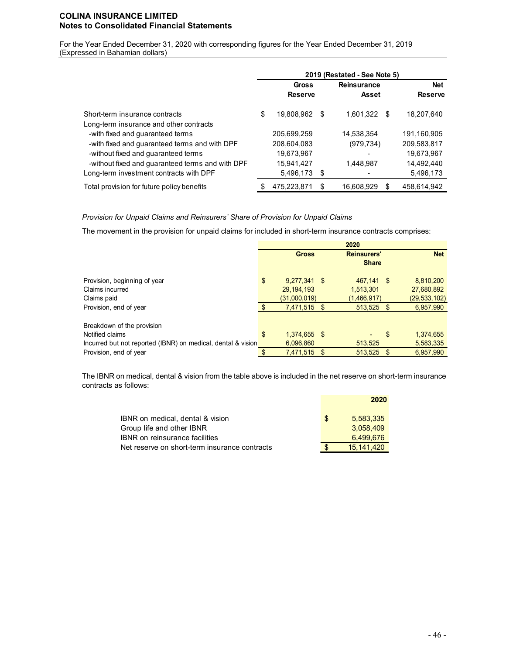For the Year Ended December 31, 2020 with corresponding figures for the Year Ended December 31, 2019 (Expressed in Bahamian dollars)

|                                                                                         | 2019 (Restated - See Note 5) |                            |   |                          |    |                            |  |
|-----------------------------------------------------------------------------------------|------------------------------|----------------------------|---|--------------------------|----|----------------------------|--|
|                                                                                         |                              | Gross                      |   | Reinsurance              |    | <b>Net</b>                 |  |
|                                                                                         |                              | <b>Reserve</b>             |   | <b>Asset</b>             |    | <b>Reserve</b>             |  |
| Short-term insurance contracts<br>Long-term insurance and other contracts               | \$                           | 19,808,962                 | S | 1,601,322                | -S | 18.207.640                 |  |
| -with fixed and guaranteed terms<br>-with fixed and guaranteed terms and with DPF       |                              | 205,699,259<br>208.604.083 |   | 14,538,354<br>(979, 734) |    | 191.160.905<br>209,583,817 |  |
| -without fixed and guaranteed terms<br>-without fixed and guaranteed terms and with DPF |                              | 19,673,967<br>15,941,427   |   | 1.448.987                |    | 19,673,967<br>14,492,440   |  |
| Long-term investment contracts with DPF<br>Total provision for future policy benefits   |                              | 5,496,173<br>475.223.871   | S | 16.608.929               | S  | 5,496,173<br>458.614.942   |  |

# *Provision for Unpaid Claims and Reinsurers' Share of Provision for Unpaid Claims*

The movement in the provision for unpaid claims for included in short-term insurance contracts comprises:

|                                                              | 2020 |                |      |                    |     |                |  |
|--------------------------------------------------------------|------|----------------|------|--------------------|-----|----------------|--|
|                                                              |      | <b>Gross</b>   |      | <b>Reinsurers'</b> |     | <b>Net</b>     |  |
|                                                              |      |                |      | <b>Share</b>       |     |                |  |
| Provision, beginning of year                                 | \$   | $9,277,341$ \$ |      | 467.141 \$         |     | 8,810,200      |  |
| Claims incurred                                              |      | 29, 194, 193   |      | 1,513,301          |     | 27,680,892     |  |
| Claims paid                                                  |      | (31,000,019)   |      | (1,466,917)        |     | (29, 533, 102) |  |
| Provision, end of year                                       |      | 7,471,515 \$   |      | 513,525 \$         |     | 6,957,990      |  |
|                                                              |      |                |      |                    |     |                |  |
| Breakdown of the provision                                   |      |                |      |                    |     |                |  |
| Notified claims                                              | \$   | 1,374,655 \$   |      |                    | \$  | 1,374,655      |  |
| Incurred but not reported (IBNR) on medical, dental & vision |      | 6,096,860      |      | 513,525            |     | 5,583,335      |  |
| Provision, end of year                                       | ¢    | 7,471,515      | - \$ | 513,525            | -\$ | 6,957,990      |  |

The IBNR on medical, dental & vision from the table above is included in the net reserve on short-term insurance contracts as follows:

|                                               |     | 2020       |
|-----------------------------------------------|-----|------------|
| IBNR on medical, dental & vision              | \$. | 5.583.335  |
| Group life and other IBNR                     |     | 3.058.409  |
| <b>IBNR</b> on reinsurance facilities         |     | 6.499.676  |
| Net reserve on short-term insurance contracts |     | 15.141.420 |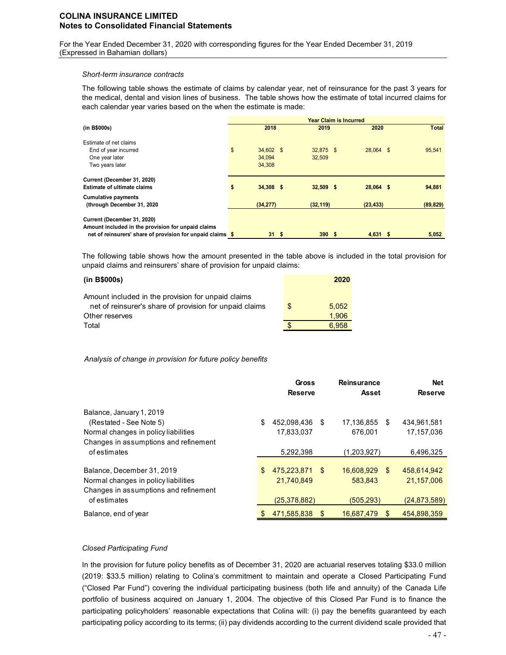For the Year Ended December 31, 2020 with corresponding figures for the Year Ended December 31, 2019 (Expressed in Bahamian dollars)

#### *Short-term insurance contracts*

The following table shows the estimate of claims by calendar year, net of reinsurance for the past 3 years for the medical, dental and vision lines of business. The table shows how the estimate of total incurred claims for each calendar year varies based on the when the estimate is made:

|                                                                   | <b>Year Claim is Incurred</b> |             |  |             |  |             |  |              |  |  |
|-------------------------------------------------------------------|-------------------------------|-------------|--|-------------|--|-------------|--|--------------|--|--|
| (in B\$000s)                                                      |                               | 2018        |  | 2019        |  | 2020        |  | <b>Total</b> |  |  |
| Estimate of net claims                                            |                               |             |  |             |  |             |  |              |  |  |
| End of year incurred                                              | \$                            | 34.602 \$   |  | 32.875 \$   |  | 28.064 \$   |  | 95,541       |  |  |
| One year later                                                    |                               | 34.094      |  | 32,509      |  |             |  |              |  |  |
| Two years later                                                   |                               | 34,308      |  |             |  |             |  |              |  |  |
| Current (December 31, 2020)<br><b>Estimate of ultimate claims</b> | \$                            | $34.308$ \$ |  | $32,509$ \$ |  | $28.064$ \$ |  | 94,881       |  |  |
| <b>Cumulative payments</b><br>(through December 31, 2020)         |                               | (34, 277)   |  | (32, 119)   |  | (23, 433)   |  | (89, 829)    |  |  |
| Current (December 31, 2020)                                       |                               |             |  |             |  |             |  |              |  |  |
| Amount included in the provision for unpaid claims                |                               |             |  |             |  |             |  |              |  |  |
| net of reinsurers' share of provision for unpaid claims \$        |                               | 31S         |  | 390S        |  | $4,631$ \$  |  | 5,052        |  |  |

The following table shows how the amount presented in the table above is included in the total provision for unpaid claims and reinsurers' share of provision for unpaid claims:

| (in B\$000s)                                            |     | 2020  |
|---------------------------------------------------------|-----|-------|
| Amount included in the provision for unpaid claims      |     |       |
| net of reinsurer's share of provision for unpaid claims | \$. | 5.052 |
| Other reserves                                          |     | 1.906 |
| Total                                                   |     | 6.958 |

*Analysis of change in provision for future policy benefits*

|                                                                               | Gross<br><b>Reserve</b> |      | <b>Reinsurance</b><br>Asset | <b>Net</b><br><b>Reserve</b> |
|-------------------------------------------------------------------------------|-------------------------|------|-----------------------------|------------------------------|
| Balance, January 1, 2019<br>(Restated - See Note 5)                           | \$<br>452,098,436       | - \$ | 17,136,855<br>S             | 434,961,581                  |
| Normal changes in policy liabilities<br>Changes in assumptions and refinement | 17,833,037              |      | 676.001                     | 17.157.036                   |
| of estimates                                                                  | 5,292,398               |      | (1,203,927)                 | 6,496,325                    |
| Balance, December 31, 2019                                                    | \$<br>475.223.871       | -S   | 16,608,929<br>\$.           | 458.614.942                  |
| Normal changes in policy liabilities                                          | 21.740.849              |      | 583.843                     | 21.157.006                   |
| Changes in assumptions and refinement<br>of estimates                         | (25, 378, 882)          |      | (505, 293)                  | (24, 873, 589)               |
| Balance, end of year                                                          | \$<br>471.585.838       |      | 16.687.479<br>\$.           | 454.898.359                  |

### *Closed Participating Fund*

In the provision for future policy benefits as of December 31, 2020 are actuarial reserves totaling \$33.0 million (2019: \$33.5 million) relating to Colina's commitment to maintain and operate a Closed Participating Fund ("Closed Par Fund") covering the individual participating business (both life and annuity) of the Canada Life portfolio of business acquired on January 1, 2004. The objective of this Closed Par Fund is to finance the participating policyholders' reasonable expectations that Colina will: (i) pay the benefits guaranteed by each participating policy according to its terms; (ii) pay dividends according to the current dividend scale provided that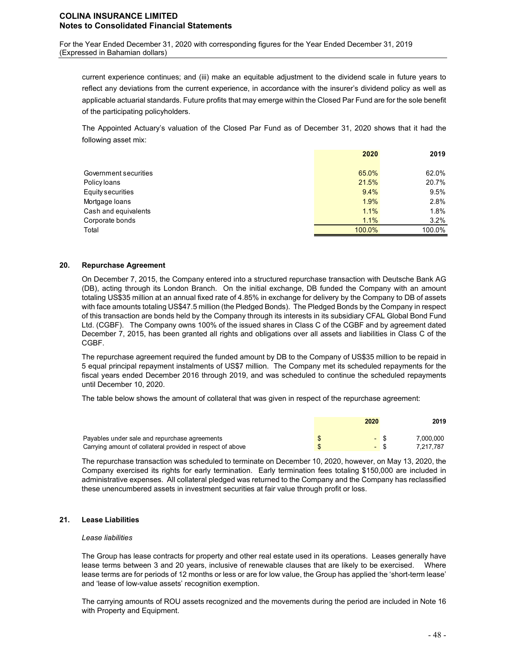For the Year Ended December 31, 2020 with corresponding figures for the Year Ended December 31, 2019 (Expressed in Bahamian dollars)

current experience continues; and (iii) make an equitable adjustment to the dividend scale in future years to reflect any deviations from the current experience, in accordance with the insurer's dividend policy as well as applicable actuarial standards. Future profits that may emerge within the Closed Par Fund are for the sole benefit of the participating policyholders.

The Appointed Actuary's valuation of the Closed Par Fund as of December 31, 2020 shows that it had the following asset mix:

|                       | 2020   | 2019    |
|-----------------------|--------|---------|
|                       |        |         |
| Government securities | 65.0%  | 62.0%   |
| Policy loans          | 21.5%  | 20.7%   |
| Equity securities     | 9.4%   | 9.5%    |
| Mortgage Ioans        | 1.9%   | 2.8%    |
| Cash and equivalents  | 1.1%   | $1.8\%$ |
| Corporate bonds       | 1.1%   | $3.2\%$ |
| Total                 | 100.0% | 100.0%  |

### **20. Repurchase Agreement**

On December 7, 2015, the Company entered into a structured repurchase transaction with Deutsche Bank AG (DB), acting through its London Branch. On the initial exchange, DB funded the Company with an amount totaling US\$35 million at an annual fixed rate of 4.85% in exchange for delivery by the Company to DB of assets with face amounts totaling US\$47.5 million (the Pledged Bonds). The Pledged Bonds by the Company in respect of this transaction are bonds held by the Company through its interests in its subsidiary CFAL Global Bond Fund Ltd. (CGBF). The Company owns 100% of the issued shares in Class C of the CGBF and by agreement dated December 7, 2015, has been granted all rights and obligations over all assets and liabilities in Class C of the CGBF.

The repurchase agreement required the funded amount by DB to the Company of US\$35 million to be repaid in 5 equal principal repayment instalments of US\$7 million. The Company met its scheduled repayments for the fiscal years ended December 2016 through 2019, and was scheduled to continue the scheduled repayments until December 10, 2020.

The table below shows the amount of collateral that was given in respect of the repurchase agreement:

|                                                            | 2020 | 2019      |
|------------------------------------------------------------|------|-----------|
| Payables under sale and repurchase agreements              |      | 7.000.000 |
| Carrying amount of collateral provided in respect of above |      | 7.217.787 |

The repurchase transaction was scheduled to terminate on December 10, 2020, however, on May 13, 2020, the Company exercised its rights for early termination. Early termination fees totaling \$150,000 are included in administrative expenses. All collateral pledged was returned to the Company and the Company has reclassified these unencumbered assets in investment securities at fair value through profit or loss.

### **21. Lease Liabilities**

#### *Lease liabilities*

The Group has lease contracts for property and other real estate used in its operations. Leases generally have lease terms between 3 and 20 years, inclusive of renewable clauses that are likely to be exercised. Where lease terms are for periods of 12 months or less or are for low value, the Group has applied the 'short-term lease' and 'lease of low-value assets' recognition exemption.

The carrying amounts of ROU assets recognized and the movements during the period are included in Note 16 with Property and Equipment.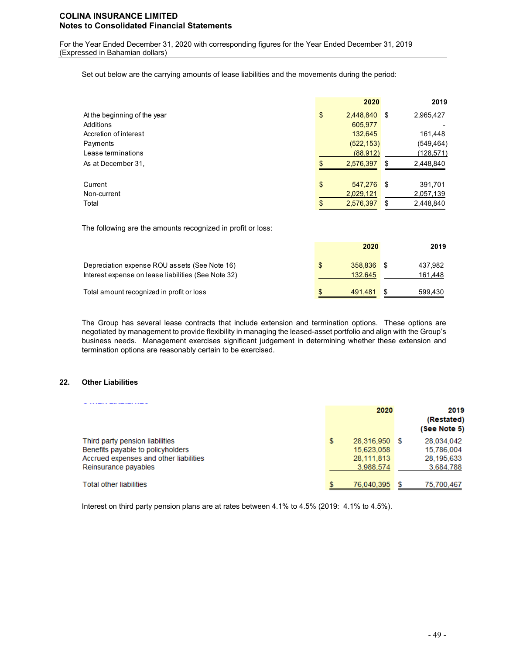For the Year Ended December 31, 2020 with corresponding figures for the Year Ended December 31, 2019 (Expressed in Bahamian dollars)

Set out below are the carrying amounts of lease liabilities and the movements during the period:

|                              | 2020             |      | 2019             |
|------------------------------|------------------|------|------------------|
| At the beginning of the year | \$<br>2,448,840  | - \$ | 2,965,427        |
| Additions                    | 605,977          |      |                  |
| Accretion of interest        | 132,645          |      | 161,448          |
| Payments                     | (522, 153)       |      | (549, 464)       |
| Lease terminations           | (88, 912)        |      | <u>(128,571)</u> |
| As at December 31,           | \$<br>2,576,397  | \$   | 2,448,840        |
| Current                      | \$<br>547,276 \$ |      | 391,701          |
| Non-current                  | 2,029,121        |      | 2,057,139        |
| Total                        | \$<br>2,576,397  | \$   | 2,448,840        |

The following are the amounts recognized in profit or loss:

|                                                                                                      | 2020                    | 2019               |
|------------------------------------------------------------------------------------------------------|-------------------------|--------------------|
| Depreciation expense ROU assets (See Note 16)<br>Interest expense on lease liabilities (See Note 32) | $358.836$ \$<br>132.645 | 437.982<br>161,448 |
| Total amount recognized in profit or loss                                                            | 491.481                 | 599,430            |

The Group has several lease contracts that include extension and termination options. These options are negotiated by management to provide flexibility in managing the leased-asset portfolio and align with the Group's business needs. Management exercises significant judgement in determining whether these extension and termination options are reasonably certain to be exercised.

# **22. Other Liabilities**

|                                                                                                                                        |   | 2020                                                   | 2019<br>(Restated)<br>(See Note 5)                  |
|----------------------------------------------------------------------------------------------------------------------------------------|---|--------------------------------------------------------|-----------------------------------------------------|
| Third party pension liabilities<br>Benefits payable to policyholders<br>Accrued expenses and other liabilities<br>Reinsurance payables | S | 28.316.950 \$<br>15,623,058<br>28.111.813<br>3.988.574 | 28.034.042<br>15.786.004<br>28.195.633<br>3.684.788 |
| <b>Total other liabilities</b>                                                                                                         |   | 76.040.395                                             | 75.700.467                                          |

Interest on third party pension plans are at rates between 4.1% to 4.5% (2019: 4.1% to 4.5%).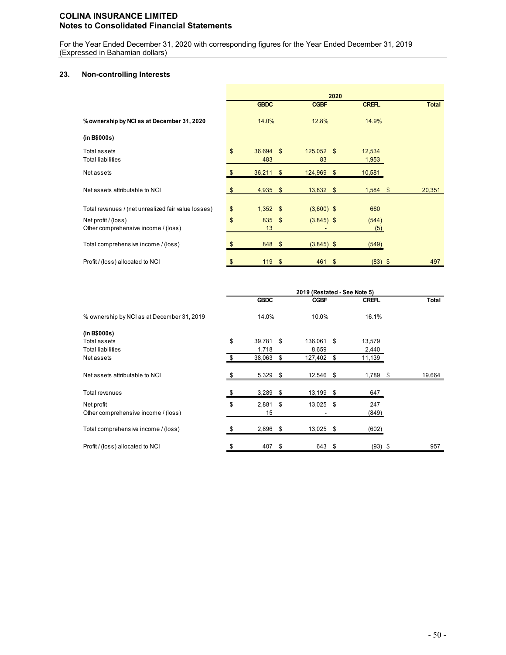For the Year Ended December 31, 2020 with corresponding figures for the Year Ended December 31, 2019 (Expressed in Bahamian dollars)

# **23. Non-controlling Interests**

|                                                            | 2020 |                    |  |                    |  |                 |  |        |
|------------------------------------------------------------|------|--------------------|--|--------------------|--|-----------------|--|--------|
|                                                            |      | <b>GBDC</b>        |  | <b>CGBF</b>        |  | <b>CREFL</b>    |  | Total  |
| % ownership by NCI as at December 31, 2020                 |      | 14.0%              |  | 12.8%              |  | 14.9%           |  |        |
| (in B\$000s)                                               |      |                    |  |                    |  |                 |  |        |
| Total assets<br><b>Total liabilities</b>                   | \$   | $36,694$ \$<br>483 |  | $125,052$ \$<br>83 |  | 12,534<br>1,953 |  |        |
| Net assets                                                 |      | $36,211$ \$        |  | 124,969 \$         |  | 10,581          |  |        |
| Net assets attributable to NCI                             |      | $4,935$ \$         |  | $13,832$ \$        |  | $1,584$ \$      |  | 20,351 |
| Total revenues / (net unrealized fair value losses)        | \$   | $1,352$ \$         |  | $(3,600)$ \$       |  | 660             |  |        |
| Net profit / (loss)<br>Other comprehensive income / (loss) | \$   | 835 \$<br>13       |  | $(3,845)$ \$       |  | (544)<br>(5)    |  |        |
| Total comprehensive income / (loss)                        |      | 848 \$             |  | $(3,845)$ \$       |  | (549)           |  |        |
| Profit / (loss) allocated to NCI                           |      | 119S               |  | $461 \text{ } $$   |  | $(83)$ \$       |  | 497    |

|                                            | 2019 (Restated - See Note 5) |             |    |             |    |              |  |        |
|--------------------------------------------|------------------------------|-------------|----|-------------|----|--------------|--|--------|
|                                            |                              | <b>GBDC</b> |    | <b>CGBF</b> |    | <b>CREFL</b> |  | Total  |
| % ownership by NCI as at December 31, 2019 |                              | 14.0%       |    | 10.0%       |    | 16.1%        |  |        |
| (in B\$000s)                               |                              |             |    |             |    |              |  |        |
| Total assets                               | \$                           | 39,781 \$   |    | 136,061 \$  |    | 13,579       |  |        |
| <b>Total liabilities</b>                   |                              | 1,718       |    | 8,659       |    | 2,440        |  |        |
| Net assets                                 |                              | 38,063      | \$ | 127,402     | \$ | 11,139       |  |        |
| Net assets attributable to NCI             |                              | $5,329$ \$  |    | 12,546 \$   |    | 1,789 \$     |  | 19,664 |
| Total revenues                             |                              | $3,289$ \$  |    | 13,199 \$   |    | 647          |  |        |
| Net profit                                 | \$                           | $2,881$ \$  |    | 13,025 \$   |    | 247          |  |        |
| Other comprehensive income / (loss)        |                              | 15          |    |             |    | (849)        |  |        |
| Total comprehensive income / (loss)        |                              | 2,896 \$    |    | $13,025$ \$ |    | (602)        |  |        |
| Profit / (loss) allocated to NCI           |                              | 407         | \$ | 643 \$      |    | $(93)$ \$    |  | 957    |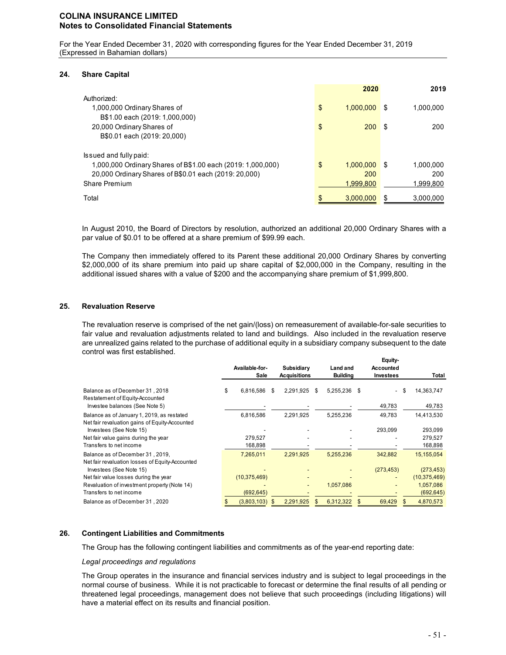For the Year Ended December 31, 2020 with corresponding figures for the Year Ended December 31, 2019 (Expressed in Bahamian dollars)

### **24. Share Capital**

|                                                             | 2020            |    | 2019      |
|-------------------------------------------------------------|-----------------|----|-----------|
| Authorized:                                                 |                 |    |           |
| 1,000,000 Ordinary Shares of                                | \$<br>1.000.000 | -S | 1,000,000 |
| B\$1.00 each (2019: 1,000,000)                              |                 |    |           |
| 20,000 Ordinary Shares of                                   | \$<br>200       | S  | 200       |
| B\$0.01 each (2019: 20,000)                                 |                 |    |           |
| Issued and fully paid:                                      |                 |    |           |
| 1,000,000 Ordinary Shares of B\$1.00 each (2019: 1,000,000) | \$<br>1.000.000 | -S | 1.000.000 |
| 20,000 Ordinary Shares of B\$0.01 each (2019: 20,000)       | 200             |    | 200       |
| <b>Share Premium</b>                                        | 1.999.800       |    | 1.999.800 |
| Total                                                       | 3.000.000       | S  | 3.000.000 |

In August 2010, the Board of Directors by resolution, authorized an additional 20,000 Ordinary Shares with a par value of \$0.01 to be offered at a share premium of \$99.99 each.

The Company then immediately offered to its Parent these additional 20,000 Ordinary Shares by converting \$2,000,000 of its share premium into paid up share capital of \$2,000,000 in the Company, resulting in the additional issued shares with a value of \$200 and the accompanying share premium of \$1,999,800.

### **25. Revaluation Reserve**

The revaluation reserve is comprised of the net gain/(loss) on remeasurement of available-for-sale securities to fair value and revaluation adjustments related to land and buildings. Also included in the revaluation reserve are unrealized gains related to the purchase of additional equity in a subsidiary company subsequent to the date control was first established.

|                                                                                              | Available-for-<br>Sale | <b>Subsidiary</b><br><b>Acquisitions</b> | Land and<br><b>Building</b> | Equity-<br><b>Accounted</b><br><b>Investees</b> |     | Total          |
|----------------------------------------------------------------------------------------------|------------------------|------------------------------------------|-----------------------------|-------------------------------------------------|-----|----------------|
| Balance as of December 31 , 2018<br>Restatement of Equity-Accounted                          | 6,816,586<br>\$        | \$<br>2,291,925                          | \$<br>5,255,236 \$          | $\blacksquare$                                  | -S  | 14,363,747     |
| Investee balances (See Note 5)                                                               |                        |                                          |                             | 49,783                                          |     | 49,783         |
| Balance as of January 1, 2019, as restated<br>Net fair revaluation gains of Equity-Accounted | 6,816,586              | 2,291,925                                | 5,255,236                   | 49,783                                          |     | 14,413,530     |
| Investees (See Note 15)                                                                      |                        |                                          |                             | 293,099                                         |     | 293,099        |
| Net fair value gains during the year                                                         | 279,527                |                                          |                             |                                                 |     | 279,527        |
| Transfers to net income                                                                      | 168,898                |                                          |                             |                                                 |     | 168,898        |
| Balance as of December 31, 2019,<br>Net fair revaluation losses of Equity-Accounted          | 7,265,011              | 2,291,925                                | 5,255,236                   | 342,882                                         |     | 15,155,054     |
| Investees (See Note 15)                                                                      |                        |                                          |                             | (273, 453)                                      |     | (273, 453)     |
| Net fair value losses during the year                                                        | (10, 375, 469)         |                                          |                             |                                                 |     | (10, 375, 469) |
| Revaluation of investment property (Note 14)                                                 |                        |                                          | 1,057,086                   |                                                 |     | 1,057,086      |
| Transfers to net income                                                                      | (692, 645)             |                                          |                             |                                                 |     | (692, 645)     |
| 2020 , Balance as of December 31                                                             | (3,803,103)            | \$<br>2,291,925                          | 6,312,322                   | 69,429                                          | \$. | 4,870,573      |

# **26. Contingent Liabilities and Commitments**

The Group has the following contingent liabilities and commitments as of the year-end reporting date:

### *Legal proceedings and regulations*

The Group operates in the insurance and financial services industry and is subject to legal proceedings in the normal course of business. While it is not practicable to forecast or determine the final results of all pending or threatened legal proceedings, management does not believe that such proceedings (including litigations) will have a material effect on its results and financial position.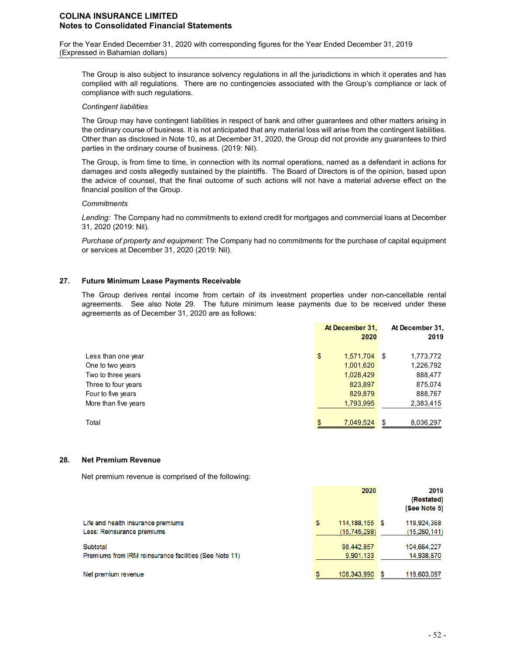For the Year Ended December 31, 2020 with corresponding figures for the Year Ended December 31, 2019 (Expressed in Bahamian dollars)

The Group is also subject to insurance solvency regulations in all the jurisdictions in which it operates and has complied with all regulations. There are no contingencies associated with the Group's compliance or lack of compliance with such regulations.

#### *Contingent liabilities*

The Group may have contingent liabilities in respect of bank and other guarantees and other matters arising in the ordinary course of business. It is not anticipated that any material loss will arise from the contingent liabilities. Other than as disclosed in Note 10, as at December 31, 2020, the Group did not provide any guarantees to third parties in the ordinary course of business. (2019: Nil).

The Group, is from time to time, in connection with its normal operations, named as a defendant in actions for damages and costs allegedly sustained by the plaintiffs. The Board of Directors is of the opinion, based upon the advice of counsel, that the final outcome of such actions will not have a material adverse effect on the financial position of the Group.

### *Commitments*

*Lending:* The Company had no *c*ommitments to extend credit for mortgages and commercial loans at December 31, 2020 (2019: Nil).

*Purchase of property and equipment:* The Company had no commitments for the purchase of capital equipment or services at December 31, 2020 (2019: Nil).

### **27. Future Minimum Lease Payments Receivable**

The Group derives rental income from certain of its investment properties under non-cancellable rental agreements. See also Note 29. The future minimum lease payments due to be received under these agreements as of December 31, 2020 are as follows:

|                      | At December 31,<br>2020                     | At December 31,<br>2019 |
|----------------------|---------------------------------------------|-------------------------|
| Less than one year   | $\boldsymbol{\mathsf{s}}$<br>$1,571,704$ \$ | 1,773,772               |
| One to two years     | 1,001,620                                   | 1,226,792               |
| Two to three years   | 1,028,429                                   | 888,477                 |
| Three to four years  | 823,897                                     | 875,074                 |
| Four to five years   | 829,879                                     | 888,767                 |
| More than five years | 1,793,995                                   | 2,383,415               |
| Total                | \$<br>7,049,524                             | 8,036,297<br>\$         |

## **28. Net Premium Revenue**

Net premium revenue is comprised of the following:

|                                                                    | 2020                                 | 2019<br>(Restated)<br>(See Note 5) |
|--------------------------------------------------------------------|--------------------------------------|------------------------------------|
| Life and health insurance premiums<br>Less: Reinsurance premiums   | \$<br>114.188.155 \$<br>(15,745,298) | 119,924,368<br>(15, 260, 141)      |
| Subtotal<br>Premiums from IRM reinsurance facilities (See Note 11) | 98,442,857<br>9,901,133              | 104.664.227<br>14,938,870          |
| Net premium revenue                                                | \$<br>108,343,990                    | 119,603,097<br>S                   |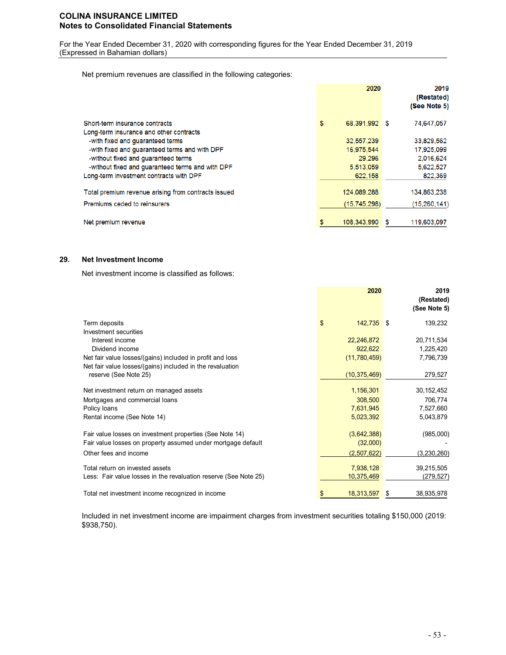For the Year Ended December 31, 2020 with corresponding figures for the Year Ended December 31, 2019 (Expressed in Bahamian dollars)

Net premium revenues are classified in the following categories:

|                                                     | 2020                |   | 2019<br>(Restated)<br>(See Note 5) |
|-----------------------------------------------------|---------------------|---|------------------------------------|
| Short-term insurance contracts                      | \$<br>68.391.992 \$ |   | 74,647,057                         |
| Long-term insurance and other contracts             |                     |   |                                    |
| -with fixed and guaranteed terms                    | 32,557,239          |   | 33.829.562                         |
| -with fixed and quaranteed terms and with DPF       | 16.975.544          |   | 17.925.099                         |
| -without fixed and quaranteed terms                 | 29.296              |   | 2,016,624                          |
| -without fixed and guaranteed terms and with DPF    | 5,513,059           |   | 5,622,527                          |
| Long-term investment contracts with DPF             | 622,158             |   | 822,369                            |
| Total premium revenue arising from contracts issued | 124.089.288         |   | 134,863,238                        |
| Premiums ceded to reinsurers                        | (15.745.298)        |   | (15, 260, 141)                     |
| Net premium revenue                                 | \$<br>108.343.990   | S | 119,603,097                        |

# **29. Net Investment Income**

Net investment income is classified as follows:

|                                                                  | 2020             | 2019<br>(Restated)<br>(See Note 5) |
|------------------------------------------------------------------|------------------|------------------------------------|
| Term deposits                                                    | \$<br>142,735 \$ | 139,232                            |
| Investment securities                                            |                  |                                    |
| Interest income                                                  | 22,246,872       | 20,711,534                         |
| Dividend income                                                  | 922,622          | 1,225,420                          |
| Net fair value losses/(gains) included in profit and loss        | (11,780,459)     | 7,796,739                          |
| Net fair value losses/(gains) included in the revaluation        |                  |                                    |
| reserve (See Note 25)                                            | (10, 375, 469)   | 279,527                            |
| Net investment return on managed assets                          | 1,156,301        | 30, 152, 452                       |
| Mortgages and commercial loans                                   | 308,500          | 706,774                            |
| Policy loans                                                     | 7,631,945        | 7,527,660                          |
| Rental income (See Note 14)                                      | 5,023,392        | 5,043,879                          |
| Fair value losses on investment properties (See Note 14)         | (3,642,388)      | (985,000)                          |
| Fair value losses on property assumed under mortgage default     | (32,000)         |                                    |
| Other fees and income                                            | (2,507,622)      | (3,230,260)                        |
| Total return on invested assets                                  | 7,938,128        | 39,215,505                         |
| Less: Fair value losses in the revaluation reserve (See Note 25) | 10,375,469       | (279, 527)                         |
| Total net investment income recognized in income                 | 18,313,597       | \$<br>38,935,978                   |
|                                                                  |                  |                                    |

Included in net investment income are impairment charges from investment securities totaling \$150,000 (2019: \$938,750).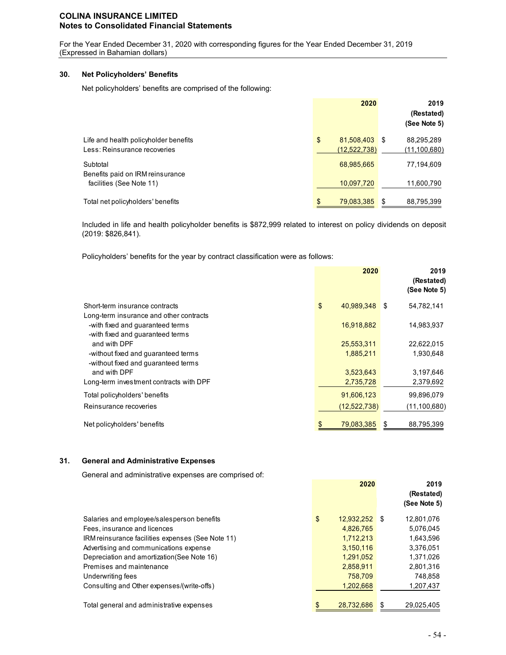For the Year Ended December 31, 2020 with corresponding figures for the Year Ended December 31, 2019 (Expressed in Bahamian dollars)

# **30. Net Policyholders' Benefits**

Net policyholders' benefits are comprised of the following:

|                                                                       | 2020                             | 2019<br>(Restated)<br>(See Note 5)   |
|-----------------------------------------------------------------------|----------------------------------|--------------------------------------|
| Life and health policyholder benefits<br>Less: Reinsurance recoveries | \$<br>81,508,403<br>(12,522,738) | 88,295,289<br>- \$<br>(11, 100, 680) |
| Subtotal<br>Benefits paid on IRM reinsurance                          | 68,985,665                       | 77,194,609                           |
| facilities (See Note 11)<br>Total net policyholders' benefits         | 10,097,720<br>\$<br>79,083,385   | 11,600,790<br>88,795,399<br>\$       |

Included in life and health policyholder benefits is \$872,999 related to interest on policy dividends on deposit (2019: \$826,841).

Policyholders' benefits for the year by contract classification were as follows:

|                                         |                     | 2020 | (Restated)<br>(See Note 5) | 2019 |
|-----------------------------------------|---------------------|------|----------------------------|------|
| Short-term insurance contracts          | \$<br>40,989,348 \$ |      | 54,782,141                 |      |
| Long-term insurance and other contracts |                     |      |                            |      |
| -with fixed and guaranteed terms        | 16,918,882          |      | 14,983,937                 |      |
| -with fixed and guaranteed terms        |                     |      |                            |      |
| and with DPF                            | 25,553,311          |      | 22,622,015                 |      |
| -without fixed and guaranteed terms     | 1,885,211           |      | 1,930,648                  |      |
| -without fixed and guaranteed terms     |                     |      |                            |      |
| and with DPF                            | 3,523,643           |      | 3,197,646                  |      |
| Long-term investment contracts with DPF | 2,735,728           |      | 2,379,692                  |      |
| Total policyholders' benefits           | 91,606,123          |      | 99,896,079                 |      |
| Reinsurance recoveries                  | (12, 522, 738)      |      | (11,100,680)               |      |
| Net policyholders' benefits             | 79,083,385          |      | 88,795,399<br>S            |      |

# **31. General and Administrative Expenses**

General and administrative expenses are comprised of:

|                                                   | 2020                  |   | 2019<br>(Restated)<br>(See Note 5) |
|---------------------------------------------------|-----------------------|---|------------------------------------|
| Salaries and employee/salesperson benefits        | \$<br>$12,932,252$ \$ |   | 12,801,076                         |
| Fees, insurance and licences                      | 4,826,765             |   | 5,076,045                          |
| IRM reinsurance facilities expenses (See Note 11) | 1.712.213             |   | 1.643.596                          |
| Advertising and communications expense            | 3,150,116             |   | 3,376,051                          |
| Depreciation and amortization (See Note 16)       | 1.291.052             |   | 1.371.026                          |
| Premises and maintenance                          | 2,858,911             |   | 2,801,316                          |
| Underwriting fees                                 | 758.709               |   | 748,858                            |
| Consulting and Other expenses/(write-offs)        | 1.202.668             |   | 1,207,437                          |
| Total general and administrative expenses         | \$<br>28.732.686      | S | 29.025.405                         |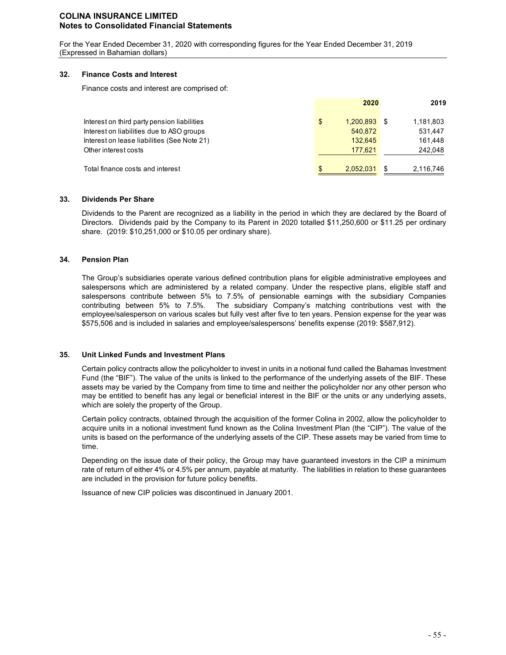For the Year Ended December 31, 2020 with corresponding figures for the Year Ended December 31, 2019 (Expressed in Bahamian dollars)

### **32. Finance Costs and Interest**

Finance costs and interest are comprised of:

|                                             |                 | 2020 | 2019      |
|---------------------------------------------|-----------------|------|-----------|
| Interest on third party pension liabilities | \$<br>1.200.893 | - \$ | 1,181,803 |
| Interest on liabilities due to ASO groups   | 540,872         |      | 531,447   |
| Interest on lease liabilities (See Note 21) | 132.645         |      | 161,448   |
| Other interest costs                        | 177.621         |      | 242,048   |
| Total finance costs and interest            | \$<br>2.052.031 | S    | 2,116,746 |

### **33. Dividends Per Share**

Dividends to the Parent are recognized as a liability in the period in which they are declared by the Board of Directors. Dividends paid by the Company to its Parent in 2020 totalled \$11,250,600 or \$11.25 per ordinary share. (2019: \$10,251,000 or \$10.05 per ordinary share).

### **34. Pension Plan**

The Group's subsidiaries operate various defined contribution plans for eligible administrative employees and salespersons which are administered by a related company. Under the respective plans, eligible staff and salespersons contribute between 5% to 7.5% of pensionable earnings with the subsidiary Companies contributing between 5% to 7.5%. The subsidiary Company's matching contributions vest with the employee/salesperson on various scales but fully vest after five to ten years. Pension expense for the year was \$575,506 and is included in salaries and employee/salespersons' benefits expense (2019: \$587,912).

### **35. Unit Linked Funds and Investment Plans**

Certain policy contracts allow the policyholder to invest in units in a notional fund called the Bahamas Investment Fund (the "BIF"). The value of the units is linked to the performance of the underlying assets of the BIF. These assets may be varied by the Company from time to time and neither the policyholder nor any other person who may be entitled to benefit has any legal or beneficial interest in the BIF or the units or any underlying assets, which are solely the property of the Group.

Certain policy contracts, obtained through the acquisition of the former Colina in 2002, allow the policyholder to acquire units in a notional investment fund known as the Colina Investment Plan (the "CIP"). The value of the units is based on the performance of the underlying assets of the CIP. These assets may be varied from time to time.

Depending on the issue date of their policy, the Group may have guaranteed investors in the CIP a minimum rate of return of either 4% or 4.5% per annum, payable at maturity. The liabilities in relation to these guarantees are included in the provision for future policy benefits.

Issuance of new CIP policies was discontinued in January 2001.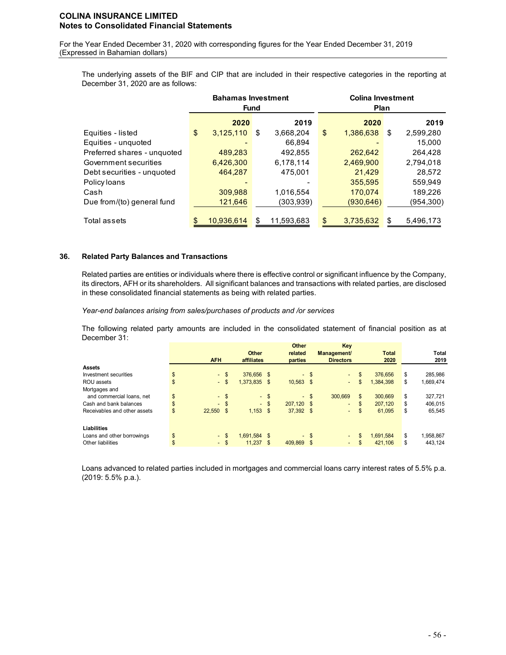For the Year Ended December 31, 2020 with corresponding figures for the Year Ended December 31, 2019 (Expressed in Bahamian dollars)

The underlying assets of the BIF and CIP that are included in their respective categories in the reporting at December 31, 2020 are as follows:

|                             | <b>Bahamas Investment</b><br><b>Fund</b> |    |            | <b>Colina Investment</b><br><b>Plan</b> |            |    |           |  |  |  |  |  |
|-----------------------------|------------------------------------------|----|------------|-----------------------------------------|------------|----|-----------|--|--|--|--|--|
|                             | 2020                                     |    | 2019       |                                         | 2020       |    | 2019      |  |  |  |  |  |
| Equities - listed           | \$<br>3,125,110                          | \$ | 3,668,204  | \$                                      | 1,386,638  | \$ | 2,599,280 |  |  |  |  |  |
| Equities - unquoted         |                                          |    | 66,894     |                                         |            |    | 15,000    |  |  |  |  |  |
| Preferred shares - unquoted | 489.283                                  |    | 492.855    |                                         | 262.642    |    | 264.428   |  |  |  |  |  |
| Government securities       | 6,426,300                                |    | 6,178,114  |                                         | 2.469.900  |    | 2,794,018 |  |  |  |  |  |
| Debt securities - unquoted  | 464.287                                  |    | 475.001    |                                         | 21,429     |    | 28,572    |  |  |  |  |  |
| Policy loans                |                                          |    |            |                                         | 355,595    |    | 559.949   |  |  |  |  |  |
| Cash                        | 309,988                                  |    | 1.016.554  |                                         | 170,074    |    | 189,226   |  |  |  |  |  |
| Due from/(to) general fund  | 121,646                                  |    | (303,939)  |                                         | (930, 646) |    | (954,300) |  |  |  |  |  |
| Total assets                | 10,936,614                               | S  | 11,593,683 | \$                                      | 3,735,632  |    | 5,496,173 |  |  |  |  |  |

### **36. Related Party Balances and Transactions**

Related parties are entities or individuals where there is effective control or significant influence by the Company, its directors, AFH or its shareholders. All significant balances and transactions with related parties, are disclosed in these consolidated financial statements as being with related parties.

### *Year-end balances arising from sales/purchases of products and /or services*

The following related party amounts are included in the consolidated statement of financial position as at December 31:

|                              |    |            |      |              | <b>Other</b> |             | Key    |                    |                 |                 |
|------------------------------|----|------------|------|--------------|--------------|-------------|--------|--------------------|-----------------|-----------------|
|                              |    |            |      | <b>Other</b> |              | related     |        | <b>Management/</b> | <b>Total</b>    | Total           |
|                              |    | <b>AFH</b> |      | affiliates   |              | parties     |        | <b>Directors</b>   | 2020            | 2019            |
| <b>Assets</b>                |    |            |      |              |              |             |        |                    |                 |                 |
| Investment securities        | \$ |            | - \$ | 376.656 \$   |              |             | - \$   | $\sim$             | \$<br>376,656   | \$<br>285,986   |
| ROU assets                   | \$ |            | - \$ | 1,373,835 \$ |              | $10,563$ \$ |        | $\sim$             | \$<br>1,384,398 | \$<br>1,669,474 |
| Mortgages and                |    |            |      |              |              |             |        |                    |                 |                 |
| and commercial loans, net    | \$ |            | - \$ |              | $-$ \$       |             | $-$ \$ | 300.669            | \$<br>300.669   | \$<br>327,721   |
| Cash and bank balances       | \$ |            | - \$ |              | $-$ \$       | 207.120 \$  |        | ٠                  | \$<br>207.120   | \$<br>406.015   |
| Receivables and other assets | \$ | 22,550     | - \$ | $1,153$ \$   |              | $37,392$ \$ |        | $\sim$             | \$<br>61,095    | \$<br>65,545    |
|                              |    |            |      |              |              |             |        |                    |                 |                 |
| <b>Liabilities</b>           |    |            |      |              |              |             |        |                    |                 |                 |
| Loans and other borrowings   | \$ |            | - \$ | 1.691.584 \$ |              |             | $-$ \$ | $\sim$             | \$<br>1,691,584 | \$<br>1,958,867 |
| Other liabilities            | \$ |            | - \$ | 11.237       | -\$          | 409,869 \$  |        | ٠                  | \$<br>421.106   | \$<br>443.124   |
|                              |    |            |      |              |              |             |        |                    |                 |                 |

Loans advanced to related parties included in mortgages and commercial loans carry interest rates of 5.5% p.a. (2019: 5.5% p.a.).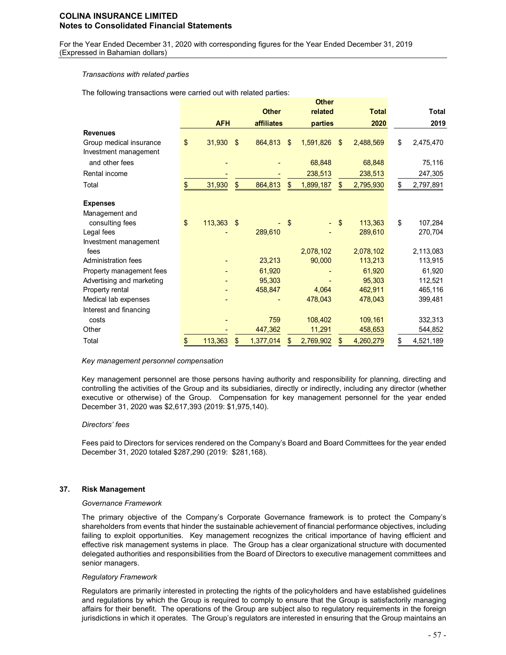For the Year Ended December 31, 2020 with corresponding figures for the Year Ended December 31, 2019 (Expressed in Bahamian dollars)

### *Transactions with related parties*

The following transactions were carried out with related parties:

|                           | <b>Other</b>  |     |              |               |           |    |              |    |           |
|---------------------------|---------------|-----|--------------|---------------|-----------|----|--------------|----|-----------|
|                           |               |     | <b>Other</b> |               | related   |    | <b>Total</b> |    | Total     |
|                           | <b>AFH</b>    |     | affiliates   |               | parties   |    | 2020         |    | 2019      |
| <b>Revenues</b>           |               |     |              |               |           |    |              |    |           |
| Group medical insurance   | \$<br>31,930  | \$  | 864,813      | \$            | 1,591,826 | \$ | 2,488,569    | \$ | 2,475,470 |
| Investment management     |               |     |              |               |           |    |              |    |           |
| and other fees            |               |     |              |               | 68,848    |    | 68,848       |    | 75,116    |
| Rental income             |               |     |              |               | 238,513   |    | 238,513      |    | 247,305   |
| Total                     | \$<br>31,930  | \$  | 864,813      | \$            | 1,899,187 | \$ | 2,795,930    | \$ | 2,797,891 |
| <b>Expenses</b>           |               |     |              |               |           |    |              |    |           |
| Management and            |               |     |              |               |           |    |              |    |           |
| consulting fees           | \$<br>113,363 | -\$ |              | $\mathcal{S}$ |           | \$ | 113,363      | \$ | 107,284   |
| Legal fees                |               |     | 289,610      |               |           |    | 289,610      |    | 270,704   |
| Investment management     |               |     |              |               |           |    |              |    |           |
| fees                      |               |     |              |               | 2,078,102 |    | 2,078,102    |    | 2,113,083 |
| Administration fees       |               |     | 23,213       |               | 90,000    |    | 113,213      |    | 113,915   |
| Property management fees  |               |     | 61,920       |               |           |    | 61,920       |    | 61,920    |
| Advertising and marketing |               |     | 95,303       |               |           |    | 95,303       |    | 112,521   |
| Property rental           |               |     | 458,847      |               | 4,064     |    | 462,911      |    | 465,116   |
| Medical lab expenses      |               |     |              |               | 478,043   |    | 478,043      |    | 399,481   |
| Interest and financing    |               |     |              |               |           |    |              |    |           |
| costs                     |               |     | 759          |               | 108,402   |    | 109,161      |    | 332,313   |
| Other                     |               |     | 447,362      |               | 11,291    |    | 458,653      |    | 544,852   |
| Total                     | \$<br>113,363 | \$  | 1,377,014    | \$            | 2,769,902 | \$ | 4,260,279    | \$ | 4,521,189 |

#### *Key management personnel compensation*

Key management personnel are those persons having authority and responsibility for planning, directing and controlling the activities of the Group and its subsidiaries, directly or indirectly, including any director (whether executive or otherwise) of the Group. Compensation for key management personnel for the year ended December 31, 2020 was \$2,617,393 (2019: \$1,975,140).

### *Directors' fees*

Fees paid to Directors for services rendered on the Company's Board and Board Committees for the year ended December 31, 2020 totaled \$287,290 (2019: \$281,168).

### **37. Risk Management**

#### *Governance Framework*

The primary objective of the Company's Corporate Governance framework is to protect the Company's shareholders from events that hinder the sustainable achievement of financial performance objectives, including failing to exploit opportunities. Key management recognizes the critical importance of having efficient and effective risk management systems in place. The Group has a clear organizational structure with documented delegated authorities and responsibilities from the Board of Directors to executive management committees and senior managers.

### *Regulatory Framework*

Regulators are primarily interested in protecting the rights of the policyholders and have established guidelines and regulations by which the Group is required to comply to ensure that the Group is satisfactorily managing affairs for their benefit. The operations of the Group are subject also to regulatory requirements in the foreign jurisdictions in which it operates. The Group's regulators are interested in ensuring that the Group maintains an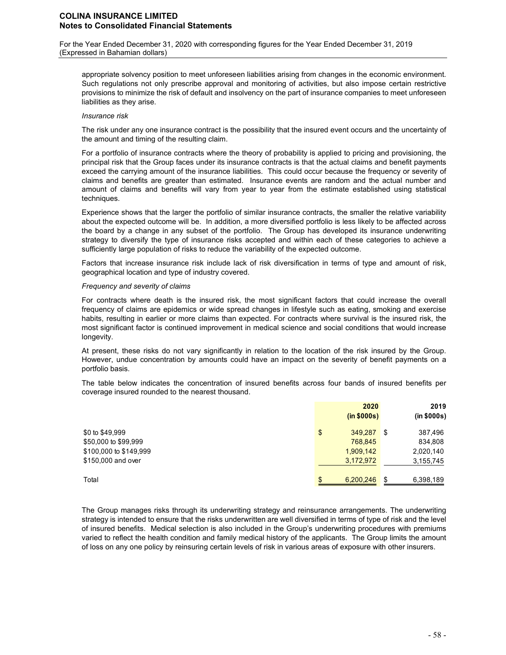For the Year Ended December 31, 2020 with corresponding figures for the Year Ended December 31, 2019 (Expressed in Bahamian dollars)

appropriate solvency position to meet unforeseen liabilities arising from changes in the economic environment. Such regulations not only prescribe approval and monitoring of activities, but also impose certain restrictive provisions to minimize the risk of default and insolvency on the part of insurance companies to meet unforeseen liabilities as they arise.

#### *Insurance risk*

The risk under any one insurance contract is the possibility that the insured event occurs and the uncertainty of the amount and timing of the resulting claim.

For a portfolio of insurance contracts where the theory of probability is applied to pricing and provisioning, the principal risk that the Group faces under its insurance contracts is that the actual claims and benefit payments exceed the carrying amount of the insurance liabilities. This could occur because the frequency or severity of claims and benefits are greater than estimated. Insurance events are random and the actual number and amount of claims and benefits will vary from year to year from the estimate established using statistical techniques.

Experience shows that the larger the portfolio of similar insurance contracts, the smaller the relative variability about the expected outcome will be. In addition, a more diversified portfolio is less likely to be affected across the board by a change in any subset of the portfolio. The Group has developed its insurance underwriting strategy to diversify the type of insurance risks accepted and within each of these categories to achieve a sufficiently large population of risks to reduce the variability of the expected outcome.

Factors that increase insurance risk include lack of risk diversification in terms of type and amount of risk, geographical location and type of industry covered.

### *Frequency and severity of claims*

For contracts where death is the insured risk, the most significant factors that could increase the overall frequency of claims are epidemics or wide spread changes in lifestyle such as eating, smoking and exercise habits, resulting in earlier or more claims than expected. For contracts where survival is the insured risk, the most significant factor is continued improvement in medical science and social conditions that would increase longevity.

At present, these risks do not vary significantly in relation to the location of the risk insured by the Group. However, undue concentration by amounts could have an impact on the severity of benefit payments on a portfolio basis.

The table below indicates the concentration of insured benefits across four bands of insured benefits per coverage insured rounded to the nearest thousand.

|                        | 2020<br>(in \$000s) | 2019<br>(in \$000s) |
|------------------------|---------------------|---------------------|
| \$0 to \$49,999        | \$<br>349.287       | \$<br>387,496       |
| \$50,000 to \$99,999   | 768,845             | 834,808             |
| \$100,000 to \$149,999 | 1,909,142           | 2,020,140           |
| \$150,000 and over     | 3,172,972           | 3,155,745           |
| Total                  | \$<br>6,200,246     | \$<br>6,398,189     |

The Group manages risks through its underwriting strategy and reinsurance arrangements. The underwriting strategy is intended to ensure that the risks underwritten are well diversified in terms of type of risk and the level of insured benefits. Medical selection is also included in the Group's underwriting procedures with premiums varied to reflect the health condition and family medical history of the applicants. The Group limits the amount of loss on any one policy by reinsuring certain levels of risk in various areas of exposure with other insurers.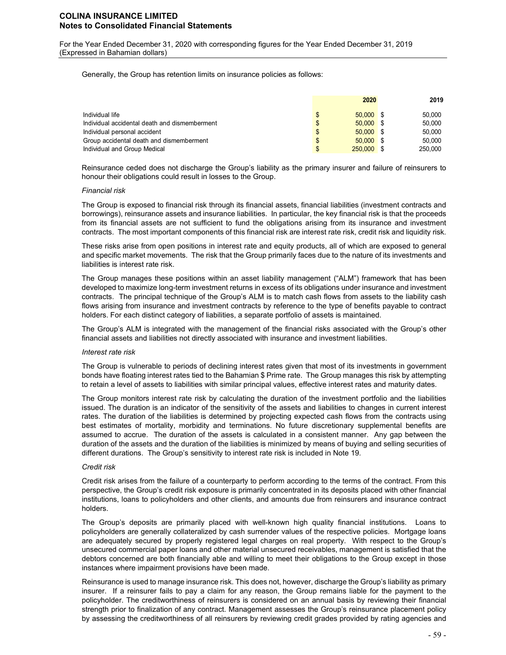For the Year Ended December 31, 2020 with corresponding figures for the Year Ended December 31, 2019 (Expressed in Bahamian dollars)

Generally, the Group has retention limits on insurance policies as follows:

|                                               |                | 2020         | 2019    |
|-----------------------------------------------|----------------|--------------|---------|
| Individual life                               | $\mathfrak{s}$ | $50.000$ \$  | 50.000  |
| Individual accidental death and dismemberment | \$             | $50.000$ \$  | 50.000  |
| Individual personal accident                  | \$             | $50.000$ \$  | 50.000  |
| Group accidental death and dismemberment      | \$             | $50.000$ \$  | 50.000  |
| Individual and Group Medical                  | \$             | $250.000$ \$ | 250.000 |

Reinsurance ceded does not discharge the Group's liability as the primary insurer and failure of reinsurers to honour their obligations could result in losses to the Group.

### *Financial risk*

The Group is exposed to financial risk through its financial assets, financial liabilities (investment contracts and borrowings), reinsurance assets and insurance liabilities. In particular, the key financial risk is that the proceeds from its financial assets are not sufficient to fund the obligations arising from its insurance and investment contracts. The most important components of this financial risk are interest rate risk, credit risk and liquidity risk.

These risks arise from open positions in interest rate and equity products, all of which are exposed to general and specific market movements. The risk that the Group primarily faces due to the nature of its investments and liabilities is interest rate risk.

The Group manages these positions within an asset liability management ("ALM") framework that has been developed to maximize long-term investment returns in excess of its obligations under insurance and investment contracts. The principal technique of the Group's ALM is to match cash flows from assets to the liability cash flows arising from insurance and investment contracts by reference to the type of benefits payable to contract holders. For each distinct category of liabilities, a separate portfolio of assets is maintained.

The Group's ALM is integrated with the management of the financial risks associated with the Group's other financial assets and liabilities not directly associated with insurance and investment liabilities.

#### *Interest rate risk*

The Group is vulnerable to periods of declining interest rates given that most of its investments in government bonds have floating interest rates tied to the Bahamian \$ Prime rate. The Group manages this risk by attempting to retain a level of assets to liabilities with similar principal values, effective interest rates and maturity dates.

The Group monitors interest rate risk by calculating the duration of the investment portfolio and the liabilities issued. The duration is an indicator of the sensitivity of the assets and liabilities to changes in current interest rates. The duration of the liabilities is determined by projecting expected cash flows from the contracts using best estimates of mortality, morbidity and terminations. No future discretionary supplemental benefits are assumed to accrue. The duration of the assets is calculated in a consistent manner. Any gap between the duration of the assets and the duration of the liabilities is minimized by means of buying and selling securities of different durations. The Group's sensitivity to interest rate risk is included in Note 19.

#### *Credit risk*

Credit risk arises from the failure of a counterparty to perform according to the terms of the contract. From this perspective, the Group's credit risk exposure is primarily concentrated in its deposits placed with other financial institutions, loans to policyholders and other clients, and amounts due from reinsurers and insurance contract holders.

The Group's deposits are primarily placed with well-known high quality financial institutions. Loans to policyholders are generally collateralized by cash surrender values of the respective policies. Mortgage loans are adequately secured by properly registered legal charges on real property. With respect to the Group's unsecured commercial paper loans and other material unsecured receivables, management is satisfied that the debtors concerned are both financially able and willing to meet their obligations to the Group except in those instances where impairment provisions have been made.

Reinsurance is used to manage insurance risk. This does not, however, discharge the Group's liability as primary insurer. If a reinsurer fails to pay a claim for any reason, the Group remains liable for the payment to the policyholder. The creditworthiness of reinsurers is considered on an annual basis by reviewing their financial strength prior to finalization of any contract. Management assesses the Group's reinsurance placement policy by assessing the creditworthiness of all reinsurers by reviewing credit grades provided by rating agencies and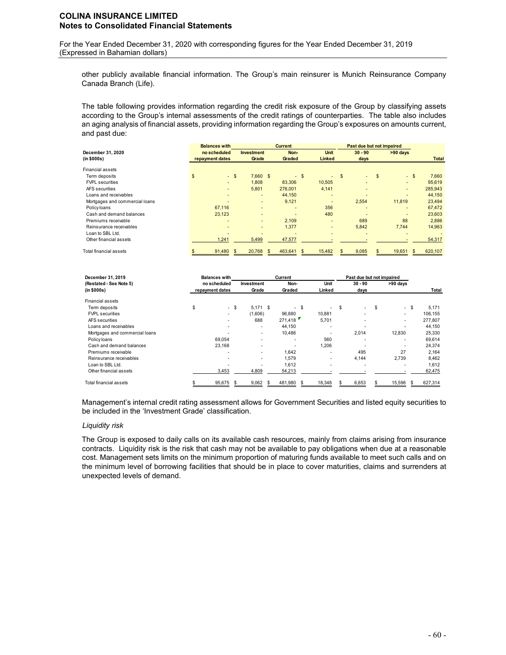For the Year Ended December 31, 2020 with corresponding figures for the Year Ended December 31, 2019 (Expressed in Bahamian dollars)

other publicly available financial information. The Group's main reinsurer is Munich Reinsurance Company Canada Branch (Life).

The table following provides information regarding the credit risk exposure of the Group by classifying assets according to the Group's internal assessments of the credit ratings of counterparties. The table also includes an aging analysis of financial assets, providing information regarding the Group's exposures on amounts current, and past due:

|                                | <b>Balances with</b> |        |                   | <b>Current</b> |        |                          |                | Past due but not impaired |              |                          |   |              |
|--------------------------------|----------------------|--------|-------------------|----------------|--------|--------------------------|----------------|---------------------------|--------------|--------------------------|---|--------------|
| December 31, 2020              | no scheduled         |        | <b>Investment</b> | Non-           |        | <b>Unit</b>              |                | $30 - 90$                 |              | $>90$ days               |   |              |
| (in \$000s)                    | repayment dates      |        | <b>Grade</b>      | Graded         |        | Linked                   |                | days                      |              |                          |   | <b>Total</b> |
| Financial assets               |                      |        |                   |                |        |                          |                |                           |              |                          |   |              |
| Term deposits                  | $\mathfrak{s}$       | $-$ \$ | 7.660 S           |                | $-$ \$ | $\sim$                   | $\mathfrak{s}$ | $\sim$ 10 $\,$            | $\mathbb{S}$ | $-$ \$                   |   | 7,660        |
| <b>FVPL</b> securities         | ۰.                   |        | 1.808             | 83,306         |        | 10.505                   |                |                           |              | ۰                        |   | 95,619       |
| AFS securities                 |                      |        | 5.801             | 276.001        |        | 4,141                    |                | ۰                         |              | ۰.                       |   | 285,943      |
| Loans and receivables          |                      |        |                   | 44,150         |        |                          |                |                           |              |                          |   | 44,150       |
| Mortgages and commercial loans |                      |        |                   | 9,121          |        | $\overline{\phantom{a}}$ |                | 2.554                     |              | 11,819                   |   | 23,494       |
| Policy loans                   | 67,116               |        |                   | ۰              |        | 356                      |                |                           |              | $\overline{\phantom{a}}$ |   | 67,472       |
| Cash and demand balances       | 23,123               |        |                   |                |        | 480                      |                | $\overline{\phantom{a}}$  |              | ٠                        |   | 23,603       |
| Premiums receivable            | ۰                    |        | ٠                 | 2,109          |        |                          |                | 689                       |              | 88                       |   | 2,886        |
| Reinsurance receivables        |                      |        | ٠                 | 1,377          |        | $\overline{\phantom{a}}$ |                | 5,842                     |              | 7.744                    |   | 14,963       |
| Loan to SBL Ltd.               |                      |        | ۰                 |                |        | $\overline{\phantom{a}}$ |                |                           |              |                          |   |              |
| Other financial assets         | 1,241                |        | 5,499             | 47,577         |        |                          |                |                           |              |                          |   | 54.317       |
| Total financial assets         | 91,480<br>\$         | \$     | 20.768            | \$<br>463.641  | \$     | 15,482                   | \$             | 9,085                     | \$           | 19.651                   | S | 620,107      |

| December 31, 2019              | <b>Balances with</b> |      |            |      | Current |      |        | Past due but not impaired |                          |                          |    |         |
|--------------------------------|----------------------|------|------------|------|---------|------|--------|---------------------------|--------------------------|--------------------------|----|---------|
| (Restated - See Note 5)        | no scheduled         |      | Investment | Non- |         | Unit |        | $30 - 90$                 | >90 days                 |                          |    |         |
| (in \$000s)                    | repayment dates      |      | Grade      |      | Graded  |      | Linked |                           | days                     |                          |    | Total   |
| Financial assets               |                      |      |            |      |         |      |        |                           |                          |                          |    |         |
| Term deposits                  | \$                   | - \$ | $5.171$ \$ |      |         | - \$ | ۰.     | S                         | $\sim$                   | \$<br>$-$ \$             |    | 5,171   |
| <b>FVPL</b> securities         | ۰.                   |      | (1,606)    |      | 96.880  |      | 10.881 |                           |                          | ۰.                       |    | 106,155 |
| AFS securities                 | ۰.                   |      | 688        |      | 271.418 |      | 5,701  |                           | ۰                        | $\overline{\phantom{a}}$ |    | 277,807 |
| Loans and receivables          |                      |      | ۰          |      | 44.150  |      | ۰      |                           | ۰                        |                          |    | 44,150  |
| Mortgages and commercial loans |                      |      | ۰.         |      | 10,486  |      | $\sim$ |                           | 2,014                    | 12,830                   |    | 25,330  |
| Policy loans                   | 69,054               |      | ۰.         |      |         |      | 560    |                           | ۰.                       | $\overline{\phantom{a}}$ |    | 69,614  |
| Cash and demand balances       | 23,168               |      | ۰          |      |         |      | 1.206  |                           | $\overline{\phantom{a}}$ |                          |    | 24,374  |
| Premiums receivable            | ۰                    |      |            |      | 1,642   |      | ۰      |                           | 495                      | 27                       |    | 2,164   |
| Reinsurance receivables        |                      |      | ۰.         |      | 1.579   |      | ۰      |                           | 4.144                    | 2.739                    |    | 8,462   |
| Loan to SBL Ltd.               |                      |      | ۰.         |      | 1,612   |      | ۰      |                           | $\sim$                   |                          |    | 1,612   |
| Other financial assets         | 3,453                |      | 4,809      |      | 54,213  |      |        |                           |                          |                          |    | 62,475  |
| Total financial assets         | \$<br>95,675         | \$.  | 9,062      | S    | 481.980 | \$   | 18,348 | S                         | 6,653                    | \$<br>15.596             | \$ | 627.314 |

Management's internal credit rating assessment allows for Government Securities and listed equity securities to be included in the 'Investment Grade' classification.

#### *Liquidity risk*

The Group is exposed to daily calls on its available cash resources, mainly from claims arising from insurance contracts. Liquidity risk is the risk that cash may not be available to pay obligations when due at a reasonable cost. Management sets limits on the minimum proportion of maturing funds available to meet such calls and on the minimum level of borrowing facilities that should be in place to cover maturities, claims and surrenders at unexpected levels of demand.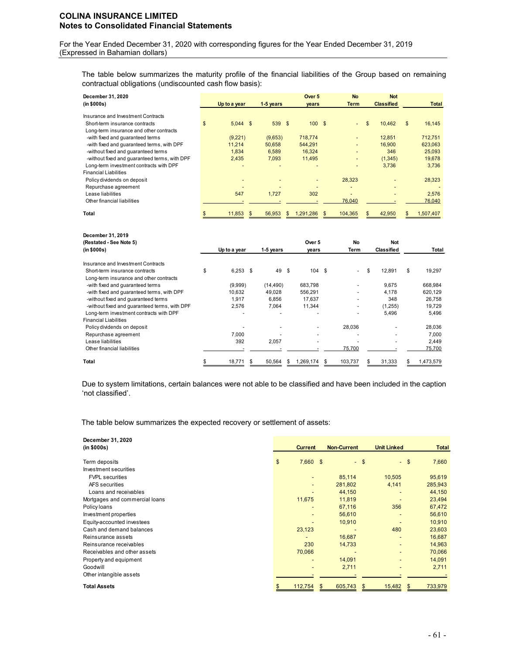For the Year Ended December 31, 2020 with corresponding figures for the Year Ended December 31, 2019 (Expressed in Bahamian dollars)

The table below summarizes the maturity profile of the financial liabilities of the Group based on remaining contractual obligations (undiscounted cash flow basis):

| December 31, 2020                             |                  |                          | Over 5                   |   | <b>No</b>   |                | <b>Not</b>        |    |              |
|-----------------------------------------------|------------------|--------------------------|--------------------------|---|-------------|----------------|-------------------|----|--------------|
| (in \$000s)                                   | Up to a year     | 1-5 years                | <b>vears</b>             |   | <b>Term</b> |                | <b>Classified</b> |    | <b>Total</b> |
| Insurance and Investment Contracts            |                  |                          |                          |   |             |                |                   |    |              |
| Short-term insurance contracts                | \$<br>$5,044$ \$ | 539 \$                   | 100 \$                   |   | $\sim$      | $\mathfrak{s}$ | 10,462            | \$ | 16,145       |
| Long-term insurance and other contracts       |                  |                          |                          |   |             |                |                   |    |              |
| -with fixed and quaranteed terms              | (9,221)          | (9,653)                  | 718,774                  |   |             |                | 12,851            |    | 712,751      |
| -with fixed and guaranteed terms, with DPF    | 11,214           | 50,658                   | 544,291                  |   |             |                | 16,900            |    | 623,063      |
| -without fixed and quaranteed terms           | 1.834            | 6,589                    | 16,324                   |   |             |                | 346               |    | 25,093       |
| -without fixed and quaranteed terms, with DPF | 2,435            | 7.093                    | 11,495                   |   |             |                | (1,345)           |    | 19,678       |
| Long-term investment contracts with DPF       |                  | $\overline{\phantom{0}}$ | $\overline{\phantom{0}}$ |   |             |                | 3.736             |    | 3,736        |
| <b>Financial Liabilities</b>                  |                  |                          |                          |   |             |                |                   |    |              |
| Policy dividends on deposit                   |                  | $\overline{\phantom{0}}$ |                          |   | 28,323      |                |                   |    | 28,323       |
| Repurchase agreement                          |                  |                          |                          |   |             |                |                   |    |              |
| Lease liabilities                             | 547              | 1.727                    | 302                      |   |             |                |                   |    | 2,576        |
| Other financial liabilities                   |                  |                          |                          |   | 76,040      |                |                   |    | 76,040       |
| <b>Total</b>                                  | \$<br>11.853     | \$<br>56,953             | \$<br>.291.286           | S | 104.365     | \$             | 42.950            | S  | 1,507,407    |

| December 31, 2019                             |                  |           |    |           |   |                |                   |              |
|-----------------------------------------------|------------------|-----------|----|-----------|---|----------------|-------------------|--------------|
| (Restated - See Note 5)                       |                  |           |    | Over 5    |   | No             | <b>Not</b>        |              |
| (in \$000s)                                   | Up to a year     | 1-5 years |    | vears     |   | Term           | <b>Classified</b> | Total        |
| Insurance and Investment Contracts            |                  |           |    |           |   |                |                   |              |
| Short-term insurance contracts                | \$<br>$6,253$ \$ | 49        | \$ | 104S      |   | $\blacksquare$ | \$<br>12,891      | \$<br>19,297 |
| Long-term insurance and other contracts       |                  |           |    |           |   |                |                   |              |
| -with fixed and guaranteed terms              | (9,999)          | (14, 490) |    | 683,798   |   |                | 9.675             | 668,984      |
| -with fixed and guaranteed terms, with DPF    | 10,632           | 49,028    |    | 556,291   |   |                | 4,178             | 620,129      |
| -without fixed and quaranteed terms           | 1.917            | 6.856     |    | 17,637    |   |                | 348               | 26,758       |
| -without fixed and guaranteed terms, with DPF | 2,576            | 7,064     |    | 11,344    |   |                | (1,255)           | 19,729       |
| Long-term investment contracts with DPF       |                  |           |    |           |   |                | 5,496             | 5,496        |
| <b>Financial Liabilities</b>                  |                  |           |    |           |   |                |                   |              |
| Policy dividends on deposit                   |                  |           |    |           |   | 28,036         |                   | 28,036       |
| Repurchase agreement                          | 7.000            |           |    |           |   |                |                   | 7,000        |
| Lease liabilities                             | 392              | 2,057     |    |           |   |                |                   | 2,449        |
| Other financial liabilities                   |                  |           |    |           |   | 75,700         |                   | 75,700       |
| Total                                         | 18,771           | 50,564    | S  | 1,269,174 | S | 103,737        | 31,333            | 1,473,579    |

Due to system limitations, certain balances were not able to be classified and have been included in the caption 'not classified'.

The table below summarizes the expected recovery or settlement of assets:

| December 31, 2020              |                |                    |                    |        |              |
|--------------------------------|----------------|--------------------|--------------------|--------|--------------|
| (in \$000s)                    | <b>Current</b> | <b>Non-Current</b> | <b>Unit Linked</b> |        | <b>Total</b> |
| Term deposits                  | \$<br>7,660 \$ |                    | $-$ \$             | $-$ \$ | 7,660        |
| Investment securities          |                |                    |                    |        |              |
| <b>FVPL</b> securities         |                | 85,114             | 10,505             |        | 95,619       |
| AFS securities                 |                | 281,802            | 4,141              |        | 285,943      |
| Loans and receivables          |                | 44,150             |                    |        | 44,150       |
| Mortgages and commercial loans | 11,675         | 11,819             |                    |        | 23,494       |
| Policy loans                   |                | 67,116             | 356                |        | 67,472       |
| Investment properties          |                | 56,610             |                    |        | 56,610       |
| Equity-accounted investees     |                | 10,910             |                    |        | 10,910       |
| Cash and demand balances       | 23,123         |                    | 480                |        | 23,603       |
| Reinsurance assets             |                | 16,687             |                    |        | 16,687       |
| Reinsurance receivables        | 230            | 14,733             |                    |        | 14,963       |
| Receivables and other assets   | 70,066         |                    |                    |        | 70,066       |
| Property and equipment         |                | 14,091             |                    |        | 14,091       |
| Goodwill                       |                | 2,711              |                    |        | 2,711        |
| Other intangible assets        |                |                    |                    |        |              |
| <b>Total Assets</b>            | 112,754        | 605,743<br>\$.     | 15,482<br>\$       | S      | 733,979      |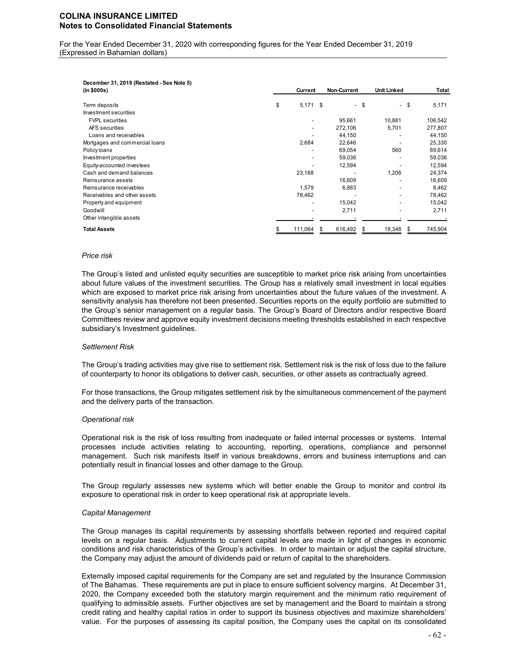For the Year Ended December 31, 2020 with corresponding figures for the Year Ended December 31, 2019 (Expressed in Bahamian dollars)

| December 31, 2019 (Restated - See Note 5) |                  |                    |                    |               |       |  |
|-------------------------------------------|------------------|--------------------|--------------------|---------------|-------|--|
| (in \$000s)                               | Current          | <b>Non-Current</b> | <b>Unit Linked</b> |               | Total |  |
| Term deposits                             | \$<br>$5,171$ \$ |                    | - \$               | 5,171<br>- \$ |       |  |
| Investment securities                     |                  |                    |                    |               |       |  |
| <b>FVPL</b> securities                    |                  | 95,661             | 10,881             | 106,542       |       |  |
| AFS securities                            |                  | 272,106            | 5,701              | 277,807       |       |  |
| Loans and receivables                     |                  | 44,150             |                    | 44,150        |       |  |
| Mortgages and commercial loans            | 2,684            | 22,646             |                    | 25,330        |       |  |
| Policy loans                              |                  | 69,054             | 560                | 69,614        |       |  |
| Investment properties                     |                  | 59,036             |                    | 59,036        |       |  |
| Equity-accounted investees                |                  | 12,594             |                    | 12,594        |       |  |
| Cash and demand balances                  | 23,168           |                    | 1,206              | 24,374        |       |  |
| Reinsurance assets                        |                  | 16,609             |                    | 16,609        |       |  |
| Reinsurance receivables                   | 1,579            | 6,883              |                    | 8,462         |       |  |
| Receivables and other assets              | 78,462           |                    |                    | 78,462        |       |  |
| Property and equipment                    |                  | 15,042             |                    | 15,042        |       |  |
| Goodwill                                  |                  | 2,711              |                    | 2,711         |       |  |
| Other intangible assets                   |                  |                    |                    |               |       |  |
| <b>Total Assets</b>                       | 111,064          | 616,492<br>S       | 18,348<br>S        | 745,904<br>S  |       |  |

### *Price risk*

The Group's listed and unlisted equity securities are susceptible to market price risk arising from uncertainties about future values of the investment securities. The Group has a relatively small investment in local equities which are exposed to market price risk arising from uncertainties about the future values of the investment. A sensitivity analysis has therefore not been presented. Securities reports on the equity portfolio are submitted to the Group's senior management on a regular basis. The Group's Board of Directors and/or respective Board Committees review and approve equity investment decisions meeting thresholds established in each respective subsidiary's Investment guidelines.

#### *Settlement Risk*

The Group's trading activities may give rise to settlement risk. Settlement risk is the risk of loss due to the failure of counterparty to honor its obligations to deliver cash, securities, or other assets as contractually agreed.

For those transactions, the Group mitigates settlement risk by the simultaneous commencement of the payment and the delivery parts of the transaction.

#### *Operational risk*

Operational risk is the risk of loss resulting from inadequate or failed internal processes or systems. Internal processes include activities relating to accounting, reporting, operations, compliance and personnel management. Such risk manifests itself in various breakdowns, errors and business interruptions and can potentially result in financial losses and other damage to the Group.

The Group regularly assesses new systems which will better enable the Group to monitor and control its exposure to operational risk in order to keep operational risk at appropriate levels.

#### *Capital Management*

The Group manages its capital requirements by assessing shortfalls between reported and required capital levels on a regular basis. Adjustments to current capital levels are made in light of changes in economic conditions and risk characteristics of the Group's activities. In order to maintain or adjust the capital structure, the Company may adjust the amount of dividends paid or return of capital to the shareholders.

Externally imposed capital requirements for the Company are set and regulated by the Insurance Commission of The Bahamas. These requirements are put in place to ensure sufficient solvency margins. At December 31, 2020, the Company exceeded both the statutory margin requirement and the minimum ratio requirement of qualifying to admissible assets. Further objectives are set by management and the Board to maintain a strong credit rating and healthy capital ratios in order to support its business objectives and maximize shareholders' value. For the purposes of assessing its capital position, the Company uses the capital on its consolidated